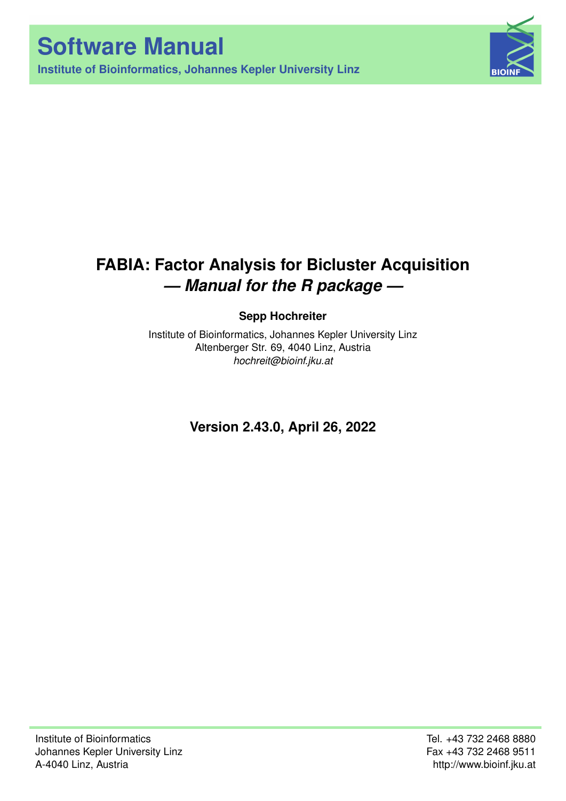**Institute of Bioinformatics, Johannes Kepler University Linz**



# **FABIA: Factor Analysis for Bicluster Acquisition** *— Manual for the R package —*

**Sepp Hochreiter**

Institute of Bioinformatics, Johannes Kepler University Linz Altenberger Str. 69, 4040 Linz, Austria *[hochreit@bioinf.jku.at](mailto:hochreit@bioinf.jku.at)*

**Version 2.43.0, April 26, 2022**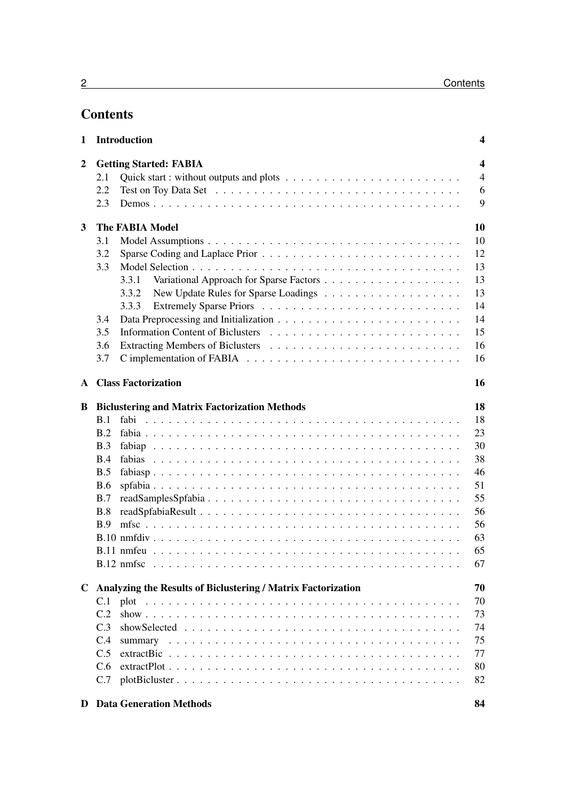## **Contents**

| 1              | <b>Introduction</b>                                                | 4                            |                |  |  |  |
|----------------|--------------------------------------------------------------------|------------------------------|----------------|--|--|--|
| $\overline{2}$ | $\overline{\mathbf{4}}$<br><b>Getting Started: FABIA</b>           |                              |                |  |  |  |
|                | 2.1                                                                |                              | $\overline{4}$ |  |  |  |
|                | 2.2                                                                |                              | 6              |  |  |  |
|                | 2.3                                                                |                              | 9              |  |  |  |
| 3              | 10<br><b>The FABIA Model</b>                                       |                              |                |  |  |  |
|                | 3.1                                                                |                              | 10             |  |  |  |
|                | 3.2                                                                |                              | 12             |  |  |  |
|                | 3.3                                                                |                              | 13             |  |  |  |
|                |                                                                    | 3.3.1                        | 13             |  |  |  |
|                |                                                                    | 3.3.2                        | 13             |  |  |  |
|                |                                                                    | 3.3.3                        | 14             |  |  |  |
|                | 3.4                                                                |                              | 14             |  |  |  |
|                | 3.5                                                                |                              | 15             |  |  |  |
|                | 3.6                                                                |                              | 16             |  |  |  |
|                | 3.7                                                                |                              | 16             |  |  |  |
|                |                                                                    | <b>A</b> Class Factorization | 16             |  |  |  |
| B              | 18<br><b>Biclustering and Matrix Factorization Methods</b>         |                              |                |  |  |  |
|                | B.1                                                                |                              | 18             |  |  |  |
|                | B.2                                                                |                              | 23             |  |  |  |
|                | B.3                                                                |                              | 30             |  |  |  |
|                | B.4                                                                |                              | 38             |  |  |  |
|                | B.5                                                                |                              | 46             |  |  |  |
|                | <b>B.6</b>                                                         |                              | 51             |  |  |  |
|                | B.7                                                                |                              | 55             |  |  |  |
|                | B.8                                                                |                              | 56             |  |  |  |
|                | B.9                                                                |                              | 56             |  |  |  |
|                |                                                                    |                              | 63             |  |  |  |
|                |                                                                    |                              | 65             |  |  |  |
|                |                                                                    |                              | 67             |  |  |  |
| $\mathbf C$    | Analyzing the Results of Biclustering / Matrix Factorization<br>70 |                              |                |  |  |  |
|                | C.1                                                                |                              | 70             |  |  |  |
|                | C.2                                                                |                              | 73             |  |  |  |
|                | C.3                                                                |                              | 74             |  |  |  |
|                | C.4                                                                |                              | 75             |  |  |  |
|                | C.5                                                                |                              | 77             |  |  |  |
|                | C.6                                                                |                              | 80             |  |  |  |
|                | C.7                                                                |                              | 82             |  |  |  |
|                |                                                                    |                              |                |  |  |  |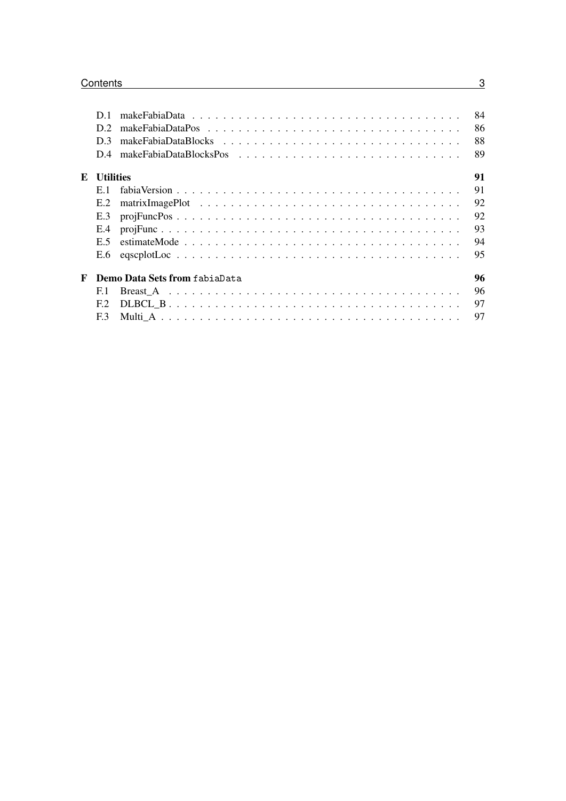|                                    |                  | 84 |  |  |  |
|------------------------------------|------------------|----|--|--|--|
|                                    | D2               | 86 |  |  |  |
|                                    | D <sub>3</sub>   | 88 |  |  |  |
|                                    |                  | 89 |  |  |  |
| $\mathbf{E}$                       | <b>Utilities</b> | 91 |  |  |  |
|                                    | E 1              | 91 |  |  |  |
|                                    | E.2              | 92 |  |  |  |
|                                    | E.3              | 92 |  |  |  |
|                                    | E.4              | 93 |  |  |  |
|                                    | E 5              | 94 |  |  |  |
|                                    |                  | 95 |  |  |  |
| F<br>Demo Data Sets from fabiaData |                  |    |  |  |  |
|                                    | E.1              | 96 |  |  |  |
|                                    | F2               | 97 |  |  |  |
|                                    | F <sub>3</sub>   | 97 |  |  |  |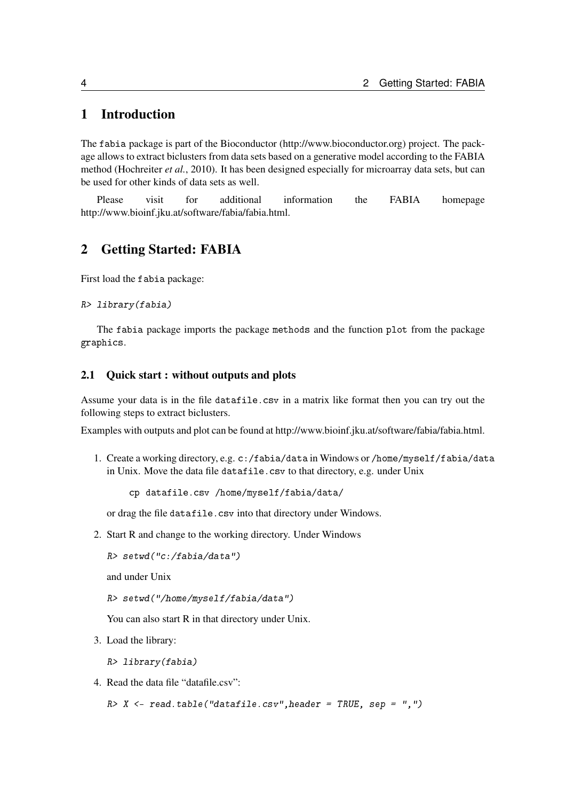## <span id="page-3-0"></span>1 Introduction

The fabia package is part of the Bioconductor [\(http://www.bioconductor.org\)](http://www.bioconductor.org) project. The package allows to extract biclusters from data sets based on a generative model according to the FABIA method [\(Hochreiter](#page-97-0) *et al.*, [2010\)](#page-97-0). It has been designed especially for microarray data sets, but can be used for other kinds of data sets as well.

Please visit for additional information the FABIA homepage [http://www.bioinf.jku.at/software/fabia/fabia.html.](http://www.bioinf.jku.at/software/fabia/fabia.html)

## <span id="page-3-1"></span>2 Getting Started: FABIA

First load the fabia package:

```
R> library(fabia)
```
The fabia package imports the package methods and the function plot from the package graphics.

## <span id="page-3-2"></span>2.1 Quick start : without outputs and plots

Assume your data is in the file datafile.csv in a matrix like format then you can try out the following steps to extract biclusters.

Examples with outputs and plot can be found at [http://www.bioinf.jku.at/software/fabia/fabia.html.](http://www.bioinf.jku.at/software/fabia/fabia.html)

1. Create a working directory, e.g. c:/fabia/data in Windows or /home/myself/fabia/data in Unix. Move the data file datafile.csv to that directory, e.g. under Unix

cp datafile.csv /home/myself/fabia/data/

or drag the file datafile.csv into that directory under Windows.

2. Start R and change to the working directory. Under Windows

```
R> setwd("c:/fabia/data")
```
and under Unix

```
R> setwd("/home/myself/fabia/data")
```
You can also start R in that directory under Unix.

3. Load the library:

R> library(fabia)

4. Read the data file "datafile.csv":

 $R > X$  <- read.table("datafile.csv", header = TRUE, sep = ",")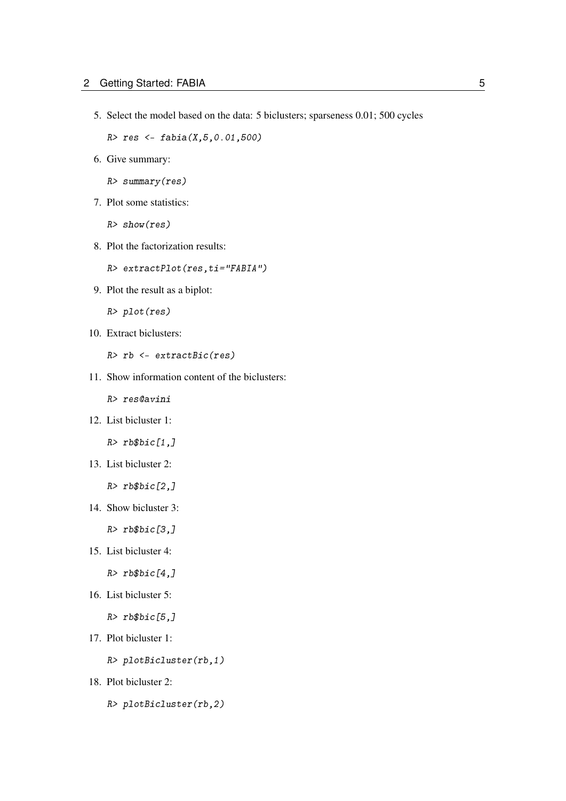5. Select the model based on the data: 5 biclusters; sparseness 0.01; 500 cycles

R> res <- fabia(X,5,0.01,500)

6. Give summary:

R> summary(res)

7. Plot some statistics:

R> show(res)

8. Plot the factorization results:

R> extractPlot(res,ti="FABIA")

9. Plot the result as a biplot:

R> plot(res)

10. Extract biclusters:

R> rb <- extractBic(res)

11. Show information content of the biclusters:

R> res@avini

12. List bicluster 1:

 $R>rb$bic[1,]$ 

13. List bicluster 2:

 $R>rb$bic[2,1]$ 

14. Show bicluster 3:

 $R>rb$bic[3,]$ 

15. List bicluster 4:

 $R>rb$bic[4,]$ 

16. List bicluster 5:

 $R>rb$bic[5,]$ 

17. Plot bicluster 1:

R> plotBicluster(rb,1)

- 18. Plot bicluster 2:
	- R> plotBicluster(rb,2)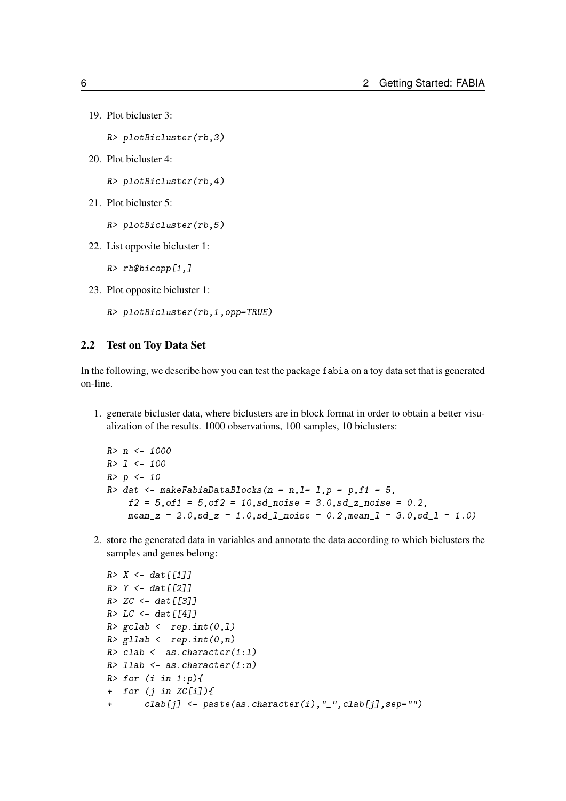```
19. Plot bicluster 3:
```
R> plotBicluster(rb,3)

20. Plot bicluster 4:

R> plotBicluster(rb,4)

21. Plot bicluster 5:

R> plotBicluster(rb,5)

22. List opposite bicluster 1:

R> rb\$bicopp[1,]

23. Plot opposite bicluster 1:

R> plotBicluster(rb,1,opp=TRUE)

## <span id="page-5-0"></span>2.2 Test on Toy Data Set

In the following, we describe how you can test the package fabia on a toy data set that is generated on-line.

1. generate bicluster data, where biclusters are in block format in order to obtain a better visualization of the results. 1000 observations, 100 samples, 10 biclusters:

```
R> n <- 1000
R> l <- 100
R > p < - 10R> dat \leq- makeFabiaDataBlocks(n = n, l= 1, p = p, f1 = 5,
    f2 = 5, of 1 = 5, of 2 = 10, sd_noise = 3.0, sd_z_noise = 0.2,
    mean_z = 2.0, sd_z = 1.0, sd_l noise = 0.2, meanl = 3.0, sd_l = 1.0
```
2. store the generated data in variables and annotate the data according to which biclusters the samples and genes belong:

```
R > X < - dat [[1]]
R > Y < - dat [[2]]
R > ZC < - dat [[3]]
R > LC < - dat [[4]]
R> gclab <- rep.int(0,1)R > gllab \leftarrow rep.int(0, n)R> clab <- as.character(1:1)
R > 1lab \leq - as. character (1:n)R > for (i in 1:p){
+ for (i in ZC[i]/\{+ clab[j] <- paste(as.character(i),"_",clab[j],sep="")
```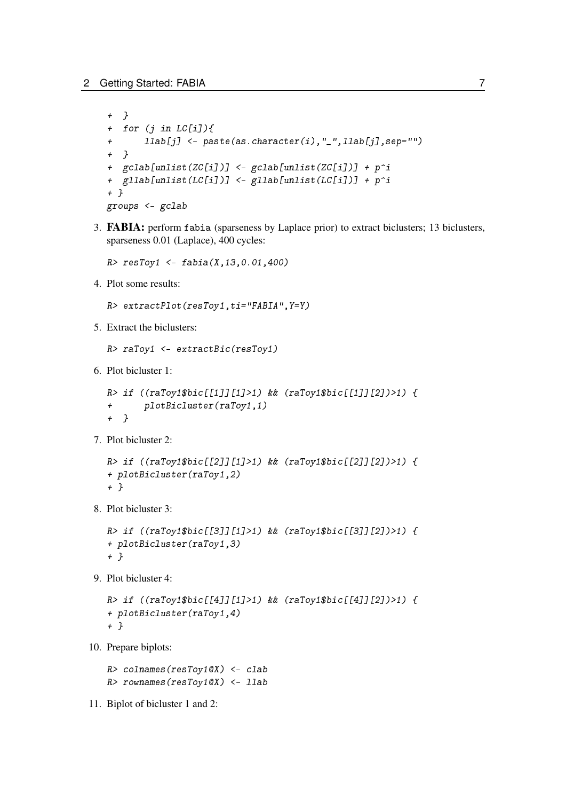```
+ }
+ for (j in LC[i]){
+ llab[j] <- paste(as.character(i),"_",llab[j],sep="")
+ }
+ gclab[unlist(ZC[i])] <- gclab[unlist(ZC[i])] + p^i
+ gllab[unlist(LC[i])] <- gllab[unlist(LC[i])] + p^i
+ }
groups <- gclab
```
3. FABIA: perform fabia (sparseness by Laplace prior) to extract biclusters; 13 biclusters, sparseness 0.01 (Laplace), 400 cycles:

 $R >$  resToy1 <- fabia(X, 13, 0.01, 400)

4. Plot some results:

R> extractPlot(resToy1,ti="FABIA",Y=Y)

5. Extract the biclusters:

```
R> raToy1 <- extractBic(resToy1)
```
6. Plot bicluster 1:

```
R> if ((raToy1$bic[[1]][1]>1) && (raToy1$bic[[1]][2])>1) {
+ plotBicluster(raToy1,1)
+ }
```
7. Plot bicluster 2:

```
R> if ((raToy1$bic[[2]][1]>1) && (raToy1$bic[[2]][2])>1) {
+ plotBicluster(raToy1,2)
+ }
```
8. Plot bicluster 3:

```
R> if ((raToy1$bic[[3]][1]>1) && (raToy1$bic[[3]][2])>1) {
+ plotBicluster(raToy1,3)
+ }
```
9. Plot bicluster 4:

```
R> if ((raToy1$bic[[4]][1]>1) && (raToy1$bic[[4]][2])>1) {
+ plotBicluster(raToy1,4)
+ }
```
10. Prepare biplots:

R> colnames(resToy1@X) <- clab R> rownames(resToy1@X) <- llab

11. Biplot of bicluster 1 and 2: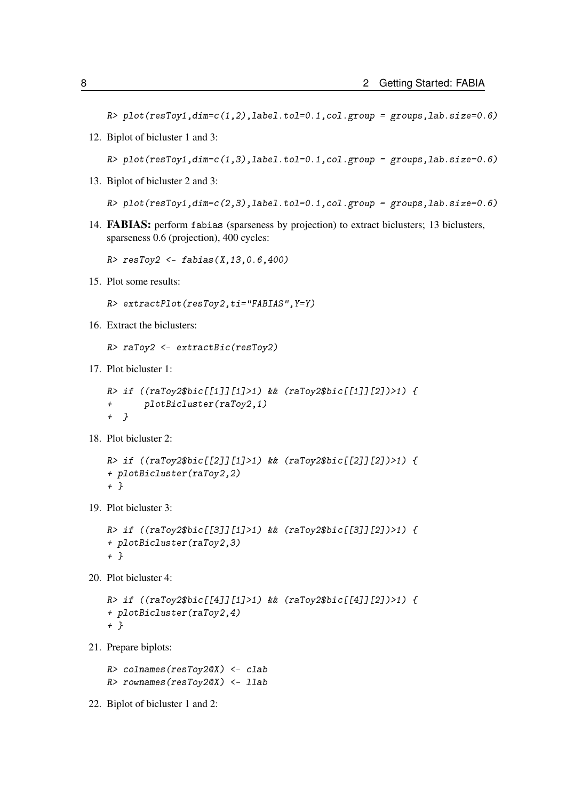$R$ > plot(resToy1,dim=c(1,2),label.tol=0.1,col.group = groups,lab.size=0.6)

12. Biplot of bicluster 1 and 3:

 $R$ > plot(resToy1,dim=c(1,3),label.tol=0.1,col.group = groups,lab.size=0.6)

13. Biplot of bicluster 2 and 3:

 $R$ > plot(resToy1,dim=c(2,3),label.tol=0.1,col.group = groups,lab.size=0.6)

14. FABIAS: perform fabias (sparseness by projection) to extract biclusters; 13 biclusters, sparseness 0.6 (projection), 400 cycles:

 $R$ > resToy2 <- fabias(X,13,0.6,400)

15. Plot some results:

```
R> extractPlot(resToy2,ti="FABIAS",Y=Y)
```
16. Extract the biclusters:

```
R> raToy2 <- extractBic(resToy2)
```
17. Plot bicluster 1:

```
R> if ((raToy2$bic[[1]][1]>1) && (raToy2$bic[[1]][2])>1) {
+ plotBicluster(raToy2,1)
+ }
```
18. Plot bicluster 2:

```
R> if ((raToy2$bic[[2]][1]>1) && (raToy2$bic[[2]][2])>1) {
+ plotBicluster(raToy2,2)
+ }
```
19. Plot bicluster 3:

```
R> if ((raToy2$bic[[3]][1]>1) && (raToy2$bic[[3]][2])>1) {
+ plotBicluster(raToy2,3)
+ }
```
20. Plot bicluster 4:

```
R> if ((raToy2$bic[[4]][1]>1) && (raToy2$bic[[4]][2])>1) {
+ plotBicluster(raToy2,4)
+ }
```
21. Prepare biplots:

R> colnames(resToy2@X) <- clab R> rownames(resToy2@X) <- llab

22. Biplot of bicluster 1 and 2: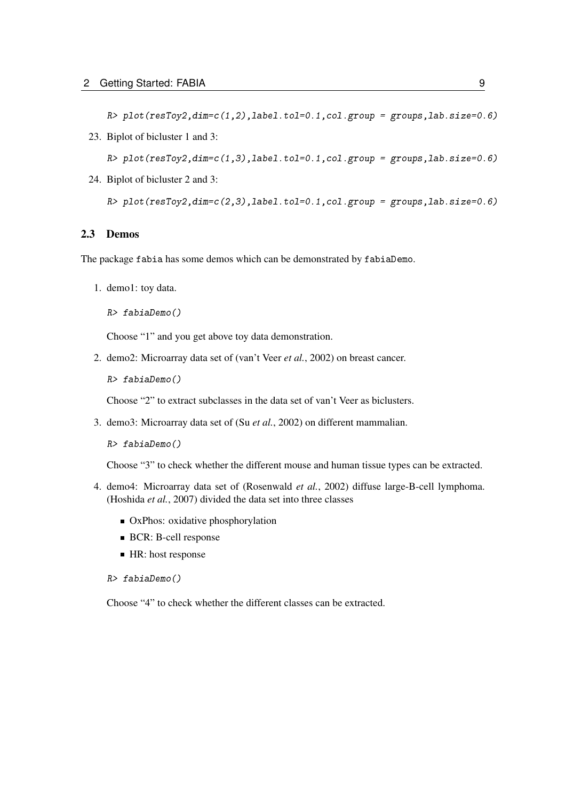$R$ > plot(resToy2,dim=c(1,2),label.tol=0.1,col.group = groups,lab.size=0.6)

23. Biplot of bicluster 1 and 3:

 $R$ > plot(resToy2,dim=c(1,3),label.tol=0.1,col.group = groups,lab.size=0.6)

24. Biplot of bicluster 2 and 3:

R> plot(resToy2,dim=c(2,3),label.tol=0.1,col.group = groups,lab.size=0.6)

## <span id="page-8-0"></span>2.3 Demos

The package fabia has some demos which can be demonstrated by fabiaDemo.

1. demo1: toy data.

```
R> fabiaDemo()
```
Choose "1" and you get above toy data demonstration.

2. demo2: Microarray data set of [\(van't Veer](#page-97-1) *et al.*, [2002\)](#page-97-1) on breast cancer.

R> fabiaDemo()

Choose "2" to extract subclasses in the data set of van't Veer as biclusters.

3. demo3: Microarray data set of (Su *[et al.](#page-97-2)*, [2002\)](#page-97-2) on different mammalian.

R> fabiaDemo()

Choose "3" to check whether the different mouse and human tissue types can be extracted.

- 4. demo4: Microarray data set of [\(Rosenwald](#page-97-3) *et al.*, [2002\)](#page-97-3) diffuse large-B-cell lymphoma. [\(Hoshida](#page-97-4) *et al.*, [2007\)](#page-97-4) divided the data set into three classes
	- OxPhos: oxidative phosphorylation
	- **BCR: B-cell response**
	- HR: host response
	- R> fabiaDemo()

Choose "4" to check whether the different classes can be extracted.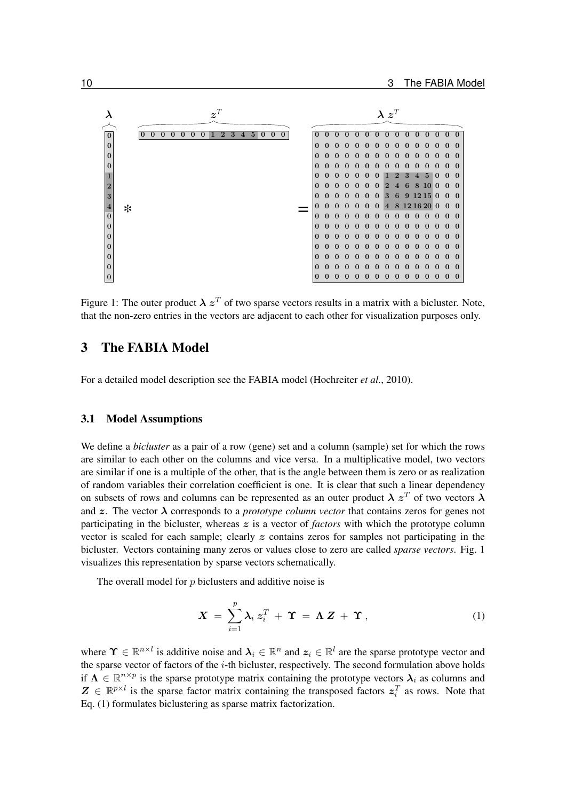

<span id="page-9-2"></span>Figure 1: The outer product  $\lambda z^T$  of two sparse vectors results in a matrix with a bicluster. Note, that the non-zero entries in the vectors are adjacent to each other for visualization purposes only.

## <span id="page-9-0"></span>3 The FABIA Model

For a detailed model description see the FABIA model [\(Hochreiter](#page-97-0) *et al.*, [2010\)](#page-97-0).

#### <span id="page-9-1"></span>3.1 Model Assumptions

We define a *bicluster* as a pair of a row (gene) set and a column (sample) set for which the rows are similar to each other on the columns and vice versa. In a multiplicative model, two vectors are similar if one is a multiple of the other, that is the angle between them is zero or as realization of random variables their correlation coefficient is one. It is clear that such a linear dependency on subsets of rows and columns can be represented as an outer product  $\lambda z^T$  of two vectors  $\lambda$ and  $\zeta$ . The vector  $\lambda$  corresponds to a *prototype column vector* that contains zeros for genes not participating in the bicluster, whereas z is a vector of *factors* with which the prototype column vector is scaled for each sample; clearly  $z$  contains zeros for samples not participating in the bicluster. Vectors containing many zeros or values close to zero are called *sparse vectors*. Fig. [1](#page-9-2) visualizes this representation by sparse vectors schematically.

The overall model for p biclusters and additive noise is

<span id="page-9-3"></span>
$$
\mathbf{X} = \sum_{i=1}^{p} \lambda_i \, \mathbf{z}_i^T + \mathbf{\Upsilon} = \mathbf{\Lambda} \, \mathbf{Z} + \mathbf{\Upsilon} \,, \tag{1}
$$

where  $\Upsilon \in \mathbb{R}^{n \times l}$  is additive noise and  $\lambda_i \in \mathbb{R}^n$  and  $z_i \in \mathbb{R}^l$  are the sparse prototype vector and the sparse vector of factors of the *i*-th bicluster, respectively. The second formulation above holds if  $\Lambda \in \mathbb{R}^{n \times p}$  is the sparse prototype matrix containing the prototype vectors  $\lambda_i$  as columns and  $\mathbf{Z} \in \mathbb{R}^{p \times l}$  is the sparse factor matrix containing the transposed factors  $z_i^T$  as rows. Note that Eq. [\(1\)](#page-9-3) formulates biclustering as sparse matrix factorization.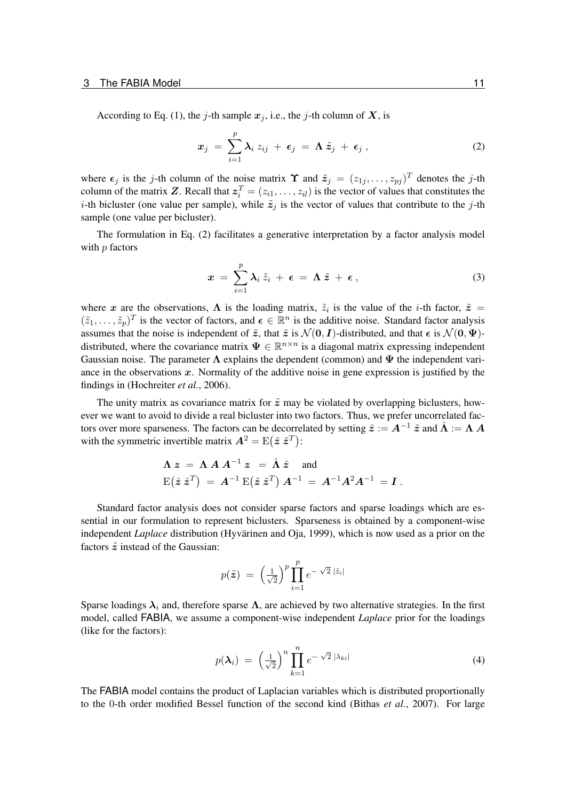According to Eq. [\(1\)](#page-9-3), the j-th sample  $x_j$ , i.e., the j-th column of X, is

<span id="page-10-0"></span>
$$
x_j = \sum_{i=1}^p \lambda_i z_{ij} + \epsilon_j = \Lambda \tilde{z}_j + \epsilon_j , \qquad (2)
$$

where  $\epsilon_j$  is the j-th column of the noise matrix  $\Upsilon$  and  $\tilde{z}_j = (z_{1j}, \dots, z_{pj})^T$  denotes the j-th column of the matrix Z. Recall that  $z_i^T = (z_{i1}, \ldots, z_{il})$  is the vector of values that constitutes the *i*-th bicluster (one value per sample), while  $\tilde{z}_i$  is the vector of values that contribute to the *j*-th sample (one value per bicluster).

The formulation in Eq. [\(2\)](#page-10-0) facilitates a generative interpretation by a factor analysis model with  $p$  factors

$$
x = \sum_{i=1}^p \lambda_i \, \tilde{z}_i + \epsilon = \Lambda \, \tilde{z} + \epsilon \,, \tag{3}
$$

where x are the observations,  $\Lambda$  is the loading matrix,  $\tilde{z}_i$  is the value of the *i*-th factor,  $\tilde{z}$  =  $(\tilde{z}_1,\ldots,\tilde{z}_p)^T$  is the vector of factors, and  $\epsilon \in \mathbb{R}^n$  is the additive noise. Standard factor analysis assumes that the noise is independent of  $\tilde{z}$ , that  $\tilde{z}$  is  $\mathcal{N}(0, I)$ -distributed, and that  $\epsilon$  is  $\mathcal{N}(0, \Psi)$ distributed, where the covariance matrix  $\Psi \in \mathbb{R}^{n \times n}$  is a diagonal matrix expressing independent Gaussian noise. The parameter  $\Lambda$  explains the dependent (common) and  $\Psi$  the independent variance in the observations  $x$ . Normality of the additive noise in gene expression is justified by the findings in [\(Hochreiter](#page-97-5) *et al.*, [2006\)](#page-97-5).

The unity matrix as covariance matrix for  $\tilde{z}$  may be violated by overlapping biclusters, however we want to avoid to divide a real bicluster into two factors. Thus, we prefer uncorrelated factors over more sparseness. The factors can be decorrelated by setting  $\hat{z} := A^{-1} \tilde{z}$  and  $\hat{\Lambda} := \Lambda A$ with the symmetric invertible matrix  $A^2 = E(\tilde{z} \tilde{z}^T)$ :

$$
\begin{aligned} &\bm{\Lambda}\,\bm{z}\,=\,\bm{\Lambda}\,\bm{A}\,\bm{A}^{-1}\,\bm{z}\,\,=\,\hat{\bm{\Lambda}}\,\hat{\bm{z}}\quad\text{and}\\ &\mathrm{E}\big(\hat{\bm{z}}\,\hat{\bm{z}}^T\big)\,=\,\bm{A}^{-1}\,\mathrm{E}\big(\tilde{\bm{z}}\,\tilde{\bm{z}}^T\big)\,\bm{A}^{-1}\,=\,\bm{A}^{-1}\bm{A}^2\bm{A}^{-1}\,=\bm{I}\,. \end{aligned}
$$

Standard factor analysis does not consider sparse factors and sparse loadings which are essential in our formulation to represent biclusters. Sparseness is obtained by a component-wise independent *Laplace* distribution [\(Hyvärinen and Oja, 1999\)](#page-97-6), which is now used as a prior on the factors  $\tilde{z}$  instead of the Gaussian:

$$
p(\tilde{\boldsymbol{z}}) = \left(\frac{1}{\sqrt{2}}\right)^p \prod_{i=1}^p e^{-\sqrt{2}|\tilde{z}_i|}
$$

Sparse loadings  $\lambda_i$  and, therefore sparse  $\Lambda$ , are achieved by two alternative strategies. In the first model, called FABIA, we assume a component-wise independent *Laplace* prior for the loadings (like for the factors):

$$
p(\boldsymbol{\lambda}_i) = \left(\frac{1}{\sqrt{2}}\right)^n \prod_{k=1}^n e^{-\sqrt{2}|\lambda_{ki}|} \tag{4}
$$

The FABIA model contains the product of Laplacian variables which is distributed proportionally to the 0-th order modified Bessel function of the second kind [\(Bithas](#page-96-2) *et al.*, [2007\)](#page-96-2). For large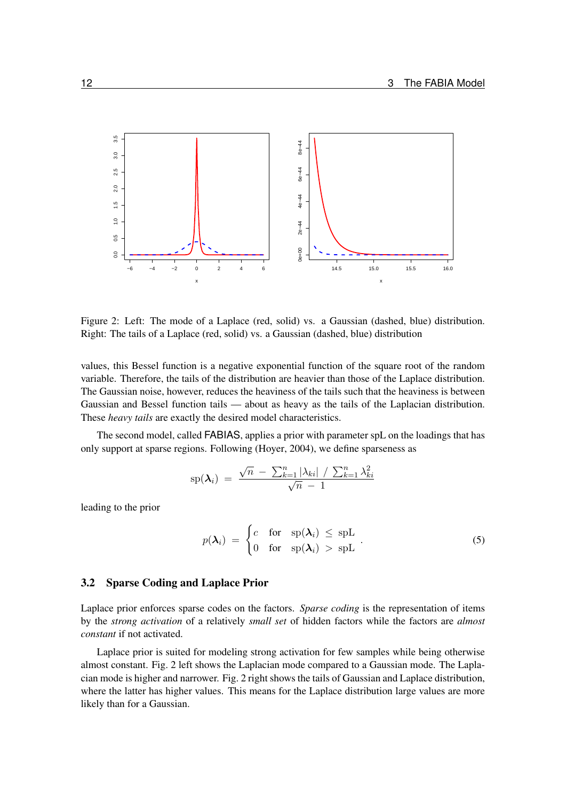

<span id="page-11-1"></span>Figure 2: Left: The mode of a Laplace (red, solid) vs. a Gaussian (dashed, blue) distribution. Right: The tails of a Laplace (red, solid) vs. a Gaussian (dashed, blue) distribution

values, this Bessel function is a negative exponential function of the square root of the random variable. Therefore, the tails of the distribution are heavier than those of the Laplace distribution. The Gaussian noise, however, reduces the heaviness of the tails such that the heaviness is between Gaussian and Bessel function tails — about as heavy as the tails of the Laplacian distribution. These *heavy tails* are exactly the desired model characteristics.

The second model, called FABIAS, applies a prior with parameter spL on the loadings that has only support at sparse regions. Following [\(Hoyer, 2004\)](#page-97-7), we define sparseness as

$$
\text{sp}(\boldsymbol{\lambda}_i) = \frac{\sqrt{n} - \sum_{k=1}^n |\lambda_{ki}| / \sum_{k=1}^n \lambda_{ki}^2}{\sqrt{n} - 1}
$$

leading to the prior

<span id="page-11-2"></span>
$$
p(\boldsymbol{\lambda}_i) = \begin{cases} c & \text{for} \quad \text{sp}(\boldsymbol{\lambda}_i) \leq \text{spL} \\ 0 & \text{for} \quad \text{sp}(\boldsymbol{\lambda}_i) > \text{spL} \end{cases} \tag{5}
$$

#### <span id="page-11-0"></span>3.2 Sparse Coding and Laplace Prior

Laplace prior enforces sparse codes on the factors. *Sparse coding* is the representation of items by the *strong activation* of a relatively *small set* of hidden factors while the factors are *almost constant* if not activated.

Laplace prior is suited for modeling strong activation for few samples while being otherwise almost constant. Fig. [2](#page-11-1) left shows the Laplacian mode compared to a Gaussian mode. The Laplacian mode is higher and narrower. Fig. [2](#page-11-1) right shows the tails of Gaussian and Laplace distribution, where the latter has higher values. This means for the Laplace distribution large values are more likely than for a Gaussian.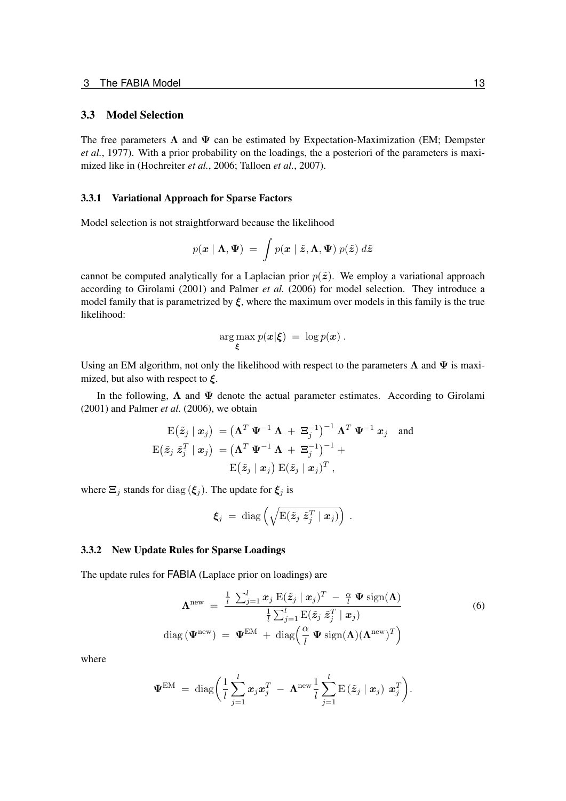#### <span id="page-12-0"></span>3.3 Model Selection

The free parameters  $\Lambda$  and  $\Psi$  can be estimated by Expectation-Maximization (EM; [Dempster](#page-97-8) *[et al.](#page-97-8)*, [1977\)](#page-97-8). With a prior probability on the loadings, the a posteriori of the parameters is maximized like in [\(Hochreiter](#page-97-5) *et al.*, [2006;](#page-97-5) [Talloen](#page-97-9) *et al.*, [2007\)](#page-97-9).

#### <span id="page-12-1"></span>3.3.1 Variational Approach for Sparse Factors

Model selection is not straightforward because the likelihood

$$
p(\boldsymbol{x} \mid \boldsymbol{\Lambda}, \boldsymbol{\Psi}) \ = \ \int p(\boldsymbol{x} \mid \tilde{\boldsymbol{z}}, \boldsymbol{\Lambda}, \boldsymbol{\Psi}) \ p(\tilde{\boldsymbol{z}}) \ d\tilde{\boldsymbol{z}}
$$

cannot be computed analytically for a Laplacian prior  $p(\tilde{z})$ . We employ a variational approach according to [Girolami](#page-97-10) [\(2001\)](#page-97-10) and [Palmer](#page-97-11) *et al.* [\(2006\)](#page-97-11) for model selection. They introduce a model family that is parametrized by  $\xi$ , where the maximum over models in this family is the true likelihood:

$$
\argmax_{\xi} p(\boldsymbol{x}|\boldsymbol{\xi}) = \log p(\boldsymbol{x}).
$$

Using an EM algorithm, not only the likelihood with respect to the parameters  $\Lambda$  and  $\Psi$  is maximized, but also with respect to  $\xi$ .

In the following,  $\Lambda$  and  $\Psi$  denote the actual parameter estimates. According to [Girolami](#page-97-10) [\(2001\)](#page-97-10) and [Palmer](#page-97-11) *et al.* [\(2006\)](#page-97-11), we obtain

$$
\mathrm{E}(\tilde{z}_j | \mathbf{x}_j) = (\boldsymbol{\Lambda}^T \boldsymbol{\Psi}^{-1} \boldsymbol{\Lambda} + \boldsymbol{\Xi}_j^{-1})^{-1} \boldsymbol{\Lambda}^T \boldsymbol{\Psi}^{-1} \mathbf{x}_j \quad \text{and} \\
\mathrm{E}(\tilde{z}_j \tilde{z}_j^T | \mathbf{x}_j) = (\boldsymbol{\Lambda}^T \boldsymbol{\Psi}^{-1} \boldsymbol{\Lambda} + \boldsymbol{\Xi}_j^{-1})^{-1} + \\
\mathrm{E}(\tilde{z}_j | \mathbf{x}_j) \mathrm{E}(\tilde{z}_j | \mathbf{x}_j)^T,
$$

where  $\Xi_j$  stands for diag  $(\xi_j)$ . The update for  $\xi_j$  is

<span id="page-12-3"></span>
$$
\boldsymbol{\xi}_j \ = \ \mathrm{diag}\left(\sqrt{\mathrm{E}(\tilde{\boldsymbol{z}}_j \ \tilde{\boldsymbol{z}}_j^T \mid \boldsymbol{x}_j)}\right) \ .
$$

#### <span id="page-12-2"></span>3.3.2 New Update Rules for Sparse Loadings

The update rules for FABIA (Laplace prior on loadings) are

$$
\mathbf{\Lambda}^{\text{new}} = \frac{\frac{1}{l} \sum_{j=1}^{l} x_j \mathbf{E}(\tilde{\mathbf{z}}_j \mid \mathbf{x}_j)^T - \frac{\alpha}{l} \mathbf{\Psi} \operatorname{sign}(\mathbf{\Lambda})}{\frac{1}{l} \sum_{j=1}^{l} \mathbf{E}(\tilde{\mathbf{z}}_j \tilde{\mathbf{z}}_j^T \mid \mathbf{x}_j)}\n\begin{array}{c}\n\text{(6)} \\
\text{diag}(\mathbf{\Psi}^{\text{new}}) = \mathbf{\Psi}^{\text{EM}} + \operatorname{diag}\left(\frac{\alpha}{l} \mathbf{\Psi} \operatorname{sign}(\mathbf{\Lambda})(\mathbf{\Lambda}^{\text{new}})^T\right)\n\end{array}\n\end{array}
$$

where

$$
\boldsymbol{\Psi}^{\text{EM}}\ =\ \text{diag}\bigg(\frac{1}{l}\sum_{j=1}^l \boldsymbol{x}_j\boldsymbol{x}_j^T\ -\ \boldsymbol{\Lambda}^{\text{new}}\frac{1}{l}\sum_{j=1}^l \text{E}\left(\tilde{\boldsymbol{z}}_j\mid \boldsymbol{x}_j\right)\ \boldsymbol{x}_j^T\bigg).
$$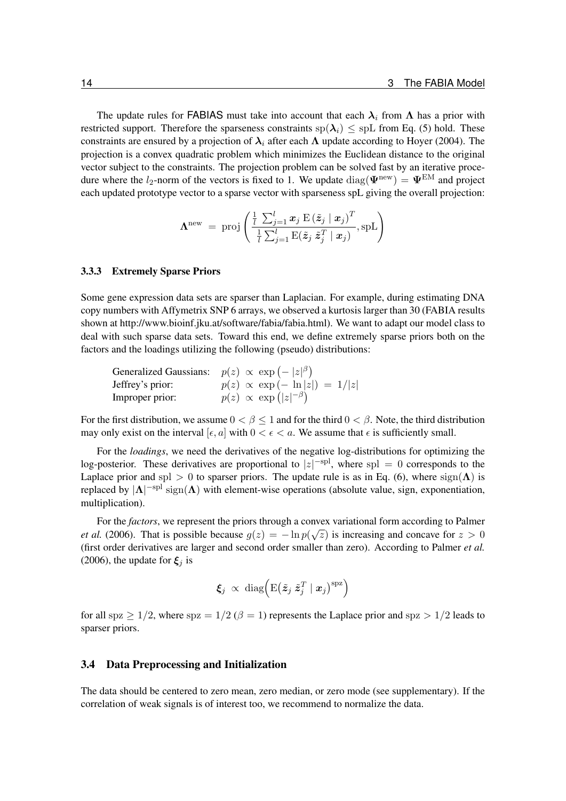The update rules for FABIAS must take into account that each  $\lambda_i$  from  $\Lambda$  has a prior with restricted support. Therefore the sparseness constraints  $sp(\lambda_i) \leq spL$  from Eq. [\(5\)](#page-11-2) hold. These constraints are ensured by a projection of  $\lambda_i$  after each  $\Lambda$  update according to [Hoyer](#page-97-7) [\(2004\)](#page-97-7). The projection is a convex quadratic problem which minimizes the Euclidean distance to the original vector subject to the constraints. The projection problem can be solved fast by an iterative procedure where the l<sub>2</sub>-norm of the vectors is fixed to 1. We update diag( $\Psi^{\text{new}}$ ) =  $\Psi^{\text{EM}}$  and project each updated prototype vector to a sparse vector with sparseness spL giving the overall projection:

$$
\mathbf{\Lambda}^{\text{new}}~=~\text{proj}\left(\frac{\frac{1}{l}\sum_{j=1}^{l}\boldsymbol{x}_j\ \mathrm{E}\left(\tilde{\boldsymbol{z}}_j\mid\boldsymbol{x}_j\right)^T}{\frac{1}{l}\sum_{j=1}^{l}\mathrm{E}(\tilde{\boldsymbol{z}}_j\ \tilde{\boldsymbol{z}}_j^T\mid\boldsymbol{x}_j)},\mathrm{spL}\right)
$$

#### <span id="page-13-0"></span>3.3.3 Extremely Sparse Priors

Some gene expression data sets are sparser than Laplacian. For example, during estimating DNA copy numbers with Affymetrix SNP 6 arrays, we observed a kurtosis larger than 30 (FABIA results shown at [http://www.bioinf.jku.at/software/fabia/fabia.html\)](http://www.bioinf.jku.at/software/fabia/fabia.html). We want to adapt our model class to deal with such sparse data sets. Toward this end, we define extremely sparse priors both on the factors and the loadings utilizing the following (pseudo) distributions:

| Generalized Gaussians: $p(z) \propto \exp(- z ^{\beta})$ |                                      |
|----------------------------------------------------------|--------------------------------------|
| Jeffrey's prior:                                         | $p(z) \propto \exp(-\ln z ) = 1/ z $ |
| Improper prior:                                          | $p(z) \propto \exp( z ^{-\beta})$    |

For the first distribution, we assume  $0 < \beta \le 1$  and for the third  $0 < \beta$ . Note, the third distribution may only exist on the interval [ $\epsilon$ ,  $a$ ] with  $0 < \epsilon < a$ . We assume that  $\epsilon$  is sufficiently small.

For the *loadings*, we need the derivatives of the negative log-distributions for optimizing the log-posterior. These derivatives are proportional to  $|z|^{-\text{spl}}$ , where spl = 0 corresponds to the Laplace prior and spl  $> 0$  to sparser priors. The update rule is as in Eq. [\(6\)](#page-12-3), where  $sign(\Lambda)$  is replaced by  $|\Lambda|^{-spl}$  sign $(\Lambda)$  with element-wise operations (absolute value, sign, exponentiation, multiplication).

For the *factors*, we represent the priors through a convex variational form according to [Palmer](#page-97-11) *[et al.](#page-97-11)* [\(2006\)](#page-97-11). That is possible because  $g(z) = -\ln p(\sqrt{z})$  is increasing and concave for  $z > 0$ (first order derivatives are larger and second order smaller than zero). According to [Palmer](#page-97-11) *et al.* [\(2006\)](#page-97-11), the update for  $\xi_i$  is

$$
\boldsymbol{\xi}_j \; \propto \; \text{diag}\Big(\text{E}\big(\tilde{\boldsymbol{z}}_j \; \tilde{\boldsymbol{z}}_j^T \mid \boldsymbol{x}_j\big)^{\text{spz}}\Big)
$$

for all spz  $> 1/2$ , where spz =  $1/2$  ( $\beta = 1$ ) represents the Laplace prior and spz  $> 1/2$  leads to sparser priors.

#### <span id="page-13-1"></span>3.4 Data Preprocessing and Initialization

The data should be centered to zero mean, zero median, or zero mode (see supplementary). If the correlation of weak signals is of interest too, we recommend to normalize the data.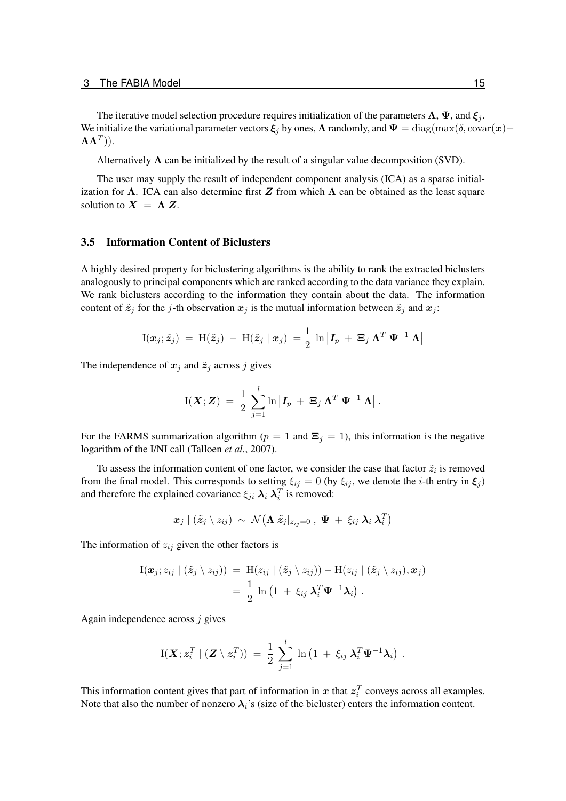The iterative model selection procedure requires initialization of the parameters  $\Lambda$ ,  $\Psi$ , and  $\xi_i$ . We initialize the variational parameter vectors  $\xi_j$  by ones,  $\Lambda$  randomly, and  $\Psi = \text{diag}(\max(\delta, \text{covar}(\bm{x}) - \sigma_{\text{max}}(\delta, \text{covar}(\bm{x}))$  $\mathbf{\Lambda} \mathbf{\Lambda}^T )$ ).

Alternatively  $\Lambda$  can be initialized by the result of a singular value decomposition (SVD).

The user may supply the result of independent component analysis (ICA) as a sparse initialization for  $\Lambda$ . ICA can also determine first Z from which  $\Lambda$  can be obtained as the least square solution to  $X = \Lambda Z$ .

#### <span id="page-14-0"></span>3.5 Information Content of Biclusters

A highly desired property for biclustering algorithms is the ability to rank the extracted biclusters analogously to principal components which are ranked according to the data variance they explain. We rank biclusters according to the information they contain about the data. The information content of  $\tilde{z}_j$  for the j-th observation  $x_j$  is the mutual information between  $\tilde{z}_j$  and  $x_j$ :

$$
I(\boldsymbol{x}_j; \tilde{\boldsymbol{z}}_j) = H(\tilde{\boldsymbol{z}}_j) - H(\tilde{\boldsymbol{z}}_j \mid \boldsymbol{x}_j) = \frac{1}{2} \ln \left| \boldsymbol{I}_p + \boldsymbol{\Xi}_j \boldsymbol{\Lambda}^T \boldsymbol{\Psi}^{-1} \boldsymbol{\Lambda} \right|
$$

The independence of  $x_j$  and  $\tilde{z}_j$  across j gives

$$
{\rm I}({\bm X};{\bm Z})\ =\ \frac{1}{2}\,\sum_{j=1}^l\ln\left|{\bm I}_p\ + \ {\bm \Xi}_j\ {\bm \Lambda}^T\ {\bm \Psi}^{-1}\ {\bm \Lambda}\right|\,.
$$

For the FARMS summarization algorithm ( $p = 1$  and  $\Xi_j = 1$ ), this information is the negative logarithm of the I/NI call [\(Talloen](#page-97-9) *et al.*, [2007\)](#page-97-9).

To assess the information content of one factor, we consider the case that factor  $\tilde{z}_i$  is removed from the final model. This corresponds to setting  $\xi_{ij} = 0$  (by  $\xi_{ij}$ , we denote the *i*-th entry in  $\xi_j$ ) and therefore the explained covariance  $\xi_{ji} \lambda_i \lambda_i^T$  is removed:

$$
\pmb{x}_j \mid (\tilde{\pmb{z}}_j \setminus z_{ij}) \ \sim \ \mathcal{N} \big( \mathbf{\Lambda} \ \tilde{\pmb{z}}_j \rvert_{z_{ij}=0} \ , \ \pmb{\Psi} \ + \ \xi_{ij} \ \pmb{\lambda}_i \ \pmb{\lambda}_i^T \big)
$$

The information of  $z_{ij}$  given the other factors is

$$
\begin{aligned} \mathrm{I}(\boldsymbol{x}_j; z_{ij} \mid (\tilde{\boldsymbol{z}}_j \setminus z_{ij})) \; &= \; \mathrm{H}(z_{ij} \mid (\tilde{\boldsymbol{z}}_j \setminus z_{ij})) - \mathrm{H}(z_{ij} \mid (\tilde{\boldsymbol{z}}_j \setminus z_{ij}), \boldsymbol{x}_j) \\ & = \; \frac{1}{2} \; \ln \left( 1 \; + \; \xi_{ij} \; \boldsymbol{\lambda}_i^T \boldsymbol{\Psi}^{-1} \boldsymbol{\lambda}_i \right) \,. \end{aligned}
$$

Again independence across  $i$  gives

$$
I(\boldsymbol{X};\boldsymbol{z}_i^T\mid(\boldsymbol{Z}\setminus\boldsymbol{z}_i^T))\ =\ \frac{1}{2}\ \sum_{j=1}^l\ \ln\left(1\ +\ \xi_{ij}\ \boldsymbol{\lambda}_i^T\boldsymbol{\Psi}^{-1}\boldsymbol{\lambda}_i\right)\ .
$$

This information content gives that part of information in x that  $z_i^T$  conveys across all examples. Note that also the number of nonzero  $\lambda_i$ 's (size of the bicluster) enters the information content.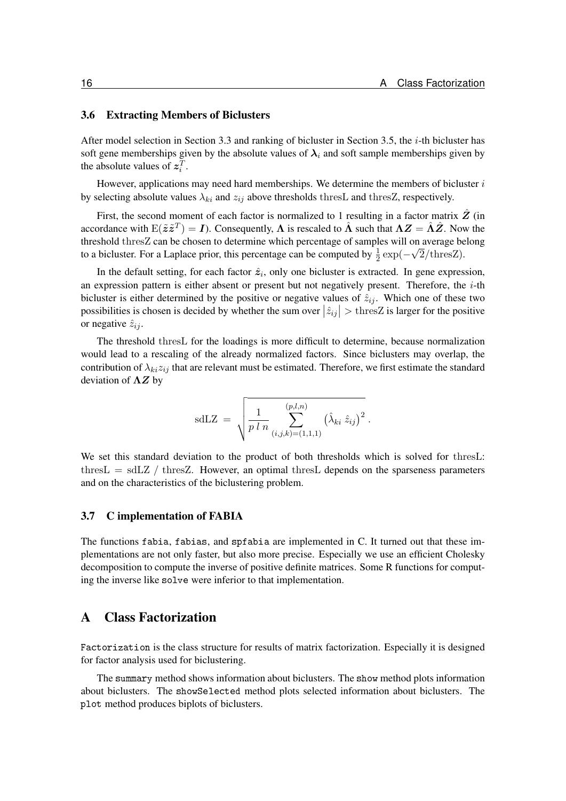#### <span id="page-15-0"></span>3.6 Extracting Members of Biclusters

After model selection in Section [3.3](#page-12-0) and ranking of bicluster in Section [3.5,](#page-14-0) the i-th bicluster has soft gene memberships given by the absolute values of  $\lambda_i$  and soft sample memberships given by the absolute values of  $z_i^T$ .

However, applications may need hard memberships. We determine the members of bicluster  $i$ by selecting absolute values  $\lambda_{ki}$  and  $z_{ij}$  above thresholds thresL and thresZ, respectively.

First, the second moment of each factor is normalized to 1 resulting in a factor matrix  $\hat{Z}$  (in accordance with  $E(\tilde{z}\tilde{z}^T) = I$ ). Consequently,  $\Lambda$  is rescaled to  $\hat{\Lambda}$  such that  $\Lambda Z = \hat{\Lambda}\hat{Z}$ . Now the threshold thres $Z$  can be chosen to determine which percentage of samples will on average belong to a bicluster. For a Laplace prior, this percentage can be computed by  $\frac{1}{2} \exp(-\sqrt{2}/\text{thresZ})$ .

In the default setting, for each factor  $\hat{z}_i$ , only one bicluster is extracted. In gene expression, an expression pattern is either absent or present but not negatively present. Therefore, the  $i$ -th bicluster is either determined by the positive or negative values of  $\hat{z}_{ij}$ . Which one of these two possibilities is chosen is decided by whether the sum over  $|\hat{z}_{ij}| > \text{thresZ}$  is larger for the positive or negative  $\hat{z}_{ij}$ .

The threshold thresL for the loadings is more difficult to determine, because normalization would lead to a rescaling of the already normalized factors. Since biclusters may overlap, the contribution of  $\lambda_{ki}z_{ij}$  that are relevant must be estimated. Therefore, we first estimate the standard deviation of  $\Lambda Z$  by

sdLZ = 
$$
\sqrt{\frac{1}{p l n} \sum_{(i,j,k)=(1,1,1)}^{(p,l,n)} (\hat{\lambda}_{ki} \hat{z}_{ij})^2}.
$$

We set this standard deviation to the product of both thresholds which is solved for thresL: thres  $L = sdLZ / thresZ$ . However, an optimal thres L depends on the sparseness parameters and on the characteristics of the biclustering problem.

#### <span id="page-15-1"></span>3.7 C implementation of FABIA

The functions fabia, fabias, and spfabia are implemented in C. It turned out that these implementations are not only faster, but also more precise. Especially we use an efficient Cholesky decomposition to compute the inverse of positive definite matrices. Some R functions for computing the inverse like solve were inferior to that implementation.

## <span id="page-15-2"></span>A Class Factorization

Factorization is the class structure for results of matrix factorization. Especially it is designed for factor analysis used for biclustering.

The summary method shows information about biclusters. The show method plots information about biclusters. The showSelected method plots selected information about biclusters. The plot method produces biplots of biclusters.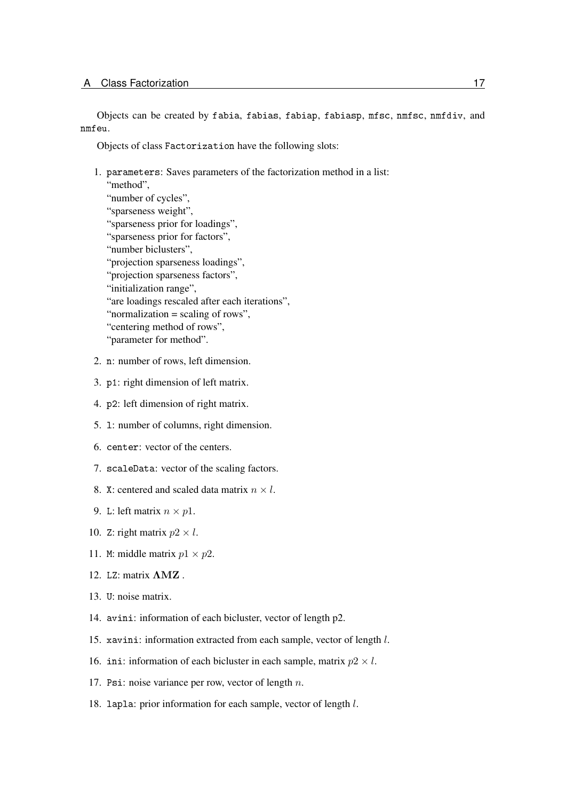Objects can be created by fabia, fabias, fabiap, fabiasp, mfsc, nmfsc, nmfdiv, and nmfeu.

Objects of class Factorization have the following slots:

1. parameters: Saves parameters of the factorization method in a list: "method", "number of cycles", "sparseness weight", "sparseness prior for loadings", "sparseness prior for factors", "number biclusters", "projection sparseness loadings", "projection sparseness factors", "initialization range", "are loadings rescaled after each iterations", "normalization = scaling of rows",

4. p2: left dimension of right matrix.

2. n: number of rows, left dimension.

3. p1: right dimension of left matrix.

"centering method of rows", "parameter for method".

- 5. l: number of columns, right dimension.
- 6. center: vector of the centers.
- 7. scaleData: vector of the scaling factors.
- 8. X: centered and scaled data matrix  $n \times l$ .
- 9. L: left matrix  $n \times p1$ .
- 10. Z: right matrix  $p2 \times l$ .
- 11. M: middle matrix  $p1 \times p2$ .
- 12. LZ: matrix ΛMZ .
- 13. U: noise matrix.
- 14. avini: information of each bicluster, vector of length p2.
- 15. xavini: information extracted from each sample, vector of length l.
- 16. ini: information of each bicluster in each sample, matrix  $p2 \times l$ .
- 17. Psi: noise variance per row, vector of length  $n$ .
- 18. lapla: prior information for each sample, vector of length l.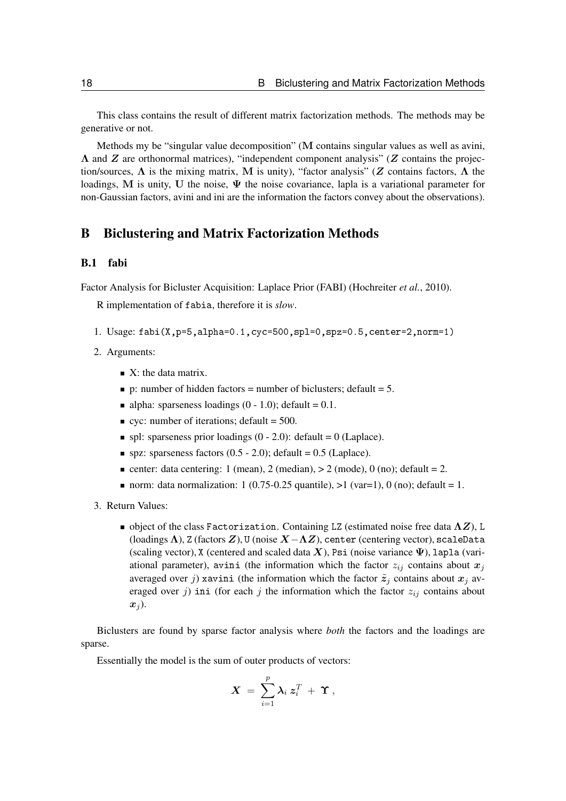This class contains the result of different matrix factorization methods. The methods may be generative or not.

Methods my be "singular value decomposition" (M contains singular values as well as avini,  $\Lambda$  and Z are orthonormal matrices), "independent component analysis" (Z contains the projection/sources,  $\Lambda$  is the mixing matrix, M is unity), "factor analysis" (Z contains factors,  $\Lambda$  the loadings, M is unity, U the noise,  $\Psi$  the noise covariance, lapla is a variational parameter for non-Gaussian factors, avini and ini are the information the factors convey about the observations).

## <span id="page-17-0"></span>B Biclustering and Matrix Factorization Methods

## <span id="page-17-1"></span>B.1 fabi

Factor Analysis for Bicluster Acquisition: Laplace Prior (FABI) [\(Hochreiter](#page-97-0) *et al.*, [2010\)](#page-97-0).

R implementation of fabia, therefore it is *slow*.

- 1. Usage: fabi(X,p=5,alpha=0.1,cyc=500,spl=0,spz=0.5,center=2,norm=1)
- 2. Arguments:
	- $\blacksquare$  X: the data matrix.
	- p: number of hidden factors = number of biclusters; default = 5.
	- alpha: sparseness loadings  $(0 1.0)$ ; default = 0.1.
	- $\bullet$  cyc: number of iterations; default = 500.
	- $\blacksquare$  spl: sparseness prior loadings (0 2.0): default = 0 (Laplace).
	- spz: sparseness factors  $(0.5 2.0)$ ; default = 0.5 (Laplace).
	- center: data centering: 1 (mean), 2 (median),  $> 2$  (mode), 0 (no); default = 2.
	- norm: data normalization: 1 (0.75-0.25 quantile),  $>1$  (var=1), 0 (no); default = 1.
- 3. Return Values:
	- $\blacksquare$  object of the class Factorization. Containing LZ (estimated noise free data  $\Lambda Z$ ), L (loadings  $\Lambda$ ), Z (factors  $Z$ ), U (noise  $X-\Lambda Z$ ), center (centering vector), scaleData (scaling vector), X (centered and scaled data X), Psi (noise variance  $\Psi$ ), lapla (variational parameter), avini (the information which the factor  $z_{ij}$  contains about  $x_j$ averaged over j) xavini (the information which the factor  $\tilde{z}_i$  contains about  $x_i$  averaged over j) ini (for each j the information which the factor  $z_{ij}$  contains about  $x_i$ ).

Biclusters are found by sparse factor analysis where *both* the factors and the loadings are sparse.

Essentially the model is the sum of outer products of vectors:

$$
\boldsymbol{X} \ = \ \sum_{i=1}^p \boldsymbol{\lambda}_i \ \boldsymbol{z}_i^T \ + \ \boldsymbol{\Upsilon} \ ,
$$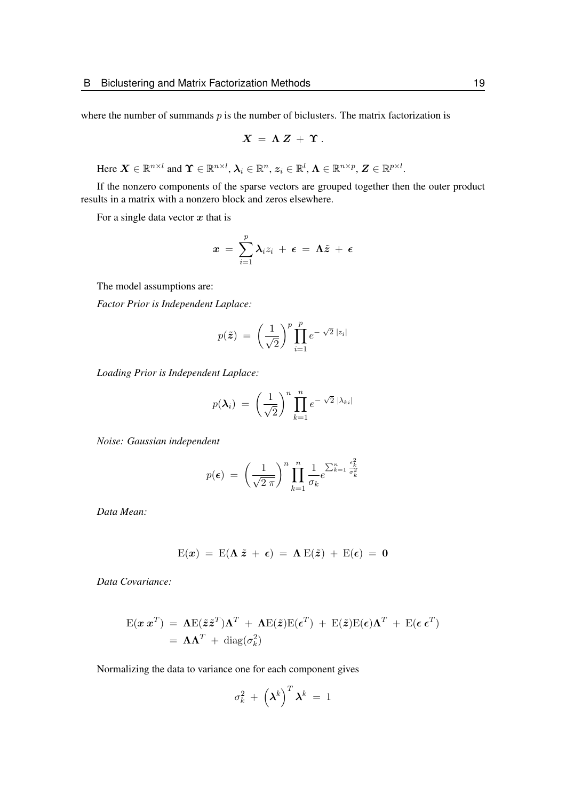where the number of summands  $p$  is the number of biclusters. The matrix factorization is

$$
X = \Lambda Z + \Upsilon.
$$

Here  $\boldsymbol{X} \in \mathbb{R}^{n \times l}$  and  $\boldsymbol{\Upsilon} \in \mathbb{R}^{n \times l}$ ,  $\boldsymbol{\lambda}_i \in \mathbb{R}^n$ ,  $\boldsymbol{z}_i \in \mathbb{R}^l$ ,  $\boldsymbol{\Lambda} \in \mathbb{R}^{n \times p}$ ,  $\boldsymbol{Z} \in \mathbb{R}^{p \times l}$ .

If the nonzero components of the sparse vectors are grouped together then the outer product results in a matrix with a nonzero block and zeros elsewhere.

For a single data vector  $x$  that is

$$
x\ =\ \sum_{i=1}^p \lambda_i z_i\ +\ \epsilon\ =\ \Lambda \tilde{z}\ +\ \epsilon
$$

The model assumptions are:

*Factor Prior is Independent Laplace:*

$$
p(\tilde{\boldsymbol{z}}) = \left(\frac{1}{\sqrt{2}}\right)^p \prod_{i=1}^p e^{-\sqrt{2} |z_i|}
$$

*Loading Prior is Independent Laplace:*

$$
p(\boldsymbol{\lambda}_i) = \left(\frac{1}{\sqrt{2}}\right)^n \prod_{k=1}^n e^{-\sqrt{2} |\lambda_{ki}|}
$$

*Noise: Gaussian independent*

$$
p(\epsilon) = \left(\frac{1}{\sqrt{2 \pi}}\right)^n \prod_{k=1}^n \frac{1}{\sigma_k} e^{\sum_{k=1}^n \frac{\epsilon_k^2}{\sigma_k^2}}
$$

*Data Mean:*

$$
E(x) = E(\Lambda \tilde{z} + \epsilon) = \Lambda E(\tilde{z}) + E(\epsilon) = 0
$$

*Data Covariance:*

$$
\mathbf{E}(\mathbf{x} \mathbf{x}^T) = \mathbf{\Lambda} \mathbf{E}(\tilde{\mathbf{z}} \tilde{\mathbf{z}}^T) \mathbf{\Lambda}^T + \mathbf{\Lambda} \mathbf{E}(\tilde{\mathbf{z}}) \mathbf{E}(\boldsymbol{\epsilon}^T) + \mathbf{E}(\tilde{\mathbf{z}}) \mathbf{E}(\boldsymbol{\epsilon}) \mathbf{\Lambda}^T + \mathbf{E}(\boldsymbol{\epsilon} \mathbf{\epsilon}^T)
$$
  
=  $\mathbf{\Lambda} \mathbf{\Lambda}^T + \text{diag}(\sigma_k^2)$ 

Normalizing the data to variance one for each component gives

$$
\sigma_k^2 + \left(\boldsymbol{\lambda}^k\right)^T \boldsymbol{\lambda}^k = 1
$$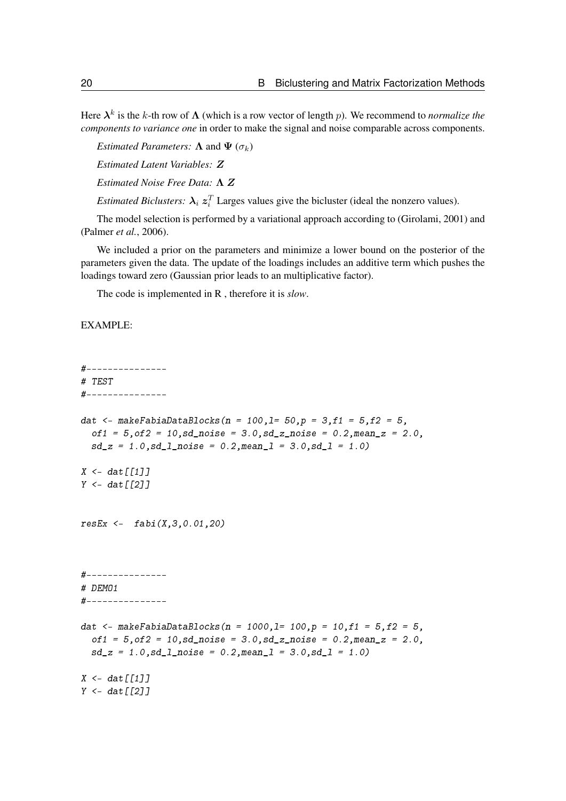Here  $\lambda^k$  is the k-th row of  $\Lambda$  (which is a row vector of length p). We recommend to *normalize the components to variance one* in order to make the signal and noise comparable across components.

*Estimated Parameters:*  $\Lambda$  and  $\Psi$  ( $\sigma_k$ )

*Estimated Latent Variables:* Z

*Estimated Noise Free Data:* Λ Z

*Estimated Biclusters:*  $\lambda_i z_i^T$  Larges values give the bicluster (ideal the nonzero values).

The model selection is performed by a variational approach according to [\(Girolami, 2001\)](#page-97-10) and [\(Palmer](#page-97-11) *et al.*, [2006\)](#page-97-11).

We included a prior on the parameters and minimize a lower bound on the posterior of the parameters given the data. The update of the loadings includes an additive term which pushes the loadings toward zero (Gaussian prior leads to an multiplicative factor).

The code is implemented in R , therefore it is *slow*.

EXAMPLE:

```
#---------------
# TEST
#---------------
dat <- makeFabiaDataBlocks(n = 100,1= 50,p = 3,f1 = 5,f2 = 5,
  of1 = 5, of2 = 10, sd\_noise = 3.0, sd\_z\_noise = 0.2, mean\_z = 2.0,sd_z = 1.0, sd_l<sub>noise</sub> = 0.2, meanl = 3.0, sd_l = 1.0X \leftarrow \text{dat}[[1]]Y \leftarrow dat \lceil \lceil 2 \rceil \rceilresEx \leftarrow fabi(X, 3, 0.01, 20)#---------------
# DEMO1
#---------------
dat <- makeFabiaDataBlocks(n = 1000, l= 100, p = 10, f1 = 5, f2 = 5,
  of1 = 5, of2 = 10, sd\_noise = 3.0, sd\_z\_noise = 0.2, mean\_z = 2.0,sd_z = 1.0, sd_l_pnoise = 0.2, meanl = 3.0, sd_l = 1.0X \leq - dat \lceil \lceil 1 \rceil \rceilY \leftarrow \text{dat}[[2]]
```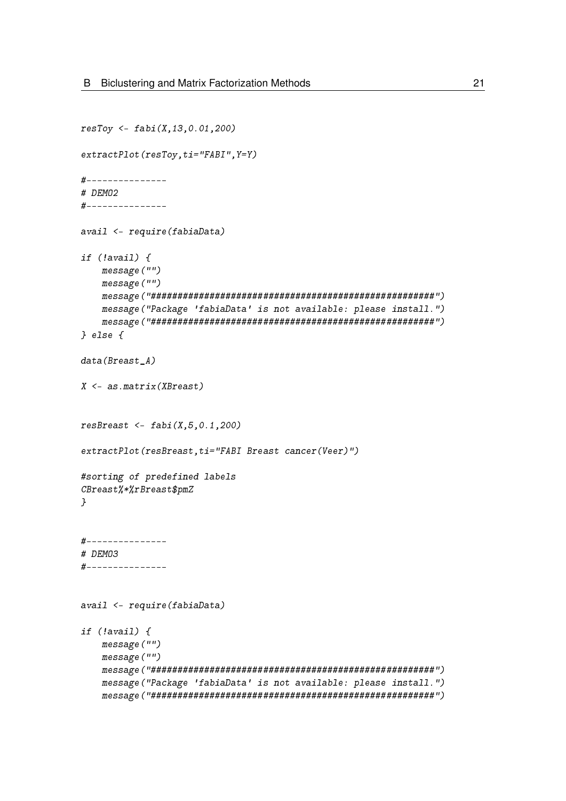```
resToy <- fabi(X,13,0.01,200)
extractPlot(resToy,ti="FABI", Y=Y)
#---------------
# DEMO2
#---------------
avail <- require(fabiaData)
if (!avail) {
    message("")
    message("")
    message("#####################################################")
    message("Package 'fabiaData' is not available: please install.")
    message("#####################################################")
} else {
data(Breast A)
X <- as.matrix(XBreast)
resBreat <- fabi(X, 5, 0.1, 200)extractPlot(resBreast,ti="FABI Breast cancer(Veer)")
#sorting of predefined labels
CBreast%*%rBreast$pmZ
}
#---------------
# DEMO3
#---------------
avail <- require(fabiaData)
if (!avail) {
    message("")
    message("")
    message("#####################################################")
    message("Package 'fabiaData' is not available: please install.")
    message("#####################################################")
```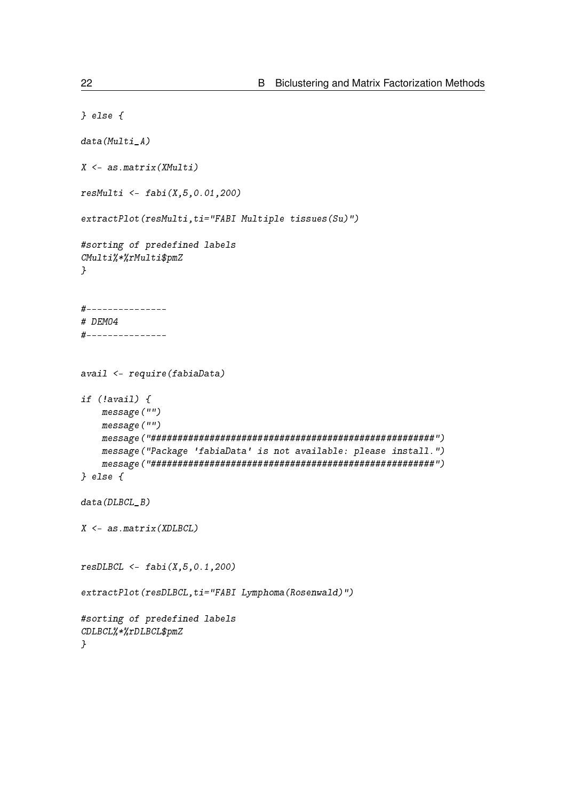```
} else {
data(Multi<sub>A</sub>)
X <- as.matrix(XMulti)
resMulti < - fabi(X, 5, 0.01, 200)extractPlot(resMulti,ti="FABI Multiple tissues(Su)")
#sorting of predefined labels
CMulti%*%rMulti$pmZ
}
#---------------
# DEMO4
#---------------
avail <- require(fabiaData)
if (!avail) {
    message("")
    message("")
    message("#####################################################")
    message("Package 'fabiaData' is not available: please install.")
    message("#####################################################")
} else {
data(DLBCL B)
X \leftarrow as.max(XDLBCL)resD L B C L \leq - f a b i (X, 5, 0.1, 200)extractPlot(resDLBCL,ti="FABI Lymphoma(Rosenwald)")
#sorting of predefined labels
CDLBCL%*%rDLBCL$pmZ
}
```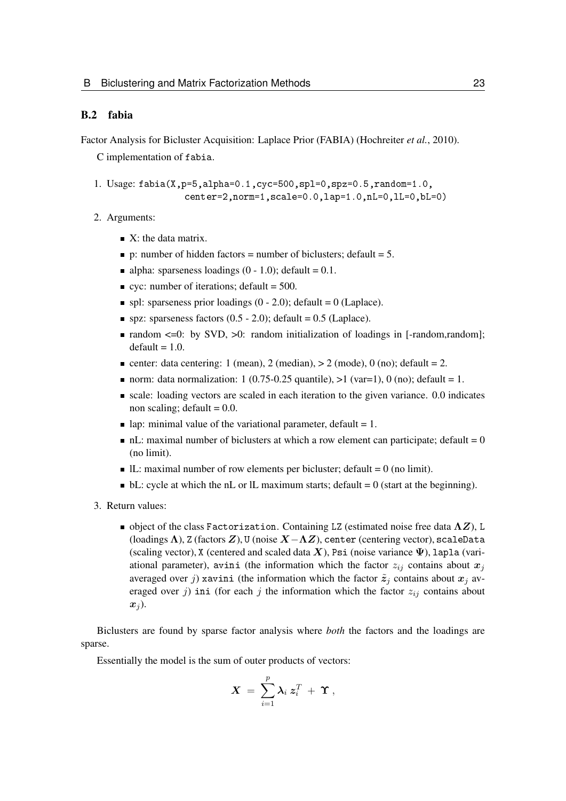#### <span id="page-22-0"></span>B.2 fabia

Factor Analysis for Bicluster Acquisition: Laplace Prior (FABIA) [\(Hochreiter](#page-97-0) *et al.*, [2010\)](#page-97-0).

C implementation of fabia.

- 1. Usage: fabia(X,p=5,alpha=0.1,cyc=500,spl=0,spz=0.5,random=1.0, center=2,norm=1,scale=0.0,lap=1.0,nL=0,lL=0,bL=0)
- 2. Arguments:
	- $\blacksquare$  X: the data matrix.
	- $\bullet$  p: number of hidden factors = number of biclusters; default = 5.
	- alpha: sparseness loadings  $(0 1.0)$ ; default = 0.1.
	- $\bullet$  cyc: number of iterations; default = 500.
	- $\blacksquare$  spl: sparseness prior loadings (0 2.0); default = 0 (Laplace).
	- $\blacksquare$  spz: sparseness factors (0.5 2.0); default = 0.5 (Laplace).
	- **random**  $\leq 0$ **: by SVD,**  $\geq 0$ **: random initialization of loadings in [-random, random];**  $default = 1.0.$
	- center: data centering: 1 (mean), 2 (median),  $> 2$  (mode), 0 (no); default = 2.
	- norm: data normalization: 1 (0.75-0.25 quantile),  $>1$  (var=1), 0 (no); default = 1.
	- scale: loading vectors are scaled in each iteration to the given variance. 0.0 indicates non scaling; default  $= 0.0$ .
	- lap: minimal value of the variational parameter, default  $= 1$ .
	- $\blacksquare$  nL: maximal number of biclusters at which a row element can participate; default = 0 (no limit).
	- $\blacksquare$  L: maximal number of row elements per bicluster; default = 0 (no limit).
	- $\blacksquare$  bL: cycle at which the nL or lL maximum starts; default = 0 (start at the beginning).
- 3. Return values:
	- $\blacksquare$  object of the class Factorization. Containing LZ (estimated noise free data  $\Lambda Z$ ), L (loadings  $\Lambda$ ), Z (factors  $Z$ ), U (noise  $X-\Lambda Z$ ), center (centering vector), scaleData (scaling vector), X (centered and scaled data X), Psi (noise variance  $\Psi$ ), lapla (variational parameter), avini (the information which the factor  $z_{ij}$  contains about  $x_j$ averaged over j) xavini (the information which the factor  $\tilde{z}_i$  contains about  $x_i$  averaged over j) ini (for each j the information which the factor  $z_{ij}$  contains about  $x_i$ ).

Biclusters are found by sparse factor analysis where *both* the factors and the loadings are sparse.

Essentially the model is the sum of outer products of vectors:

$$
X\ =\ \sum_{i=1}^p \lambda_i\ z_i^T\ +\ \Upsilon\ ,
$$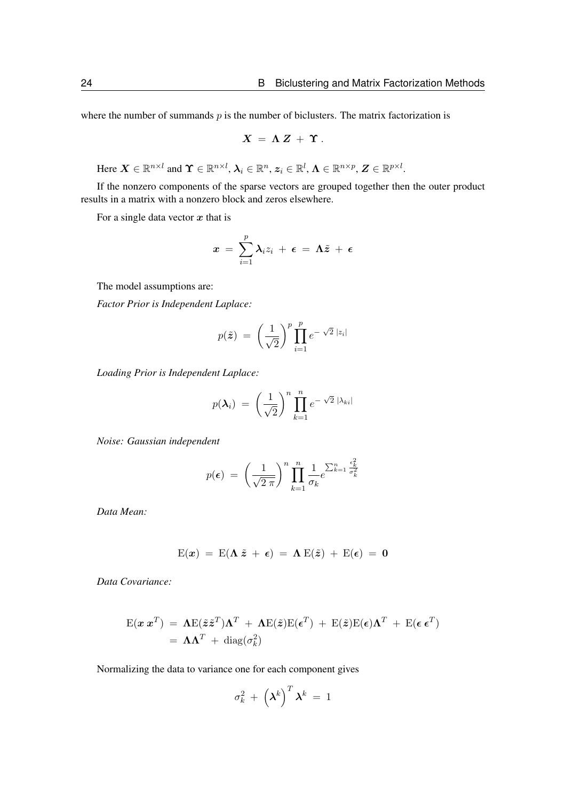where the number of summands  $p$  is the number of biclusters. The matrix factorization is

$$
X = \Lambda Z + \Upsilon.
$$

Here  $\boldsymbol{X} \in \mathbb{R}^{n \times l}$  and  $\boldsymbol{\Upsilon} \in \mathbb{R}^{n \times l}$ ,  $\boldsymbol{\lambda}_i \in \mathbb{R}^n$ ,  $\boldsymbol{z}_i \in \mathbb{R}^l$ ,  $\boldsymbol{\Lambda} \in \mathbb{R}^{n \times p}$ ,  $\boldsymbol{Z} \in \mathbb{R}^{p \times l}$ .

If the nonzero components of the sparse vectors are grouped together then the outer product results in a matrix with a nonzero block and zeros elsewhere.

For a single data vector  $x$  that is

$$
x = \sum_{i=1}^p \lambda_i z_i + \epsilon = \Lambda \tilde{z} + \epsilon
$$

The model assumptions are:

*Factor Prior is Independent Laplace:*

$$
p(\tilde{\boldsymbol{z}}) = \left(\frac{1}{\sqrt{2}}\right)^p \prod_{i=1}^p e^{-\sqrt{2} |z_i|}
$$

*Loading Prior is Independent Laplace:*

$$
p(\boldsymbol{\lambda}_i) = \left(\frac{1}{\sqrt{2}}\right)^n \prod_{k=1}^n e^{-\sqrt{2} |\lambda_{ki}|}
$$

*Noise: Gaussian independent*

$$
p(\epsilon) = \left(\frac{1}{\sqrt{2 \pi}}\right)^n \prod_{k=1}^n \frac{1}{\sigma_k} e^{\sum_{k=1}^n \frac{\epsilon_k^2}{\sigma_k^2}}
$$

*Data Mean:*

$$
E(x) = E(\Lambda \tilde{z} + \epsilon) = \Lambda E(\tilde{z}) + E(\epsilon) = 0
$$

*Data Covariance:*

$$
E(\mathbf{x} \mathbf{x}^T) = \mathbf{\Lambda} E(\tilde{\mathbf{z}} \tilde{\mathbf{z}}^T) \mathbf{\Lambda}^T + \mathbf{\Lambda} E(\tilde{\mathbf{z}}) E(\boldsymbol{\epsilon}^T) + E(\tilde{\mathbf{z}}) E(\boldsymbol{\epsilon}) \mathbf{\Lambda}^T + E(\boldsymbol{\epsilon} \boldsymbol{\epsilon}^T)
$$
  
=  $\mathbf{\Lambda} \mathbf{\Lambda}^T + \text{diag}(\sigma_k^2)$ 

Normalizing the data to variance one for each component gives

$$
\sigma_k^2 + \left(\boldsymbol{\lambda}^k\right)^T \boldsymbol{\lambda}^k = 1
$$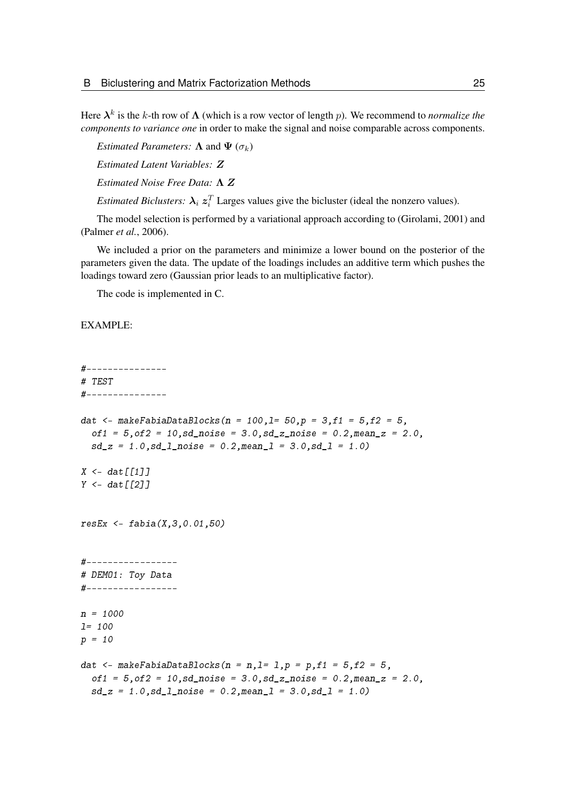Here  $\lambda^k$  is the k-th row of  $\Lambda$  (which is a row vector of length p). We recommend to *normalize the components to variance one* in order to make the signal and noise comparable across components.

*Estimated Parameters:*  $\Lambda$  and  $\Psi$  ( $\sigma_k$ )

*Estimated Latent Variables:* Z

*Estimated Noise Free Data:* Λ Z

*Estimated Biclusters:*  $\lambda_i z_i^T$  Larges values give the bicluster (ideal the nonzero values).

The model selection is performed by a variational approach according to [\(Girolami, 2001\)](#page-97-10) and [\(Palmer](#page-97-11) *et al.*, [2006\)](#page-97-11).

We included a prior on the parameters and minimize a lower bound on the posterior of the parameters given the data. The update of the loadings includes an additive term which pushes the loadings toward zero (Gaussian prior leads to an multiplicative factor).

The code is implemented in C.

#### EXAMPLE:

```
#---------------
# TEST
#---------------
dat <- makeFabiaDataBlocks(n = 100,1= 50,p = 3,f1 = 5,f2 = 5,
  of1 = 5, of2 = 10, sd\_noise = 3.0, sd\_z\_noise = 0.2, mean\_z = 2.0,sd_z = 1.0, sd_l<sub>noise</sub> = 0.2, meanl = 3.0, sd_l = 1.0X \leftarrow \text{dat}[[1]]Y \leftarrow dat \lceil \lceil 2 \rceil \rceilresEx \leq - fabia(X, 3, 0.01, 50)#-----------------
# DEMO1: Toy Data
#-----------------
n = 1000
l= 100
p = 10dat \leq- makeFabiaDataBlocks(n = n, l= 1, p = p, f1 = 5, f2 = 5,
  of1 = 5, of2 = 10, sd\_noise = 3.0, sd\_z\_noise = 0.2, mean\_z = 2.0,sd_z = 1.0, sd_l_pnoise = 0.2, meanl = 3.0, sd_l = 1.0
```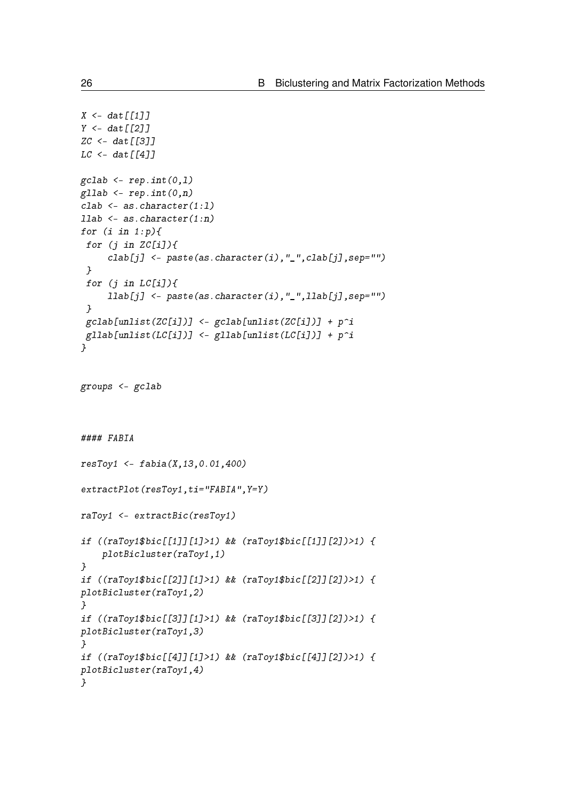```
X \leftarrow \text{dat}[[1]]Y \leftarrow \text{dat}[[2]]ZC <- dat [[3]]
LC < - \frac{dat}{1411}gcdab \leq rep.int(0,1)gllab \leq rep.int(0, n)clab <- as.character(1:l)
llab <- as.character(1:n)
for (i \text{ in } 1:p) {
 for (j in ZC[i]/\{clab[j] \leftarrow paste(as.character(i),"_",clab[j],sep="")
 }
 for (j in LC[i]/\ellllab[j] <- paste(as.character(i),"_",llab[j],sep="")
 }
 gcdab[unlist(ZC[i])] < - gclab[unlist(ZC[i])] + p^igllab[unlist(LC[i])] <- gllab[unlist(LC[i])] + p^i}
groups <- gclab
#### FABIA
resToy1 < - fabi(a(X, 13, 0.01, 400)extractPlot(resToy1,ti="FABIA", Y=Y)
raToy1 <- extractBic(resToy1)
if ((raToy1$bic[[1]][1]>1) && (raToy1$bic[[1]][2])>1) {
    plotBicluster(raToy1,1)
}
if ((raToy1$bic[[2]][1]>1) && (raToy1$bic[[2]][2])>1) {
plotBicluster(raToy1,2)
}
if ((raToy1$bic[[3]][1]>1) && (raToy1$bic[[3]][2])>1) {
plotBicluster(raToy1,3)
}
if ((raToy1$bic[[4]][1]>1) && (raToy1$bic[[4]][2])>1) {
plotBicluster(raToy1,4)
}
```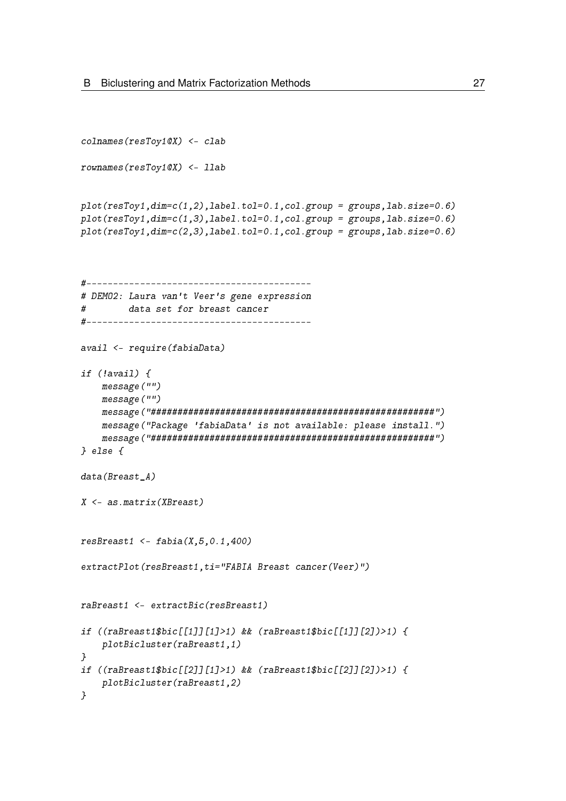```
colnames(resToy1@X) <- clab
rownames(resToy1@X) <- llab
plot(resToy1, dim=c(1,2), label.tol=0.1, col.group = groups, lab.size=0.6)plot(resToy1,dim=c(1,3),label.tol=0.1,col.group = groups,lab.size=0.6)
plot(resToy1, dim=c(2,3), label.tol=0.1, col.group = groups, lab.size=0.6)#------------------------------------------
# DEMO2: Laura van't Veer's gene expression
# data set for breast cancer
#------------------------------------------
avail <- require(fabiaData)
if (!avail) {
    message("")
    message("")
    message("#####################################################")
    message("Package 'fabiaData' is not available: please install.")
    message("#####################################################")
} else {
data(Breast_A)
X <- as.matrix(XBreast)
resBreat1 < - fabia(X, 5, 0.1, 400)extractPlot(resBreast1,ti="FABIA Breast cancer(Veer)")
raBreast1 <- extractBic(resBreast1)
if ((raBreast1$bic[[1]][1]>1) && (raBreast1$bic[[1]][2])>1) {
    plotBicluster(raBreast1,1)
}
if ((raBreast1$bic[[2]][1]>1) && (raBreast1$bic[[2]][2])>1) {
    plotBicluster(raBreast1,2)
}
```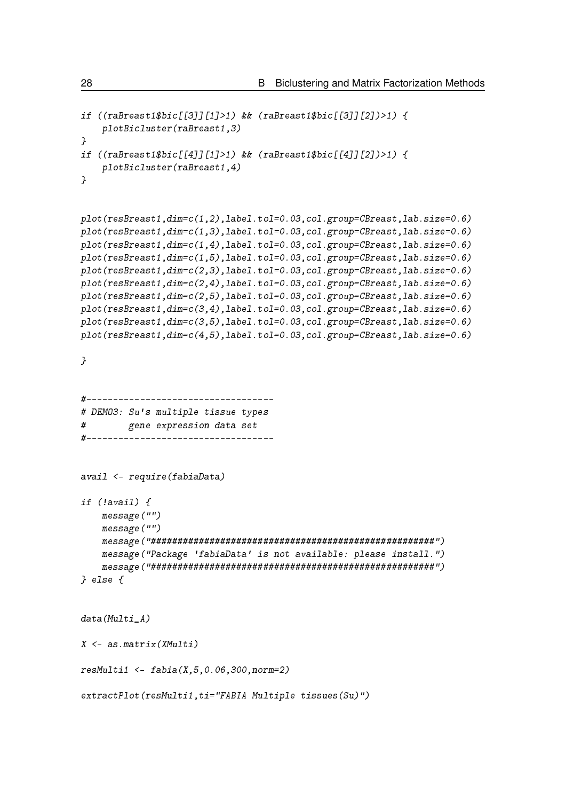```
if ((raBreast1$bic[[3]][1]>1) && (raBreast1$bic[[3]][2])>1) {
    plotBicluster(raBreast1,3)
}
if ((raBreast1$bic[[4]][1]>1) && (raBreast1$bic[[4]][2])>1) {
    plotBicluster(raBreast1,4)
}
plot(resBreast1,dim=c(1,2),label.tol=0.03,col.group=CBreast,lab.size=0.6)
plot(resBreast1,dim=c(1,3),label.tol=0.03,col.group=CBreast,lab.size=0.6)
plot(resBreast1,dim=c(1,4),label.tol=0.03,col.group=CBreast,lab.size=0.6)
plot(resBreast1,dim=c(1,5),label.tol=0.03,col.group=CBreast,lab.size=0.6)
plot(resBreast1,dim=c(2,3),label.tol=0.03,col.group=CBreast,lab.size=0.6)
plot(resBreast1,dim=c(2,4),label.tol=0.03,col.group=CBreast,lab.size=0.6)
plot(resBreast1,dim=c(2,5),label.tol=0.03,col.group=CBreast,lab.size=0.6)
plot(resBreast1,dim=c(3,4),label.tol=0.03,col.group=CBreast,lab.size=0.6)
plot(resBreast1,dim=c(3,5),label.tol=0.03,col.group=CBreast,lab.size=0.6)
plot(resBreast1,dim=c(4,5),label.tol=0.03,col.group=CBreast,lab.size=0.6)
}
#-----------------------------------
# DEMO3: Su's multiple tissue types
# gene expression data set
#-----------------------------------
avail <- require(fabiaData)
if (!avail) {
    message("")
    message("")
    message("#####################################################")
    message("Package 'fabiaData' is not available: please install.")
    message("#####################################################")
} else {
data(Multi_A)
X \leftarrow as_matrix(XMulti)resMulti1 <- fabia(X,5,0.06,300,norm=2)
extractPlot(resMulti1,ti="FABIA Multiple tissues(Su)")
```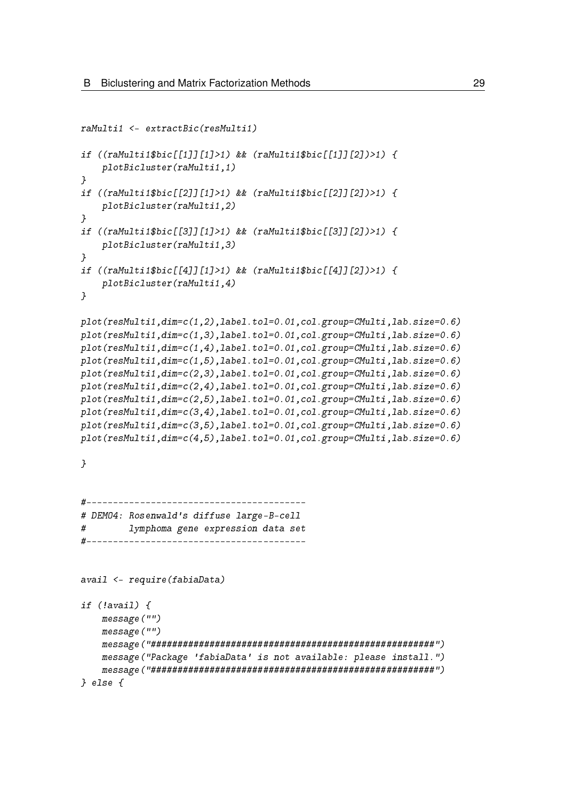```
raMulti1 <- extractBic(resMulti1)
if ((raMulti1$bic[[1]][1]>1) && (raMulti1$bic[[1]][2])>1) {
    plotBicluster(raMulti1,1)
}
if ((raMulti1$bic[[2]][1]>1) && (raMulti1$bic[[2]][2])>1) {
    plotBicluster(raMulti1,2)
}
if ((raMulti1$bic[[3]][1]>1) && (raMulti1$bic[[3]][2])>1) {
    plotBicluster(raMulti1,3)
}
if ((raMulti1$bic[[4]][1]>1) && (raMulti1$bic[[4]][2])>1) {
    plotBicluster(raMulti1,4)
}
plot(resMulti1,dim=c(1,2),label.tol=0.01,col.group=CMulti,lab.size=0.6)
plot(resMulti1,dim=c(1,3),label.tol=0.01,col.group=CMulti,lab.size=0.6)
plot(resMulti1,dim=c(1,4),label.tol=0.01,col.group=CMulti,lab.size=0.6)
plot(resMulti1,dim=c(1,5),label.tol=0.01,col.group=CMulti,lab.size=0.6)
plot(resMulti1,dim=c(2,3),label.tol=0.01,col.group=CMulti,lab.size=0.6)
plot(resMulti1,dim=c(2,4),label.tol=0.01,col.group=CMulti,lab.size=0.6)
plot(resMulti1,dim=c(2,5),label.tol=0.01,col.group=CMulti,lab.size=0.6)
plot(resMulti1,dim=c(3,4),label.tol=0.01,col.group=CMulti,lab.size=0.6)
plot(resMulti1,dim=c(3,5),label.tol=0.01,col.group=CMulti,lab.size=0.6)
plot(resMulti1,dim=c(4,5),label.tol=0.01,col.group=CMulti,lab.size=0.6)
}
#-----------------------------------------
# DEMO4: Rosenwald's diffuse large-B-cell
# lymphoma gene expression data set
#-----------------------------------------
avail <- require(fabiaData)
if (!avail) {
    message("")
    message("")
    message("#####################################################")
    message("Package 'fabiaData' is not available: please install.")
    message("#####################################################")
} else {
```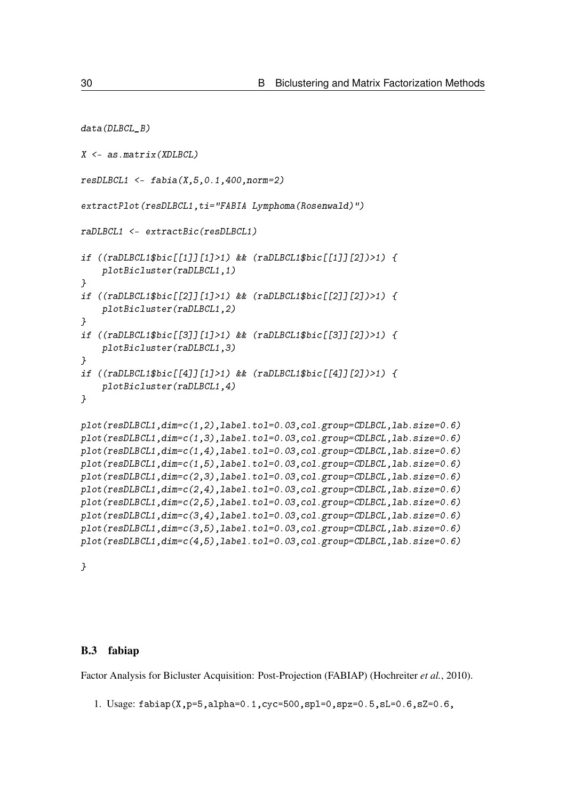```
data(DLBCL B)
X <- as.matrix(XDLBCL)
resDLBCL1 <- fabia(X,5,0.1,400,norm=2)
extractPlot(resDLBCL1, ti="FABIA Lymphoma(Rosenwald)")
raDLBCL1 <- extractBic(resDLBCL1)
if ((raDLBCL1$bic[[1]][1]>1) && (raDLBCL1$bic[[1]][2])>1) {
    plotBicluster(raDLBCL1,1)
}
if ((raDLBCL1$bic[[2]][1]>1) && (raDLBCL1$bic[[2]][2])>1) {
    plotBicluster(raDLBCL1,2)
}
if ((raDLBCL1$bic[[3]][1]>1) && (raDLBCL1$bic[[3]][2])>1) {
    plotBicluster(raDLBCL1,3)
}
if ((raDLBCL1$bic[[4]][1]>1) && (raDLBCL1$bic[[4]][2])>1) {
    plotBicluster(raDLBCL1,4)
}
plot(resDLBCL1,dim=c(1,2),label.tol=0.03,col.group=CDLBCL,lab.size=0.6)
plot(resDLBCL1,dim=c(1,3),label.tol=0.03,col.group=CDLBCL,lab.size=0.6)
plot(resDLBCL1,dim=c(1,4),label.tol=0.03,col.group=CDLBCL,lab.size=0.6)
plot(resDLBCL1,dim=c(1,5),label.tol=0.03,col.group=CDLBCL,lab.size=0.6)
plot(resDLBCL1,dim=c(2,3),label.tol=0.03,col.group=CDLBCL,lab.size=0.6)
plot(resDLBCL1,dim=c(2,4),label.tol=0.03,col.group=CDLBCL,lab.size=0.6)
plot(resDLBCL1,dim=c(2,5),label.tol=0.03,col.group=CDLBCL,lab.size=0.6)
plot(resDLBCL1,dim=c(3,4),label.tol=0.03,col.group=CDLBCL,lab.size=0.6)
plot(resDLBCL1,dim=c(3,5),label.tol=0.03,col.group=CDLBCL,lab.size=0.6)
plot(resDLBCL1,dim=c(4,5),label.tol=0.03,col.group=CDLBCL,lab.size=0.6)
```
}

#### <span id="page-29-0"></span>B.3 fabiap

Factor Analysis for Bicluster Acquisition: Post-Projection (FABIAP) [\(Hochreiter](#page-97-0) *et al.*, [2010\)](#page-97-0).

1. Usage:  $fabiap(X,p=5,alpha=0.1,cyc=500,spl=0,spz=0.5,sL=0.6,sZ=0.6$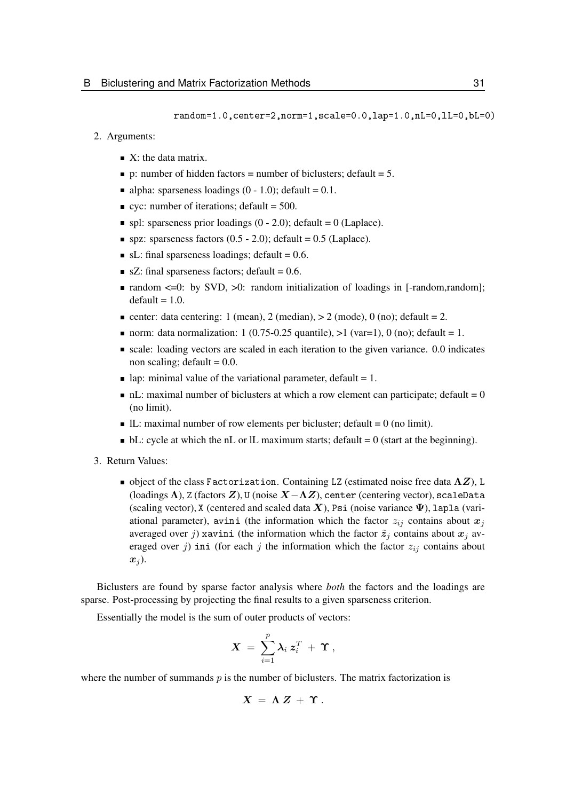random=1.0,center=2,norm=1,scale=0.0,lap=1.0,nL=0,lL=0,bL=0)

- 2. Arguments:
	- $\blacksquare$  X: the data matrix.
	- p: number of hidden factors = number of biclusters; default = 5.
	- alpha: sparseness loadings  $(0 1.0)$ ; default = 0.1.
	- ve: number of iterations; default =  $500$ .
	- $\blacksquare$  spl: sparseness prior loadings (0 2.0); default = 0 (Laplace).
	- spz: sparseness factors  $(0.5 2.0)$ ; default = 0.5 (Laplace).
	- $\blacksquare$  sL: final sparseness loadings; default = 0.6.
	- $\blacksquare$  sZ: final sparseness factors; default = 0.6.
	- **random**  $\leq 0$ **: by SVD,**  $\geq 0$ **: random initialization of loadings in [-random, random];**  $default = 1.0.$
	- center: data centering: 1 (mean), 2 (median),  $> 2$  (mode), 0 (no); default = 2.
	- norm: data normalization: 1 (0.75-0.25 quantile),  $>1$  (var=1), 0 (no); default = 1.
	- $\blacksquare$  scale: loading vectors are scaled in each iteration to the given variance. 0.0 indicates non scaling; default  $= 0.0$ .
	- lap: minimal value of the variational parameter, default  $= 1$ .
	- $\blacksquare$  nL: maximal number of biclusters at which a row element can participate; default  $= 0$ (no limit).
	- $\blacksquare$  IL: maximal number of row elements per bicluster; default = 0 (no limit).
	- $\bullet$  bL: cycle at which the nL or lL maximum starts; default = 0 (start at the beginning).
- 3. Return Values:
	- object of the class Factorization. Containing LZ (estimated noise free data  $\Lambda Z$ ), L (loadings  $\Lambda$ ), Z (factors  $Z$ ), U (noise  $X-\Lambda Z$ ), center (centering vector), scaleData (scaling vector), X (centered and scaled data X), Psi (noise variance  $\Psi$ ), lapla (variational parameter), avini (the information which the factor  $z_{ij}$  contains about  $x_j$ averaged over j xavini (the information which the factor  $\tilde{z}_j$  contains about  $x_j$  averaged over j ini (for each j the information which the factor  $z_{ij}$  contains about  $x_i$ ).

Biclusters are found by sparse factor analysis where *both* the factors and the loadings are sparse. Post-processing by projecting the final results to a given sparseness criterion.

Essentially the model is the sum of outer products of vectors:

$$
\boldsymbol{X} \ = \ \sum_{i=1}^p \boldsymbol{\lambda}_i \ \boldsymbol{z}_i^T \ + \ \boldsymbol{\Upsilon} \ ,
$$

where the number of summands  $p$  is the number of biclusters. The matrix factorization is

$$
X = \Lambda Z + \Upsilon.
$$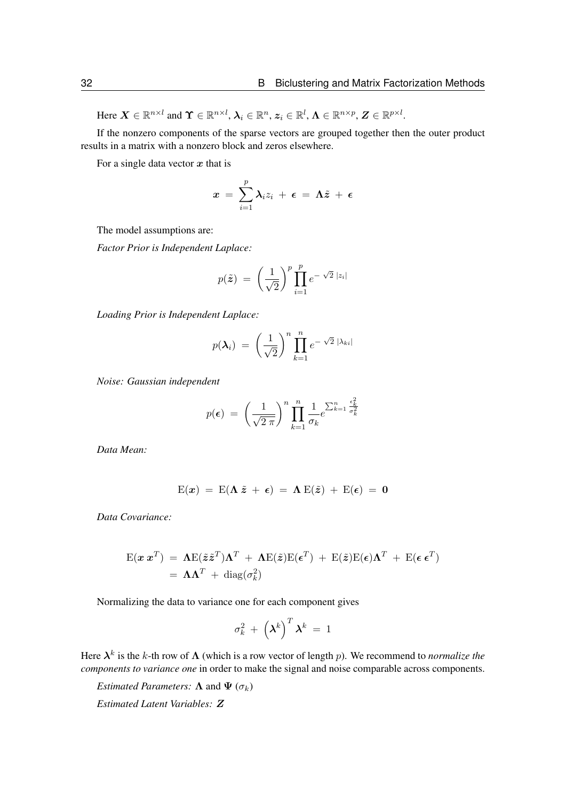Here  $\boldsymbol{X} \in \mathbb{R}^{n \times l}$  and  $\boldsymbol{\Upsilon} \in \mathbb{R}^{n \times l}$ ,  $\boldsymbol{\lambda}_i \in \mathbb{R}^n$ ,  $\boldsymbol{z}_i \in \mathbb{R}^l$ ,  $\boldsymbol{\Lambda} \in \mathbb{R}^{n \times p}$ ,  $\boldsymbol{Z} \in \mathbb{R}^{p \times l}$ .

If the nonzero components of the sparse vectors are grouped together then the outer product results in a matrix with a nonzero block and zeros elsewhere.

For a single data vector  $x$  that is

$$
x = \sum_{i=1}^p \lambda_i z_i + \epsilon = \Lambda \tilde{z} + \epsilon
$$

The model assumptions are:

*Factor Prior is Independent Laplace:*

$$
p(\tilde{\boldsymbol{z}}) = \left(\frac{1}{\sqrt{2}}\right)^p \prod_{i=1}^p e^{-\sqrt{2} |z_i|}
$$

*Loading Prior is Independent Laplace:*

$$
p(\boldsymbol{\lambda}_i) = \left(\frac{1}{\sqrt{2}}\right)^n \prod_{k=1}^n e^{-\sqrt{2} |\lambda_{ki}|}
$$

*Noise: Gaussian independent*

$$
p(\boldsymbol{\epsilon}) = \left(\frac{1}{\sqrt{2 \pi}}\right)^n \prod_{k=1}^n \frac{1}{\sigma_k} e^{\sum_{k=1}^n \frac{\epsilon_k^2}{\sigma_k^2}}
$$

*Data Mean:*

$$
E(x) = E(\Lambda \tilde{z} + \epsilon) = \Lambda E(\tilde{z}) + E(\epsilon) = 0
$$

*Data Covariance:*

$$
\mathbf{E}(\mathbf{x} \mathbf{x}^T) = \mathbf{\Lambda} \mathbf{E}(\tilde{\mathbf{z}} \tilde{\mathbf{z}}^T) \mathbf{\Lambda}^T + \mathbf{\Lambda} \mathbf{E}(\tilde{\mathbf{z}}) \mathbf{E}(\boldsymbol{\epsilon}^T) + \mathbf{E}(\tilde{\mathbf{z}}) \mathbf{E}(\boldsymbol{\epsilon}) \mathbf{\Lambda}^T + \mathbf{E}(\boldsymbol{\epsilon} \mathbf{\epsilon}^T)
$$
  
=  $\mathbf{\Lambda} \mathbf{\Lambda}^T + \text{diag}(\sigma_k^2)$ 

Normalizing the data to variance one for each component gives

$$
\sigma_k^2 + \left(\boldsymbol{\lambda}^k\right)^T \boldsymbol{\lambda}^k = 1
$$

Here  $\lambda^k$  is the k-th row of  $\Lambda$  (which is a row vector of length p). We recommend to *normalize the components to variance one* in order to make the signal and noise comparable across components.

*Estimated Parameters:*  $\Lambda$  and  $\Psi$  ( $\sigma_k$ )

*Estimated Latent Variables:* Z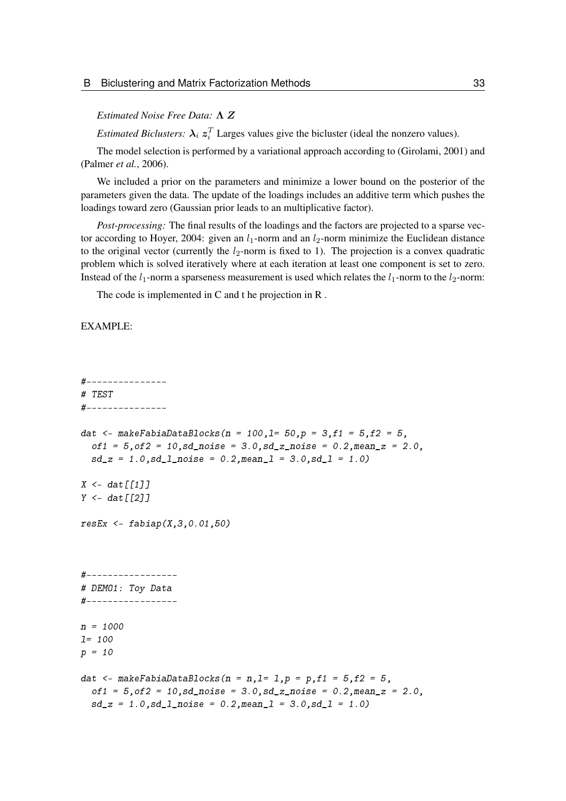#### *Estimated Noise Free Data:* Λ Z

*Estimated Biclusters:*  $\lambda_i z_i^T$  Larges values give the bicluster (ideal the nonzero values).

The model selection is performed by a variational approach according to [\(Girolami, 2001\)](#page-97-10) and [\(Palmer](#page-97-11) *et al.*, [2006\)](#page-97-11).

We included a prior on the parameters and minimize a lower bound on the posterior of the parameters given the data. The update of the loadings includes an additive term which pushes the loadings toward zero (Gaussian prior leads to an multiplicative factor).

*Post-processing:* The final results of the loadings and the factors are projected to a sparse vector according to Hoyer, 2004: given an  $l_1$ -norm and an  $l_2$ -norm minimize the Euclidean distance to the original vector (currently the  $l_2$ -norm is fixed to 1). The projection is a convex quadratic problem which is solved iteratively where at each iteration at least one component is set to zero. Instead of the  $l_1$ -norm a sparseness measurement is used which relates the  $l_1$ -norm to the  $l_2$ -norm:

The code is implemented in C and t he projection in R .

#### EXAMPLE:

```
#---------------
# TEST
#---------------
dat <- makeFabiaDataBlocks(n = 100,1= 50,p = 3,f1 = 5,f2 = 5,
  of1 = 5, of2 = 10, sd\_noise = 3.0, sd\_z\_noise = 0.2, mean\_z = 2.0,sd_z = 1.0, sd_l<sub>noise</sub> = 0.2, meanl = 3.0, sd_l = 1.0X \leq -\frac{d}{dt}[111]Y \leftarrow dat[T2]resEx \leq -fabiap(X,3,0.01,50)#-----------------
# DEMO1: Toy Data
#-----------------
n = 1000
l= 100
p = 10dat \langle - \text{makeFabilalbacks}(n = n, l = 1, p = p, f1 = 5, f2 = 5,of1 = 5, of2 = 10, sd\_noise = 3.0, sd\_z\_noise = 0.2, mean\_z = 2.0,sd_z = 1.0, sd_l noise = 0.2, mean<sub>1</sub> = 3.0, sd_l = 1.0)
```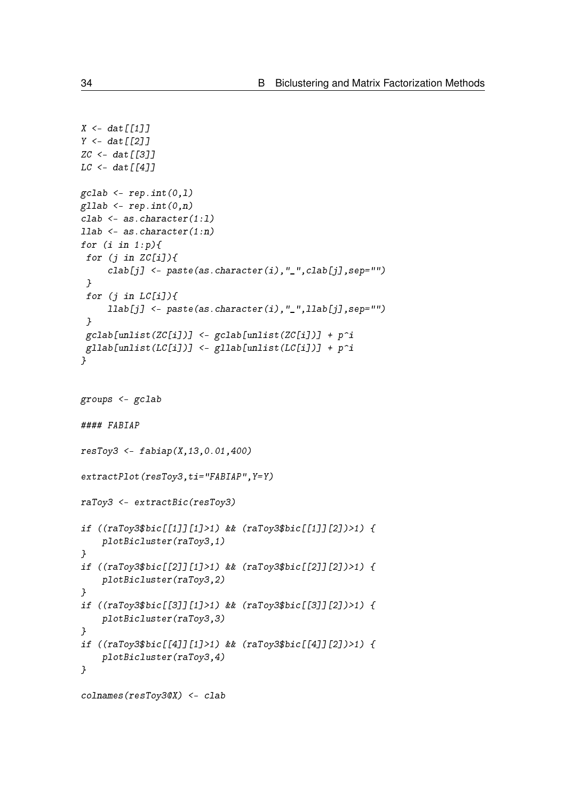```
X \leftarrow \text{dat}[[1]]Y \leftarrow dat \lceil \lceil 2 \rceilZC <- dat [[3]]
LC < - \frac{dat[[4]]}{dt}gcdab \leq rep.int(0,1)gllab <- rep.int(0, n)clab <- as.character(1:l)
1lab \leq as.character(1:n)for (i \text{ in } 1:p) {
 for (j in ZC[i]/\{clab[j] <- paste(as.character(i),"_",clab[j],sep="")
 }
 for (j in LC[i]/\{llab[j] <- paste(as.character(i),"_",llab[j],sep="")
 }
 gcdab[unlist(ZC[i])] < - gcdab[unlist(ZC[i])] + p^igllab[unlist(LC[i])] <- gllab[unlist(LC[i])] + p^i}
groups <- gclab
#### FABIAP
resToy3 <- fabiap(X,13,0.01,400)
extractPlot(resToy3,ti="FABIAP",Y=Y)
raToy3 <- extractBic(resToy3)
if ((raToy3$bic[[1]][1]>1) && (raToy3$bic[[1]][2])>1) {
    plotBicluster(raToy3,1)
}
if ((raToy3$bic[[2]][1]>1) && (raToy3$bic[[2]][2])>1) {
    plotBicluster(raToy3,2)
}
if ((raToy3$bic[[3]][1]>1) && (raToy3$bic[[3]][2])>1) {
    plotBicluster(raToy3,3)
}
if ((raToy3$bic[[4]][1]>1) && (raToy3$bic[[4]][2])>1) {
    plotBicluster(raToy3,4)
}
colnames(resToy3@X) <- clab
```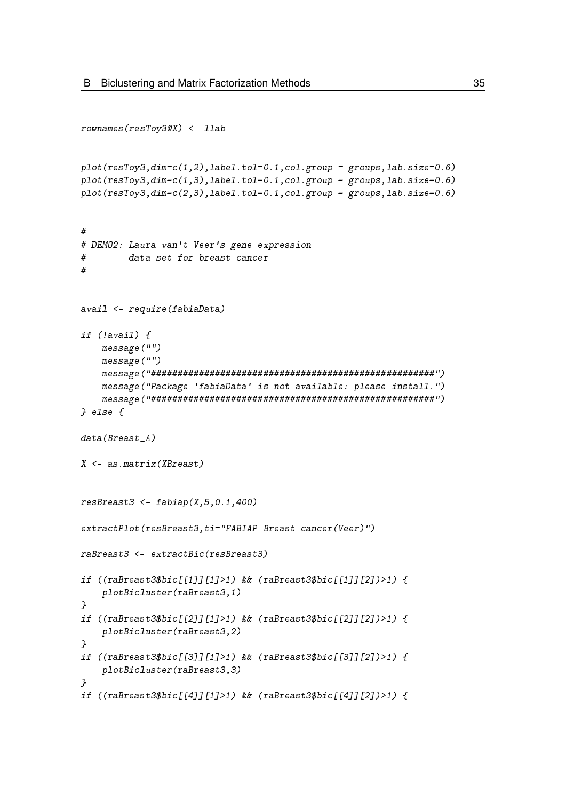```
rownames(resToy3@X) <- llab
plot(resToy3, dim=c(1,2), label.tol=0.1, col.group = groups, lab.size=0.6)plot(resToy3,dim=c(1,3),label.tol=0.1,col.group = groups,lab.size=0.6)
plot(resToy3, dim=c(2,3), label.tol=0.1, col.group = groups, lab.size=0.6)#------------------------------------------
# DEMO2: Laura van't Veer's gene expression
# data set for breast cancer
#------------------------------------------
avail <- require(fabiaData)
if (!avail) {
    message("")
    message("")
    message("#####################################################")
    message("Package 'fabiaData' is not available: please install.")
    message("#####################################################")
} else {
data(Breast A)
X <- as.matrix(XBreast)
resBreat3 < - fabiap(X, 5, 0.1, 400)extractPlot(resBreast3,ti="FABIAP Breast cancer(Veer)")
raBreast3 <- extractBic(resBreast3)
if ((r\alpha B \text{reast} 3 \text{b} \text{ic} \lceil \lceil 1 \rceil \lceil 1 \rceil > 1) && (r\alpha B \text{reast} 3 \text{b} \text{ic} \lceil \lceil 1 \rceil \lceil 2 \rceil) > 1) {
    plotBicluster(raBreast3,1)
}
if ((raBreast3$bic[[2]][1]>1) && (raBreast3$bic[[2]][2])>1) {
    plotBicluster(raBreast3,2)
}
if ((raBreast3$bic[[3]][1]>1) && (raBreast3$bic[[3]][2])>1) {
    plotBicluster(raBreast3,3)
}
if ((raBreast3$bic[[4]][1]>1) && (raBreast3$bic[[4]][2])>1) {
```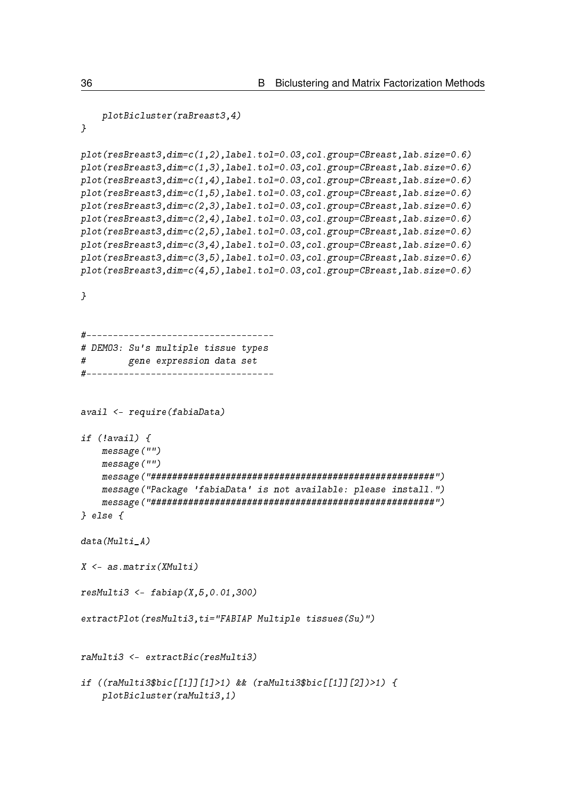```
plotBicluster(raBreast3,4)
}
plot(resBreast3,dim=c(1,2),label.tol=0.03,col.group=CBreast,lab.size=0.6)
plot(resBreast3,dim=c(1,3),label.tol=0.03,col.group=CBreast,lab.size=0.6)
plot(resBreast3,dim=c(1,4),label.tol=0.03,col.group=CBreast,lab.size=0.6)
plot(resBreast3,dim=c(1,5),label.tol=0.03,col.group=CBreast,lab.size=0.6)
plot(resBreast3,dim=c(2,3),label.tol=0.03,col.group=CBreast,lab.size=0.6)
plot(resBreast3,dim=c(2,4),label.tol=0.03,col.group=CBreast,lab.size=0.6)
plot(resBreast3,dim=c(2,5),label.tol=0.03,col.group=CBreast,lab.size=0.6)
plot(resBreast3,dim=c(3,4),label.tol=0.03,col.group=CBreast,lab.size=0.6)
plot(resBreast3,dim=c(3,5),label.tol=0.03,col.group=CBreast,lab.size=0.6)
plot(resBreast3,dim=c(4,5),label.tol=0.03,col.group=CBreast,lab.size=0.6)
}
#-----------------------------------
# DEMO3: Su's multiple tissue types
# gene expression data set
#-----------------------------------
avail <- require(fabiaData)
if (!avail) {
    message("")
    message("")
    message("#####################################################")
    message("Package 'fabiaData' is not available: please install.")
    message("#####################################################")
} else {
data(Multi A)
X \leq -a s \cdot matrix(XMulti)resMulti3 < - fabiap(X, 5, 0.01, 300)extractPlot(resMulti3,ti="FABIAP Multiple tissues(Su)")
raMulti3 <- extractBic(resMulti3)
if ((raMulti3$bic[[1]][1]>1) && (raMulti3$bic[[1]][2])>1) {
    plotBicluster(raMulti3,1)
```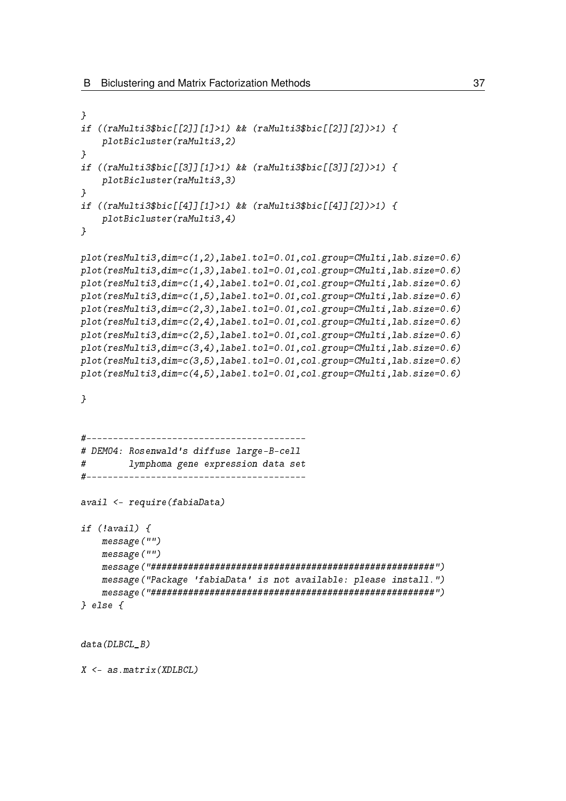```
}
if ((raMulti3$bic[[2]][1]>1) && (raMulti3$bic[[2]][2])>1) {
    plotBicluster(raMulti3,2)
}
if ((raMulti3$bic[[3]][1]>1) && (raMulti3$bic[[3]][2])>1) {
    plotBicluster(raMulti3,3)
}
if ((raMulti3$bic[[4]][1]>1) && (raMulti3$bic[[4]][2])>1) {
    plotBicluster(raMulti3,4)
}
plot(resMulti3,dim=c(1,2),label.tol=0.01,col.group=CMulti,lab.size=0.6)
plot(resMulti3,dim=c(1,3),label.tol=0.01,col.group=CMulti,lab.size=0.6)
plot(resMulti3,dim=c(1,4),label.tol=0.01,col.group=CMulti,lab.size=0.6)
plot(resMulti3,dim=c(1,5),label.tol=0.01,col.group=CMulti,lab.size=0.6)
plot(resMulti3,dim=c(2,3),label.tol=0.01,col.group=CMulti,lab.size=0.6)
plot(resMulti3,dim=c(2,4),label.tol=0.01,col.group=CMulti,lab.size=0.6)
plot(resMulti3,dim=c(2,5),label.tol=0.01,col.group=CMulti,lab.size=0.6)
plot(resMulti3,dim=c(3,4),label.tol=0.01,col.group=CMulti,lab.size=0.6)
plot(resMulti3,dim=c(3,5),label.tol=0.01,col.group=CMulti,lab.size=0.6)
plot(resMulti3,dim=c(4,5),label.tol=0.01,col.group=CMulti,lab.size=0.6)
}
#-----------------------------------------
# DEMO4: Rosenwald's diffuse large-B-cell
# lymphoma gene expression data set
#-----------------------------------------
avail <- require(fabiaData)
if (!avail) {
    message("")
    message("")
    message("#####################################################")
    message("Package 'fabiaData' is not available: please install.")
    message("#####################################################")
} else {
data(DLBCL_B)
```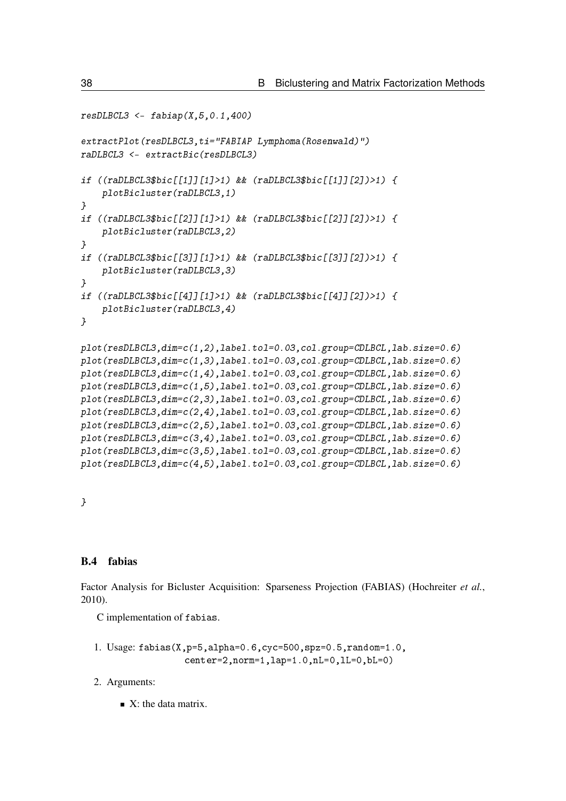```
resDLECL3 \leq false fabiap(X, 5, 0.1, 400)
extractPlot(resDLBCL3,ti="FABIAP Lymphoma(Rosenwald)")
raDLBCL3 <- extractBic(resDLBCL3)
if ((raDLBCL3$bic[[1]][1]>1) && (raDLBCL3$bic[[1]][2])>1) {
    plotBicluster(raDLBCL3,1)
}
if ((raDLBCL3$bic[[2]][1]>1) && (raDLBCL3$bic[[2]][2])>1) {
    plotBicluster(raDLBCL3,2)
}
if ((raDLBCL3$bic[[3]][1]>1) && (raDLBCL3$bic[[3]][2])>1) {
    plotBicluster(raDLBCL3,3)
}
if ((raDLBCL3$bic[[4]][1]>1) && (raDLBCL3$bic[[4]][2])>1) {
    plotBicluster(raDLBCL3,4)
}
plot(resDLBCL3,dim=c(1,2),label.tol=0.03,col.group=CDLBCL,lab.size=0.6)
plot(resDLBCL3,dim=c(1,3),label.tol=0.03,col.group=CDLBCL,lab.size=0.6)
plot(resDLBCL3,dim=c(1,4),label.tol=0.03,col.group=CDLBCL,lab.size=0.6)
plot(resDLBCL3,dim=c(1,5),label.tol=0.03,col.group=CDLBCL,lab.size=0.6)
plot(resDLBCL3,dim=c(2,3),label.tol=0.03,col.group=CDLBCL,lab.size=0.6)
plot(resDLBCL3,dim=c(2,4),label.tol=0.03,col.group=CDLBCL,lab.size=0.6)
plot(resDLBCL3,dim=c(2,5),label.tol=0.03,col.group=CDLBCL,lab.size=0.6)
plot(resDLBCL3,dim=c(3,4),label.tol=0.03,col.group=CDLBCL,lab.size=0.6)
plot(resDLBCL3,dim=c(3,5),label.tol=0.03,col.group=CDLBCL,lab.size=0.6)
plot(resDLBCL3,dim=c(4,5),label.tol=0.03,col.group=CDLBCL,lab.size=0.6)
```
}

### B.4 fabias

Factor Analysis for Bicluster Acquisition: Sparseness Projection (FABIAS) [\(Hochreiter](#page-97-0) *et al.*, [2010\)](#page-97-0).

C implementation of fabias.

```
1. Usage: fabias(X,p=5,alpha=0.6,cyc=500,spz=0.5,random=1.0,
                 center=2,norm=1,lap=1.0,nL=0,lL=0,bL=0)
```
- 2. Arguments:
	- $\blacksquare$  X: the data matrix.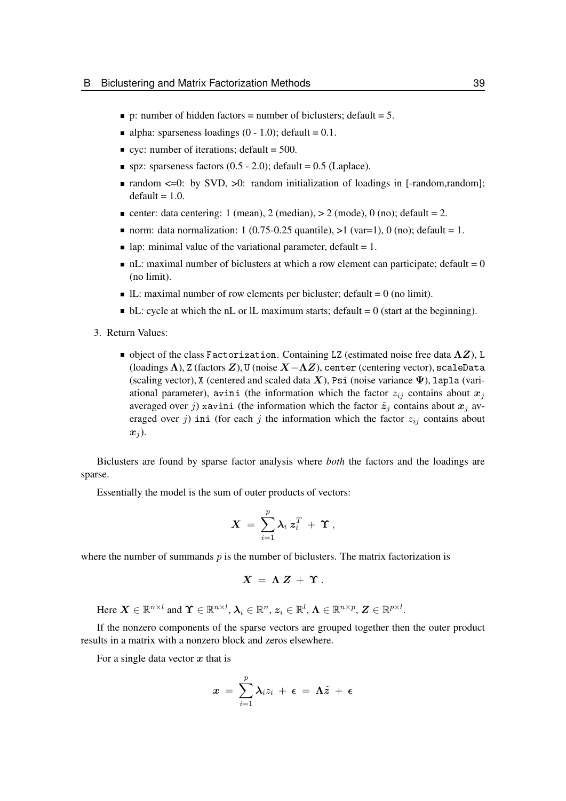- **p**: number of hidden factors = number of biclusters; default = 5.
- alpha: sparseness loadings  $(0 1.0)$ ; default = 0.1.
- vec: number of iterations; default =  $500$ .
- $\blacksquare$  spz: sparseness factors (0.5 2.0); default = 0.5 (Laplace).
- **random**  $\leq$  **-0: by SVD,**  $\geq$ **0: random initialization of loadings in [-random, random];**  $default = 1.0.$
- center: data centering: 1 (mean), 2 (median),  $> 2$  (mode), 0 (no); default = 2.
- norm: data normalization: 1 (0.75-0.25 quantile),  $>1$  (var=1), 0 (no); default = 1.
- lap: minimal value of the variational parameter, default  $= 1$ .
- $\blacksquare$  nL: maximal number of biclusters at which a row element can participate; default  $= 0$ (no limit).
- $\blacksquare$  IL: maximal number of row elements per bicluster; default = 0 (no limit).
- $\blacksquare$  bL: cycle at which the nL or lL maximum starts; default = 0 (start at the beginning).
- 3. Return Values:
	- $\blacksquare$  object of the class Factorization. Containing LZ (estimated noise free data  $\Lambda Z$ ), L (loadings  $\Lambda$ ), Z (factors  $Z$ ), U (noise  $X-\Lambda Z$ ), center (centering vector), scaleData (scaling vector), X (centered and scaled data X), Psi (noise variance  $\Psi$ ), lapla (variational parameter), avini (the information which the factor  $z_{ij}$  contains about  $x_j$ averaged over j) xavini (the information which the factor  $\tilde{z}_j$  contains about  $x_j$  averaged over j) ini (for each j the information which the factor  $z_{ij}$  contains about  $x_i$ ).

Biclusters are found by sparse factor analysis where *both* the factors and the loadings are sparse.

Essentially the model is the sum of outer products of vectors:

$$
\boldsymbol{X}~=~\sum_{i=1}^p \boldsymbol{\lambda}_i~\boldsymbol{z}_i^T~+~\boldsymbol{\Upsilon}~,
$$

where the number of summands  $p$  is the number of biclusters. The matrix factorization is

$$
X = \Lambda Z + \Upsilon.
$$

Here  $\boldsymbol{X} \in \mathbb{R}^{n \times l}$  and  $\boldsymbol{\Upsilon} \in \mathbb{R}^{n \times l}$ ,  $\boldsymbol{\lambda}_i \in \mathbb{R}^n$ ,  $\boldsymbol{z}_i \in \mathbb{R}^l$ ,  $\boldsymbol{\Lambda} \in \mathbb{R}^{n \times p}$ ,  $\boldsymbol{Z} \in \mathbb{R}^{p \times l}$ .

If the nonzero components of the sparse vectors are grouped together then the outer product results in a matrix with a nonzero block and zeros elsewhere.

For a single data vector  $x$  that is

$$
x\ =\ \sum_{i=1}^p \lambda_i z_i\ +\ \epsilon\ =\ \Lambda \tilde{z}\ +\ \epsilon
$$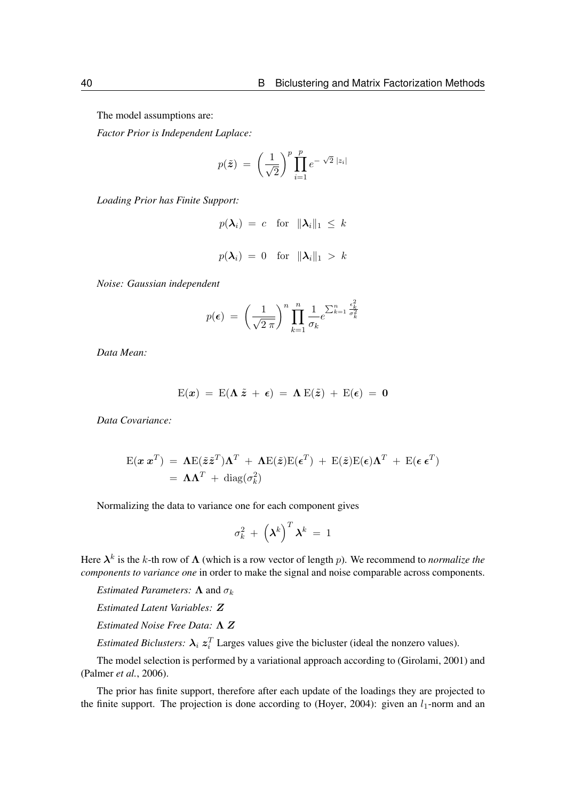The model assumptions are:

*Factor Prior is Independent Laplace:*

$$
p(\tilde{\boldsymbol{z}}) = \left(\frac{1}{\sqrt{2}}\right)^p \prod_{i=1}^p e^{-\sqrt{2}|z_i|}
$$

*Loading Prior has Finite Support:*

$$
p(\lambda_i) = c \text{ for } \|\lambda_i\|_1 \le k
$$
  

$$
p(\lambda_i) = 0 \text{ for } \|\lambda_i\|_1 > k
$$

*Noise: Gaussian independent*

$$
p(\epsilon) = \left(\frac{1}{\sqrt{2 \pi}}\right)^n \prod_{k=1}^n \frac{1}{\sigma_k} e^{\sum_{k=1}^n \frac{\epsilon_k^2}{\sigma_k^2}}
$$

*Data Mean:*

$$
E(x) = E(\Lambda \tilde{z} + \epsilon) = \Lambda E(\tilde{z}) + E(\epsilon) = 0
$$

*Data Covariance:*

$$
E(\mathbf{x} \mathbf{x}^T) = \mathbf{\Lambda} E(\tilde{\mathbf{z}} \tilde{\mathbf{z}}^T) \mathbf{\Lambda}^T + \mathbf{\Lambda} E(\tilde{\mathbf{z}}) E(\boldsymbol{\epsilon}^T) + E(\tilde{\mathbf{z}}) E(\boldsymbol{\epsilon}) \mathbf{\Lambda}^T + E(\boldsymbol{\epsilon} \mathbf{\epsilon}^T)
$$
  
=  $\mathbf{\Lambda} \mathbf{\Lambda}^T + \text{diag}(\sigma_k^2)$ 

Normalizing the data to variance one for each component gives

$$
\sigma_k^2 + \left(\boldsymbol{\lambda}^k\right)^T \boldsymbol{\lambda}^k \ = \ 1
$$

Here  $\lambda^k$  is the k-th row of  $\Lambda$  (which is a row vector of length p). We recommend to *normalize the components to variance one* in order to make the signal and noise comparable across components.

*Estimated Parameters:*  $\Lambda$  and  $\sigma_k$ 

*Estimated Latent Variables:* Z

*Estimated Noise Free Data:* Λ Z

*Estimated Biclusters:*  $\lambda_i z_i^T$  Larges values give the bicluster (ideal the nonzero values).

The model selection is performed by a variational approach according to [\(Girolami, 2001\)](#page-97-1) and [\(Palmer](#page-97-2) *et al.*, [2006\)](#page-97-2).

The prior has finite support, therefore after each update of the loadings they are projected to the finite support. The projection is done according to [\(Hoyer, 2004\)](#page-97-3): given an  $l_1$ -norm and an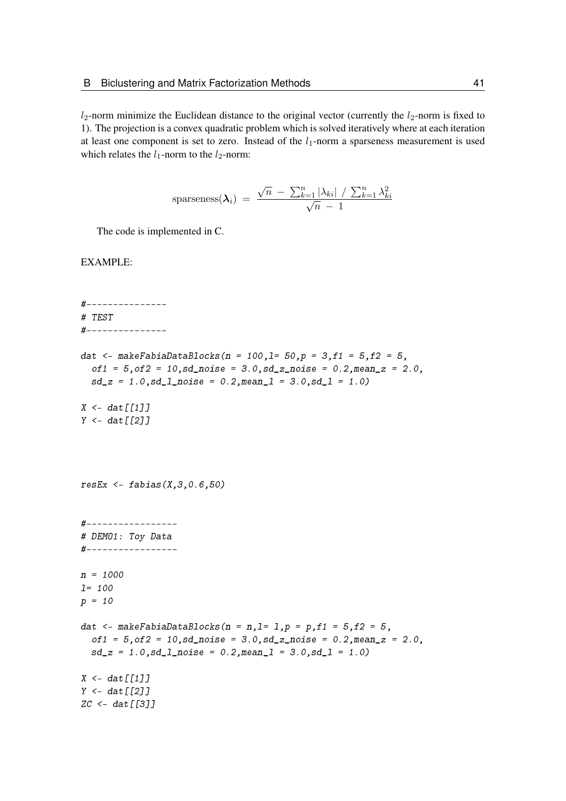$l_2$ -norm minimize the Euclidean distance to the original vector (currently the  $l_2$ -norm is fixed to 1). The projection is a convex quadratic problem which is solved iteratively where at each iteration at least one component is set to zero. Instead of the  $l_1$ -norm a sparseness measurement is used which relates the  $l_1$ -norm to the  $l_2$ -norm:

sparseness
$$
(\lambda_i)
$$
 =  $\frac{\sqrt{n} - \sum_{k=1}^{n} |\lambda_{ki}| / \sum_{k=1}^{n} \lambda_{ki}^2}{\sqrt{n} - 1}$ 

The code is implemented in C.

```
#---------------
# TEST
#---------------
dat <- makeFabiaDataBlocks(n = 100,1= 50,p = 3,f1 = 5,f2 = 5,
  of1 = 5, of2 = 10, sd\_noise = 3.0, sd\_z\_noise = 0.2, mean\_z = 2.0,sd_z = 1.0, sd_l\_noise = 0.2, mean_l = 3.0, sd_l = 1.0X \leftarrow \text{dat}[[1]]Y \leftarrow \text{dat}[[2]]resEx \leftarrow fabias(X, 3, 0.6, 50)#-----------------
# DEMO1: Toy Data
#-----------------
n = 1000
l= 100
p = 10dat \leq makeFabiaDataBlocks(n = n, l= 1, p = p, f1 = 5, f2 = 5,
  of1 = 5, of2 = 10, sd\_noise = 3.0, sd\_z\_noise = 0.2, mean\_z = 2.0,sd_z = 1.0, sd_l_pnoise = 0.2, meanl = 3.0, sd_l = 1.0X \leq - dat \lceil \lceil 1 \rceil \rceilY \leftarrow \text{dat}[[2]]ZC \leftarrow dat [[3]]
```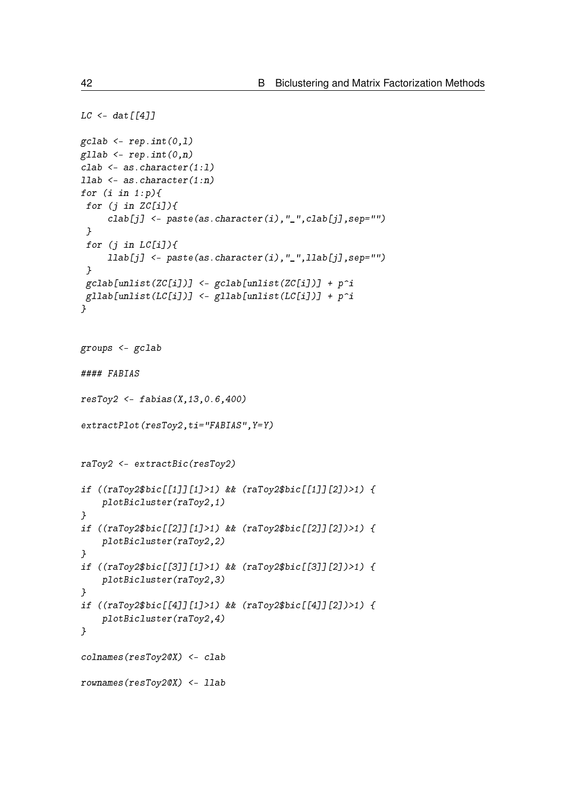```
LC < - \frac{dat[[4]]}{dt}\text{gcdab} \leftarrow \text{rep.int}(0,1)gllab <- rep.int(0, n)clab <- as.character(1:l)
llab <- as.character(1:n)
for (i \text{ in } 1:p) {
 for (j in ZC[i]/\{clab[j] <- paste(as.character(i),"_",clab[j],sep="")
 }
 for (j in LC[i]/\{llab[j] <- paste(as.character(i),"_",llab[j],sep="")
 }
 gclab[unlist(ZC[i])] <- gclab[unlist(ZC[i])] + p^i
 gllab[unlist(LC[i])] <- gllab[unlist(LC[i])] + p^i}
groups <- gclab
#### FABIAS
resToy2 < - fabis(x, 13, 0.6, 400)extractPlot(resToy2,ti="FABIAS", Y=Y)
raToy2 <- extractBic(resToy2)
if ((raToy2$bic[[1]][1]>1) && (raToy2$bic[[1]][2])>1) {
    plotBicluster(raToy2,1)
}
if ((raToy2$bic[[2]][1]>1) && (raToy2$bic[[2]][2])>1) {
    plotBicluster(raToy2,2)
}
if ((raToy2$bic[[3]][1]>1) && (raToy2$bic[[3]][2])>1) {
    plotBicluster(raToy2,3)
}
if ((raToy2$bic[[4]][1]>1) && (raToy2$bic[[4]][2])>1) {
    plotBicluster(raToy2,4)
}
colnames(resToy2@X) <- clab
rownames(resToy2@X) <- llab
```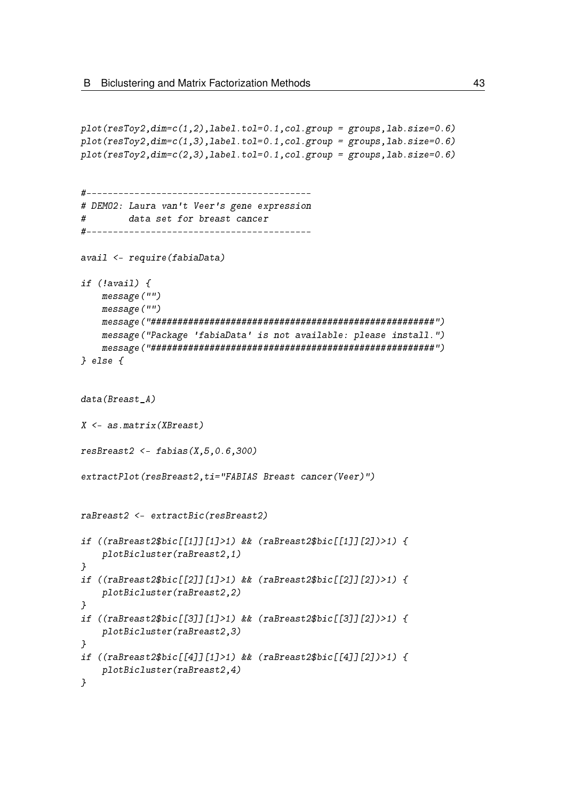```
plot(resToy2, dim=c(1,2), label.tol=0.1, col.group = groups, lab.size=0.6)plot(resToy2, dim=c(1,3), label.tol=0.1, col.group = groups, lab.size=0.6)plot(resToy2, dim=c(2,3), label.tol=0.1, col.group = groups, lab.size=0.6)#------------------------------------------
# DEMO2: Laura van't Veer's gene expression
# data set for breast cancer
#------------------------------------------
avail <- require(fabiaData)
if (!avail) {
    message("")
    message("")
    message("#####################################################")
    message("Package 'fabiaData' is not available: please install.")
    message("#####################################################")
} else {
data(Breast_A)
X \leq -as_matrix(XBreat)resBreat2 < - fabis(X, 5, 0.6, 300)extractPlot(resBreast2,ti="FABIAS Breast cancer(Veer)")
raBreast2 <- extractBic(resBreast2)
if ((raBreast2$bic[[1]][1]>1) && (raBreast2$bic[[1]][2])>1) {
    plotBicluster(raBreast2,1)
}
if ((\text{r}a\text{B} \text{re} a \text{st} 2\text{B} \text{b} \text{i} c \text{f}[2]1 \text{f} 1]) d (\text{r}a\text{B} \text{re} a \text{st} 2\text{B} \text{b} i c \text{f}[2]1 \text{f} 2]) \text{f}plotBicluster(raBreast2,2)
}
if ((raBreast2$bic[[3]][1]>1) && (raBreast2$bic[[3]][2])>1) {
    plotBicluster(raBreast2,3)
}
if ((raBreast2$bic[[4]][1]>1) && (raBreast2$bic[[4]][2])>1) {
    plotBicluster(raBreast2,4)
}
```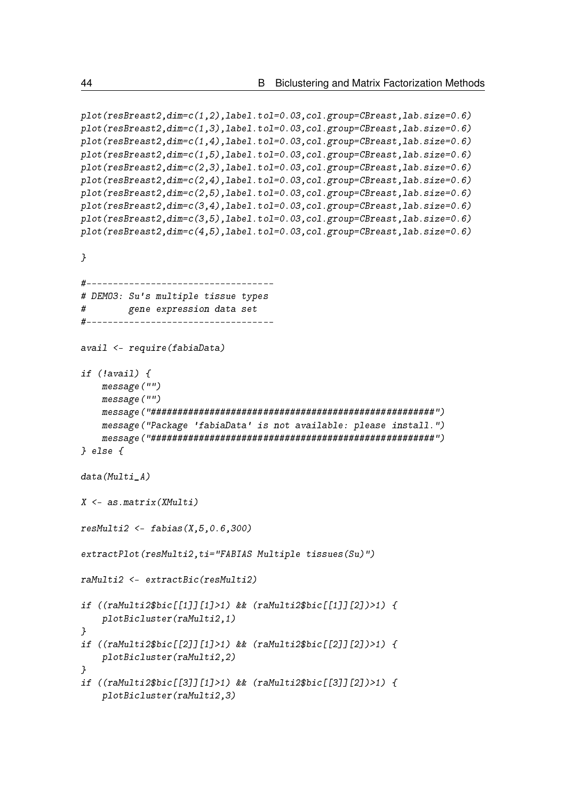```
plot(resBreast2,dim=c(1,2),label.tol=0.03,col.group=CBreast,lab.size=0.6)
plot(resBreast2,dim=c(1,3),label.tol=0.03,col.group=CBreast,lab.size=0.6)
plot(resBreast2,dim=c(1,4),label.tol=0.03,col.group=CBreast,lab.size=0.6)
plot(resBreast2,dim=c(1,5),label.tol=0.03,col.group=CBreast,lab.size=0.6)
plot(resBreast2,dim=c(2,3),label.tol=0.03,col.group=CBreast,lab.size=0.6)
plot(resBreast2,dim=c(2,4),label.tol=0.03,col.group=CBreast,lab.size=0.6)
plot(resBreast2,dim=c(2,5),label.tol=0.03,col.group=CBreast,lab.size=0.6)
plot(resBreast2,dim=c(3,4),label.tol=0.03,col.group=CBreast,lab.size=0.6)
plot(resBreast2,dim=c(3,5),label.tol=0.03,col.group=CBreast,lab.size=0.6)
plot(resBreast2,dim=c(4,5),label.tol=0.03,col.group=CBreast,lab.size=0.6)
}
#-----------------------------------
# DEMO3: Su's multiple tissue types
# gene expression data set
#-----------------------------------
avail <- require(fabiaData)
if (!avail) {
    message("")
    message("")
    message("#####################################################")
    message("Package 'fabiaData' is not available: please install.")
    message("#####################################################")
} else {
data(Multi_A)
X <- as.matrix(XMulti)
resMulti2 < - fabis(x, 5, 0.6, 300)extractPlot(resMulti2,ti="FABIAS Multiple tissues(Su)")
raMulti2 <- extractBic(resMulti2)
if ((raMulti2$bic[[1]][1]>1) && (raMulti2$bic[[1]][2])>1) {
    plotBicluster(raMulti2,1)
}
if ((raMulti2$bic[[2]][1]>1) && (raMulti2$bic[[2]][2])>1) {
    plotBicluster(raMulti2,2)
}
if ((raMulti2$bic[[3]][1]>1) && (raMulti2$bic[[3]][2])>1) {
    plotBicluster(raMulti2,3)
```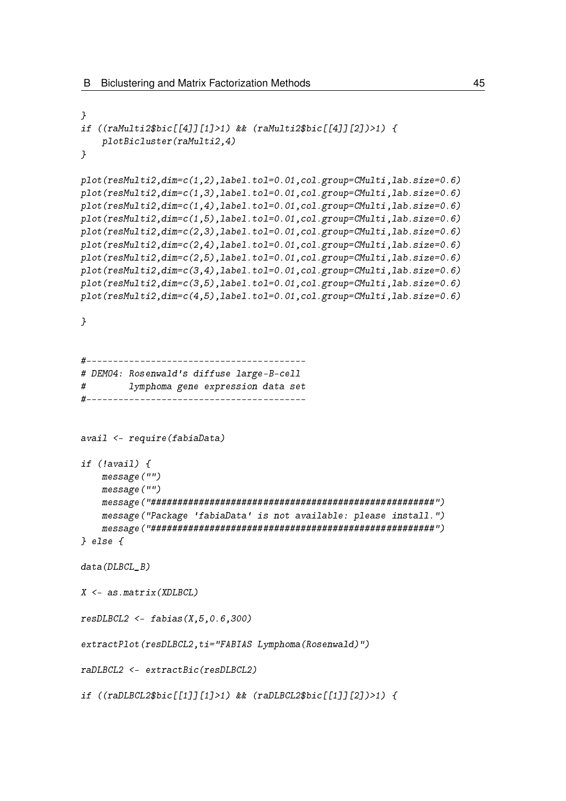```
}
if ((raMulti2$bic[[4]][1]>1) && (raMulti2$bic[[4]][2])>1) {
    plotBicluster(raMulti2,4)
}
plot(resMulti2,dim=c(1,2),label.tol=0.01,col.group=CMulti,lab.size=0.6)
plot(resMulti2,dim=c(1,3),label.tol=0.01,col.group=CMulti,lab.size=0.6)
plot(resMulti2,dim=c(1,4),label.tol=0.01,col.group=CMulti,lab.size=0.6)
plot(resMulti2,dim=c(1,5),label.tol=0.01,col.group=CMulti,lab.size=0.6)
plot(resMulti2,dim=c(2,3),label.tol=0.01,col.group=CMulti,lab.size=0.6)
plot(resMulti2,dim=c(2,4),label.tol=0.01,col.group=CMulti,lab.size=0.6)
plot(resMulti2,dim=c(2,5),label.tol=0.01,col.group=CMulti,lab.size=0.6)
plot(resMulti2,dim=c(3,4),label.tol=0.01,col.group=CMulti,lab.size=0.6)
plot(resMulti2,dim=c(3,5),label.tol=0.01,col.group=CMulti,lab.size=0.6)
plot(resMulti2,dim=c(4,5),label.tol=0.01,col.group=CMulti,lab.size=0.6)
}
#-----------------------------------------
# DEMO4: Rosenwald's diffuse large-B-cell
# lymphoma gene expression data set
#-----------------------------------------
avail <- require(fabiaData)
if (!avail) {
    message("")
    message("")
    message("#####################################################")
    message("Package 'fabiaData' is not available: please install.")
    message("#####################################################")
} else {
data(DLBCL_B)
X \leftarrow as_matrix(XDLBCL)resDLECL2 < -fabias(X, 5, 0.6, 300)extractPlot(resDLBCL2,ti="FABIAS Lymphoma(Rosenwald)")
raDLBCL2 <- extractBic(resDLBCL2)
if ((\text{r}\text{a}\text{DL}\text{B}\text{CL}\text{2}\text{b}\text{ic}\text{[1]1}[1]\text{1}) && (\text{r}\text{a}\text{DL}\text{B}\text{CL}\text{2}\text{b}\text{ic}\text{[1]1}[2])\text{1}
```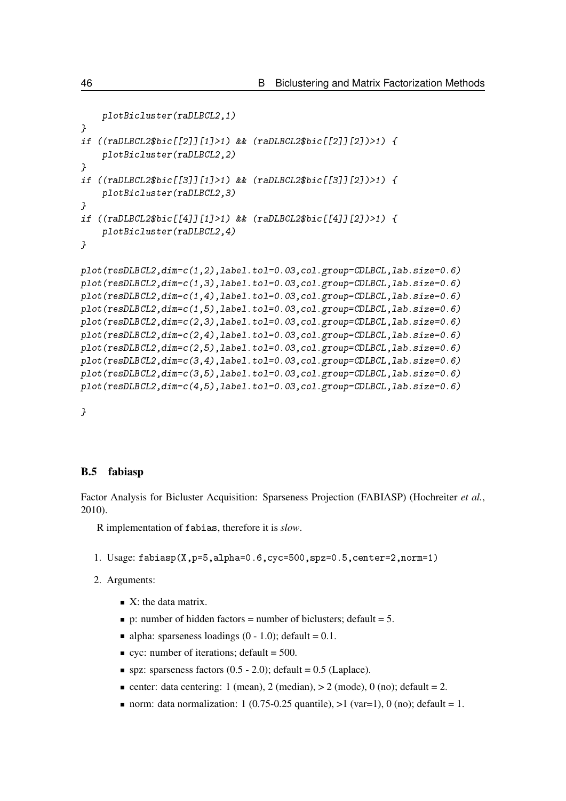```
plotBicluster(raDLBCL2,1)
}
if ((raDLBCL2$bic[[2]][1]>1) && (raDLBCL2$bic[[2]][2])>1) {
    plotBicluster(raDLBCL2,2)
}
if ((raDLBCL2$bic[[3]][1]>1) && (raDLBCL2$bic[[3]][2])>1) {
    plotBicluster(raDLBCL2,3)
}
if ((raDLBCL2$bic[[4]][1]>1) && (raDLBCL2$bic[[4]][2])>1) {
    plotBicluster(raDLBCL2,4)
}
plot(resDLBCL2,dim=c(1,2),label.tol=0.03,col.group=CDLBCL,lab.size=0.6)
plot(resDLBCL2,dim=c(1,3),label.tol=0.03,col.group=CDLBCL,lab.size=0.6)
plot(resDLBCL2,dim=c(1,4),label.tol=0.03,col.group=CDLBCL,lab.size=0.6)
plot(resDLBCL2,dim=c(1,5),label.tol=0.03,col.group=CDLBCL,lab.size=0.6)
plot(resDLBCL2,dim=c(2,3),label.tol=0.03,col.group=CDLBCL,lab.size=0.6)
plot(resDLBCL2,dim=c(2,4),label.tol=0.03,col.group=CDLBCL,lab.size=0.6)
plot(resDLBCL2,dim=c(2,5),label.tol=0.03,col.group=CDLBCL,lab.size=0.6)
plot(resDLBCL2,dim=c(3,4),label.tol=0.03,col.group=CDLBCL,lab.size=0.6)
plot(resDLBCL2,dim=c(3,5),label.tol=0.03,col.group=CDLBCL,lab.size=0.6)
plot(resDLBCL2,dim=c(4,5),label.tol=0.03,col.group=CDLBCL,lab.size=0.6)
```
}

#### B.5 fabiasp

Factor Analysis for Bicluster Acquisition: Sparseness Projection (FABIASP) [\(Hochreiter](#page-97-0) *et al.*, [2010\)](#page-97-0).

R implementation of fabias, therefore it is *slow*.

- 1. Usage: fabiasp(X,p=5,alpha=0.6,cyc=500,spz=0.5,center=2,norm=1)
- 2. Arguments:
	- $\blacksquare$  X: the data matrix.
	- p: number of hidden factors = number of biclusters; default = 5.
	- alpha: sparseness loadings  $(0 1.0)$ ; default = 0.1.
	- $\bullet$  cyc: number of iterations; default = 500.
	- $\blacksquare$  spz: sparseness factors (0.5 2.0); default = 0.5 (Laplace).
	- center: data centering: 1 (mean), 2 (median),  $> 2$  (mode), 0 (no); default = 2.
	- norm: data normalization: 1 (0.75-0.25 quantile),  $>1$  (var=1), 0 (no); default = 1.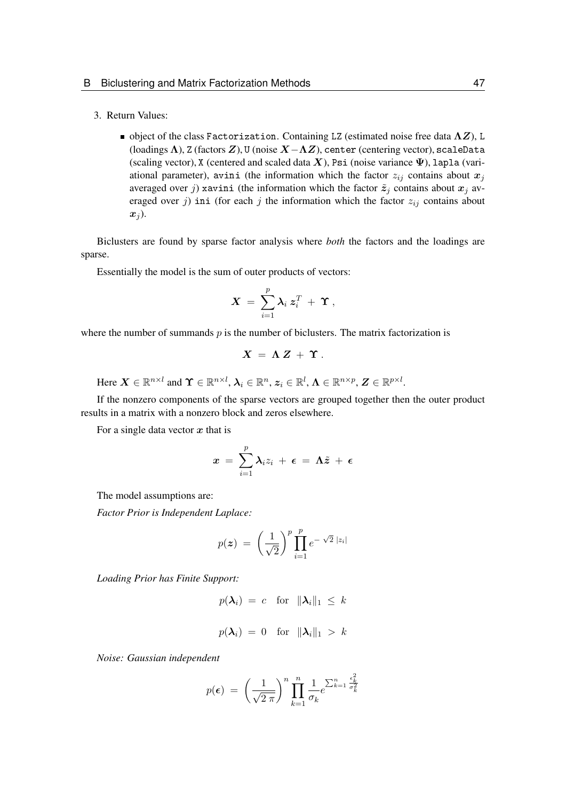### 3. Return Values:

 $\blacksquare$  object of the class Factorization. Containing LZ (estimated noise free data  $\Lambda Z$ ), L (loadings  $\Lambda$ ), Z (factors  $Z$ ), U (noise  $X-\Lambda Z$ ), center (centering vector), scaleData (scaling vector), X (centered and scaled data X), Psi (noise variance  $\Psi$ ), lapla (variational parameter), avini (the information which the factor  $z_{ij}$  contains about  $x_j$ averaged over j) xavini (the information which the factor  $\tilde{z}_j$  contains about  $x_j$  averaged over j) ini (for each j the information which the factor  $z_{ij}$  contains about  $x_i$ ).

Biclusters are found by sparse factor analysis where *both* the factors and the loadings are sparse.

Essentially the model is the sum of outer products of vectors:

$$
\boldsymbol{X} \ = \ \sum_{i=1}^p \boldsymbol{\lambda}_i \ \boldsymbol{z}_i^T \ + \ \boldsymbol{\Upsilon} \ ,
$$

where the number of summands  $p$  is the number of biclusters. The matrix factorization is

$$
X = \Lambda Z + \Upsilon.
$$

Here  $\boldsymbol{X} \in \mathbb{R}^{n \times l}$  and  $\boldsymbol{\Upsilon} \in \mathbb{R}^{n \times l}$ ,  $\boldsymbol{\lambda}_i \in \mathbb{R}^n$ ,  $\boldsymbol{z}_i \in \mathbb{R}^l$ ,  $\boldsymbol{\Lambda} \in \mathbb{R}^{n \times p}$ ,  $\boldsymbol{Z} \in \mathbb{R}^{p \times l}$ .

If the nonzero components of the sparse vectors are grouped together then the outer product results in a matrix with a nonzero block and zeros elsewhere.

For a single data vector  $x$  that is

$$
x\ =\ \sum_{i=1}^p \lambda_i z_i\ +\ \epsilon\ =\ \Lambda \tilde{z}\ +\ \epsilon
$$

The model assumptions are:

*Factor Prior is Independent Laplace:*

$$
p(z) = \left(\frac{1}{\sqrt{2}}\right)^p \prod_{i=1}^p e^{-\sqrt{2}|z_i|}
$$

*Loading Prior has Finite Support:*

$$
p(\lambda_i) = c \text{ for } \|\lambda_i\|_1 \leq k
$$
  

$$
p(\lambda_i) = 0 \text{ for } \|\lambda_i\|_1 > k
$$

*Noise: Gaussian independent*

$$
p(\epsilon) = \left(\frac{1}{\sqrt{2 \pi}}\right)^n \prod_{k=1}^n \frac{1}{\sigma_k} e^{\sum_{k=1}^n \frac{\epsilon_k^2}{\sigma_k^2}}
$$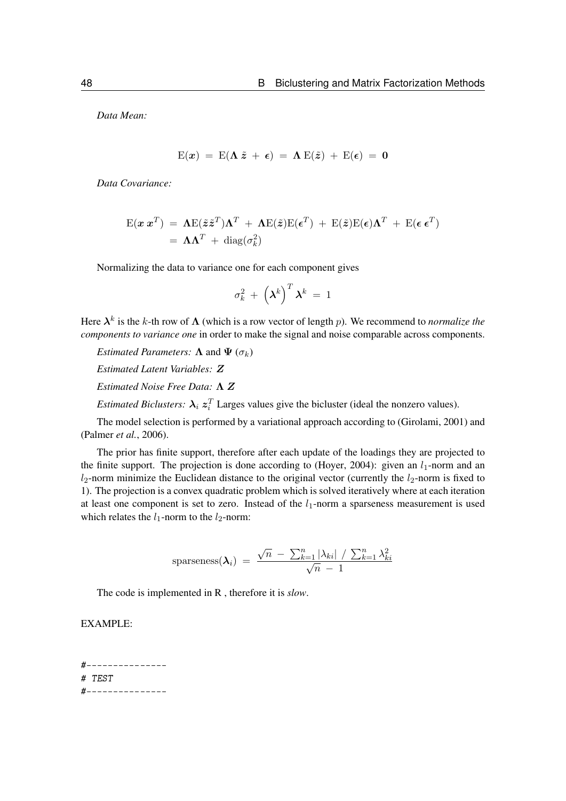*Data Mean:*

$$
E(x) = E(\Lambda \tilde{z} + \epsilon) = \Lambda E(\tilde{z}) + E(\epsilon) = 0
$$

*Data Covariance:*

$$
\mathbf{E}(\mathbf{x} \mathbf{x}^T) = \mathbf{\Lambda} \mathbf{E}(\tilde{\mathbf{z}} \tilde{\mathbf{z}}^T) \mathbf{\Lambda}^T + \mathbf{\Lambda} \mathbf{E}(\tilde{\mathbf{z}}) \mathbf{E}(\boldsymbol{\epsilon}^T) + \mathbf{E}(\tilde{\mathbf{z}}) \mathbf{E}(\boldsymbol{\epsilon}) \mathbf{\Lambda}^T + \mathbf{E}(\boldsymbol{\epsilon} \mathbf{\epsilon}^T)
$$
  
=  $\mathbf{\Lambda} \mathbf{\Lambda}^T + \text{diag}(\sigma_k^2)$ 

Normalizing the data to variance one for each component gives

$$
\sigma_k^2 + \left(\boldsymbol{\lambda}^k\right)^T \boldsymbol{\lambda}^k \ = \ 1
$$

Here  $\lambda^k$  is the k-th row of  $\Lambda$  (which is a row vector of length p). We recommend to *normalize the components to variance one* in order to make the signal and noise comparable across components.

*Estimated Parameters:*  $\Lambda$  and  $\Psi$  ( $\sigma_k$ ) *Estimated Latent Variables:* Z

*Estimated Noise Free Data:* Λ Z

*Estimated Biclusters:*  $\lambda_i z_i^T$  Larges values give the bicluster (ideal the nonzero values).

The model selection is performed by a variational approach according to [\(Girolami, 2001\)](#page-97-1) and [\(Palmer](#page-97-2) *et al.*, [2006\)](#page-97-2).

The prior has finite support, therefore after each update of the loadings they are projected to the finite support. The projection is done according to [\(Hoyer, 2004\)](#page-97-3): given an  $l_1$ -norm and an  $l_2$ -norm minimize the Euclidean distance to the original vector (currently the  $l_2$ -norm is fixed to 1). The projection is a convex quadratic problem which is solved iteratively where at each iteration at least one component is set to zero. Instead of the  $l_1$ -norm a sparseness measurement is used which relates the  $l_1$ -norm to the  $l_2$ -norm:

$$
\text{sparseness}(\boldsymbol{\lambda}_i) = \frac{\sqrt{n} \ - \ \sum_{k=1}^n |\lambda_{ki}| \ / \ \sum_{k=1}^n \lambda_{ki}^2}{\sqrt{n} \ - \ 1}
$$

The code is implemented in R , therefore it is *slow*.

EXAMPLE:

#--------------- # TEST #---------------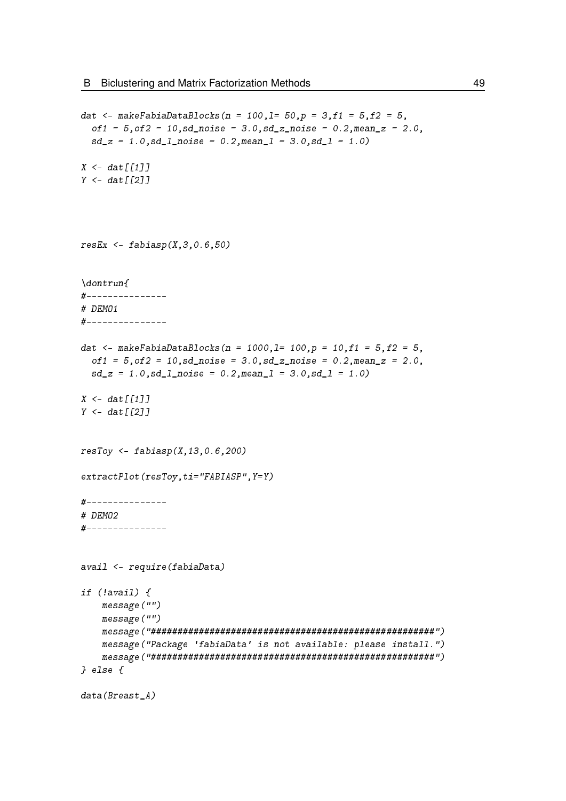```
dat <- makeFabiaDataBlocks(n = 100,1= 50,p = 3,f1 = 5,f2 = 5,
  of1 = 5, of2 = 10, sd\_noise = 3.0, sd\_z\_noise = 0.2, mean\_z = 2.0,sd z = 1.0, sd 1 noise = 0.2, mean l = 3.0, sd l = 1.0)
X \leq -\frac{d}{d}Y \leftarrow dat \lceil \lceil 2 \rceilresEx \leftarrow fabis(p(X, 3, 0.6, 50)\dontrun{
#---------------
# DEMO1
#---------------
dat <- makeFabiaDataBlocks(n = 1000,1= 100,p = 10,f1 = 5,f2 = 5,
  of1 = 5, of2 = 10, sd\_noise = 3.0, sd\_z\_noise = 0.2, mean\_z = 2.0,sd_z = 1.0, sd_l<sub>noise</sub> = 0.2, meanl = 3.0, sd_l = 1.0X \leq - dat \lceil \lceil 1 \rceil \rceilY \leftarrow \text{dat}[12]resToy \leq false fabiasp(X, 13, 0.6, 200)extractPlot(resToy,ti="FABIASP",Y=Y)
#---------------
# DEMO2
#---------------
avail <- require(fabiaData)
if (!avail) {
    message("")
    message("")
    message("#####################################################")
    message("Package 'fabiaData' is not available: please install.")
    message("#####################################################")
} else {
data(Breast_A)
```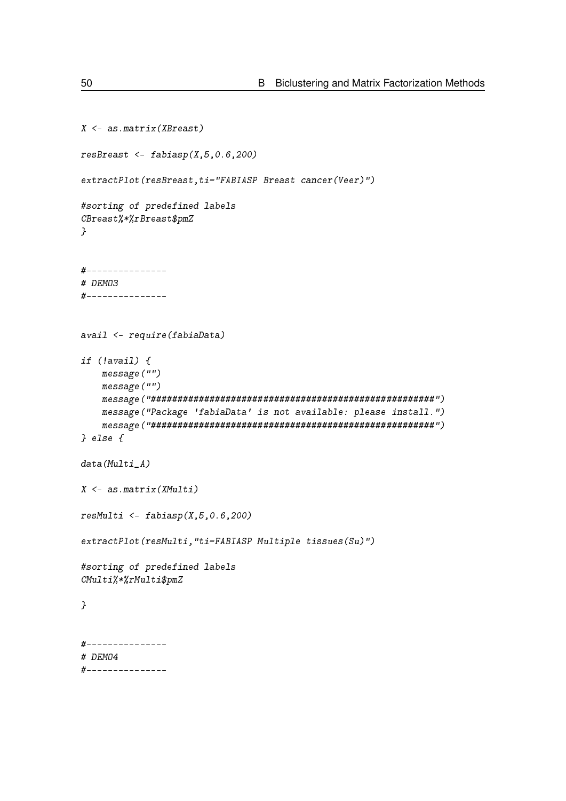```
X <- as.matrix(XBreast)
resBreast \leq- fabiasp(X, 5, 0.6, 200)extractPlot(resBreast,ti="FABIASP Breast cancer(Veer)")
#sorting of predefined labels
CBreast%*%rBreast$pmZ
}
#---------------
# DEMO3
#---------------
avail <- require(fabiaData)
if (!avail) {
    message("")
    message("")
    message("#####################################################")
    message("Package 'fabiaData' is not available: please install.")
    message("#####################################################")
} else {
data(Multi_A)X <- as.matrix(XMulti)
resMulti \leq- fabiasp(X, 5, 0.6, 200)extractPlot(resMulti,"ti=FABIASP Multiple tissues(Su)")
#sorting of predefined labels
CMulti%*%rMulti$pmZ
}
#---------------
# DEMO4
#---------------
```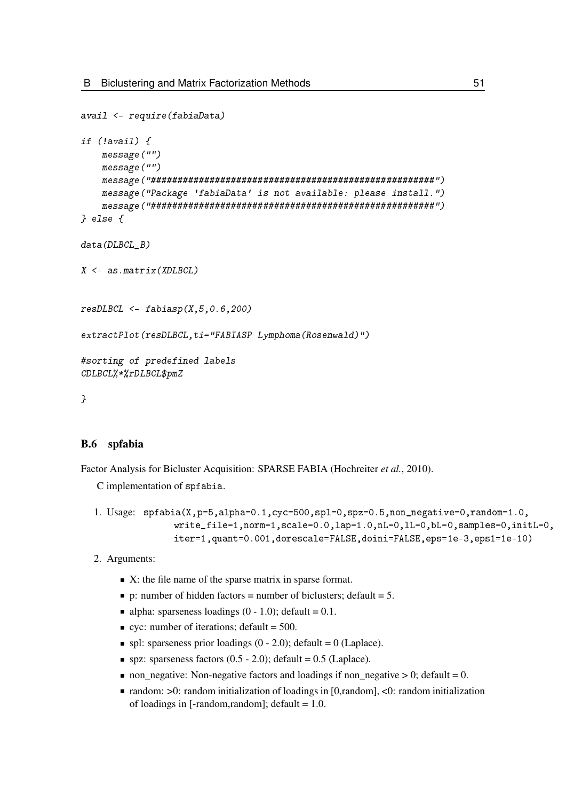```
avail <- require(fabiaData)
if (!avail) {
    message("")
    message("")
    message("#####################################################")
    message("Package 'fabiaData' is not available: please install.")
    message("#####################################################")
} else {
data(DLBCL_B)
X \leq -a s \cdot matrix(XDLBCL)resD L B C L \leq -fabiasp(X,5,0.6,200)extractPlot(resDLBCL,ti="FABIASP Lymphoma(Rosenwald)")
#sorting of predefined labels
CDLBCL%*%rDLBCL$pmZ
}
```
### B.6 spfabia

Factor Analysis for Bicluster Acquisition: SPARSE FABIA [\(Hochreiter](#page-97-0) *et al.*, [2010\)](#page-97-0).

C implementation of spfabia.

```
1. Usage: spfabia(X,p=5,alpha=0.1,cyc=500,spl=0,spz=0.5,non_negative=0,random=1.0,
              write_file=1,norm=1,scale=0.0,lap=1.0,nL=0,lL=0,bL=0,samples=0,initL=0,
               iter=1,quant=0.001,dorescale=FALSE,doini=FALSE,eps=1e-3,eps1=1e-10)
```
- 2. Arguments:
	- $\blacksquare$  X: the file name of the sparse matrix in sparse format.
	- p: number of hidden factors = number of biclusters; default = 5.
	- alpha: sparseness loadings  $(0 1.0)$ ; default = 0.1.
	- $\bullet$  cyc: number of iterations; default = 500.
	- $\blacksquare$  spl: sparseness prior loadings (0 2.0); default = 0 (Laplace).
	- $\blacksquare$  spz: sparseness factors (0.5 2.0); default = 0.5 (Laplace).
	- non negative: Non-negative factors and loadings if non negative  $> 0$ ; default = 0.
	- $\blacksquare$  random:  $>0$ : random initialization of loadings in [0,random], <0: random initialization of loadings in [-random,random]; default = 1.0.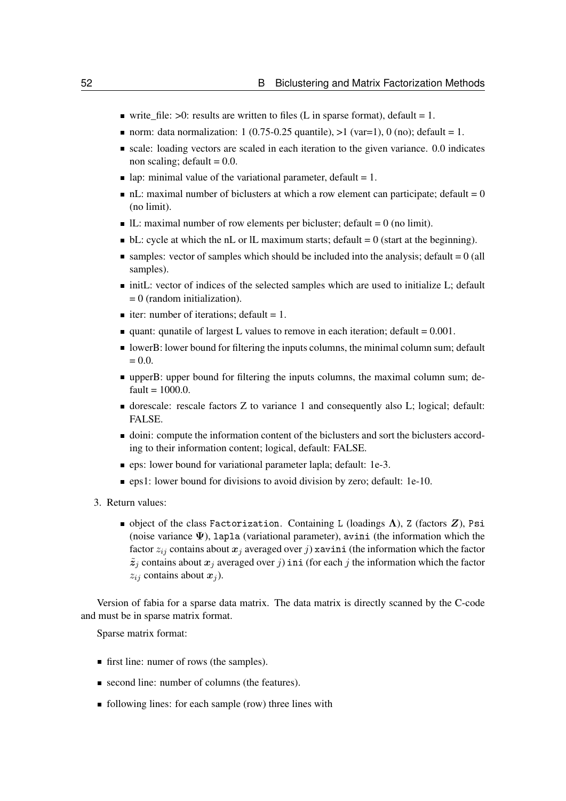- write\_file:  $>0$ : results are written to files (L in sparse format), default = 1.
- norm: data normalization: 1 (0.75-0.25 quantile),  $>1$  (var=1), 0 (no); default = 1.
- scale: loading vectors are scaled in each iteration to the given variance. 0.0 indicates non scaling; default  $= 0.0$ .
- lap: minimal value of the variational parameter, default = 1.
- $\blacksquare$  nL: maximal number of biclusters at which a row element can participate; default  $= 0$ (no limit).
- $\blacksquare$  IL: maximal number of row elements per bicluster; default = 0 (no limit).
- $\bullet$  bL: cycle at which the nL or lL maximum starts; default  $= 0$  (start at the beginning).
- $\blacksquare$  samples: vector of samples which should be included into the analysis; default  $= 0$  (all samples).
- $\blacksquare$  initL: vector of indices of the selected samples which are used to initialize L; default = 0 (random initialization).
- iter: number of iterations; default = 1.
- quant: qunatile of largest L values to remove in each iteration; default  $= 0.001$ .
- **IDER:** lower bound for filtering the inputs columns, the minimal column sum; default  $= 0.0.$
- upperB: upper bound for filtering the inputs columns, the maximal column sum; de $fault = 1000.0.$
- dorescale: rescale factors Z to variance 1 and consequently also L; logical; default: FALSE.
- doini: compute the information content of the biclusters and sort the biclusters according to their information content; logical, default: FALSE.
- eps: lower bound for variational parameter lapla; default: 1e-3.
- **eps1:** lower bound for divisions to avoid division by zero; default: 1e-10.
- 3. Return values:
	- object of the class Factorization. Containing L (loadings  $\Lambda$ ), Z (factors  $Z$ ), Psi (noise variance  $\Psi$ ), lapla (variational parameter), avini (the information which the factor  $z_{ij}$  contains about  $x_j$  averaged over j xavini (the information which the factor  $\tilde{z}_j$  contains about  $x_j$  averaged over j) ini (for each j the information which the factor  $z_{ij}$  contains about  $x_j$ ).

Version of fabia for a sparse data matrix. The data matrix is directly scanned by the C-code and must be in sparse matrix format.

Sparse matrix format:

- first line: numer of rows (the samples).
- second line: number of columns (the features).
- **following lines:** for each sample (row) three lines with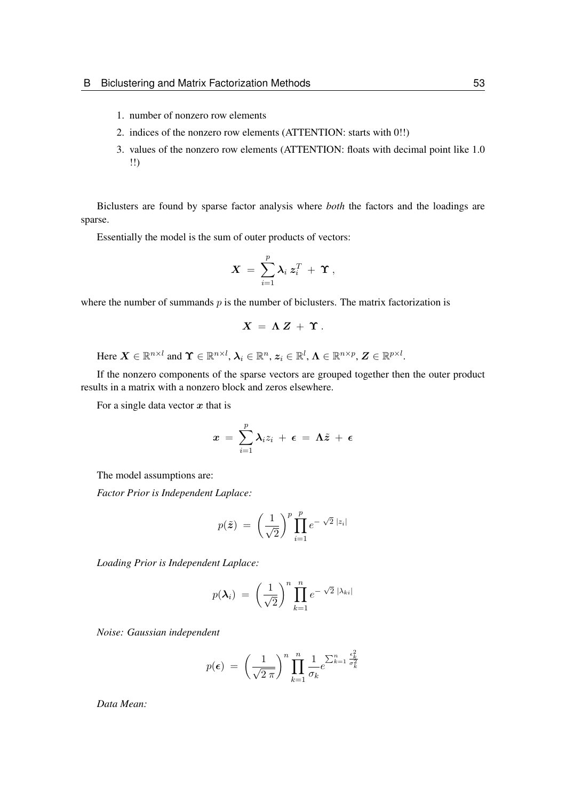- 1. number of nonzero row elements
- 2. indices of the nonzero row elements (ATTENTION: starts with 0!!)
- 3. values of the nonzero row elements (ATTENTION: floats with decimal point like 1.0 !!)

Biclusters are found by sparse factor analysis where *both* the factors and the loadings are sparse.

Essentially the model is the sum of outer products of vectors:

$$
\boldsymbol{X}~=~\sum_{i=1}^p \boldsymbol{\lambda}_i~\boldsymbol{z}_i^T~+~\boldsymbol{\Upsilon}~,
$$

where the number of summands  $p$  is the number of biclusters. The matrix factorization is

$$
X = \Lambda Z + \Upsilon.
$$

Here  $\boldsymbol{X} \in \mathbb{R}^{n \times l}$  and  $\boldsymbol{\Upsilon} \in \mathbb{R}^{n \times l}$ ,  $\boldsymbol{\lambda}_i \in \mathbb{R}^n$ ,  $\boldsymbol{z}_i \in \mathbb{R}^l$ ,  $\boldsymbol{\Lambda} \in \mathbb{R}^{n \times p}$ ,  $\boldsymbol{Z} \in \mathbb{R}^{p \times l}$ .

If the nonzero components of the sparse vectors are grouped together then the outer product results in a matrix with a nonzero block and zeros elsewhere.

For a single data vector  $x$  that is

$$
x\ =\ \sum_{i=1}^p\boldsymbol{\lambda}_i z_i\ +\ \boldsymbol{\epsilon}\ =\ \boldsymbol{\Lambda}\tilde{z}\ +\ \boldsymbol{\epsilon}
$$

The model assumptions are:

*Factor Prior is Independent Laplace:*

$$
p(\tilde{\boldsymbol{z}}) = \left(\frac{1}{\sqrt{2}}\right)^p \prod_{i=1}^p e^{-\sqrt{2} |z_i|}
$$

*Loading Prior is Independent Laplace:*

$$
p(\boldsymbol{\lambda}_i) = \left(\frac{1}{\sqrt{2}}\right)^n \prod_{k=1}^n e^{-\sqrt{2} |\lambda_{ki}|}
$$

*Noise: Gaussian independent*

$$
p(\epsilon) = \left(\frac{1}{\sqrt{2 \pi}}\right)^n \prod_{k=1}^n \frac{1}{\sigma_k} e^{\sum_{k=1}^n \frac{\epsilon_k^2}{\sigma_k^2}}
$$

*Data Mean:*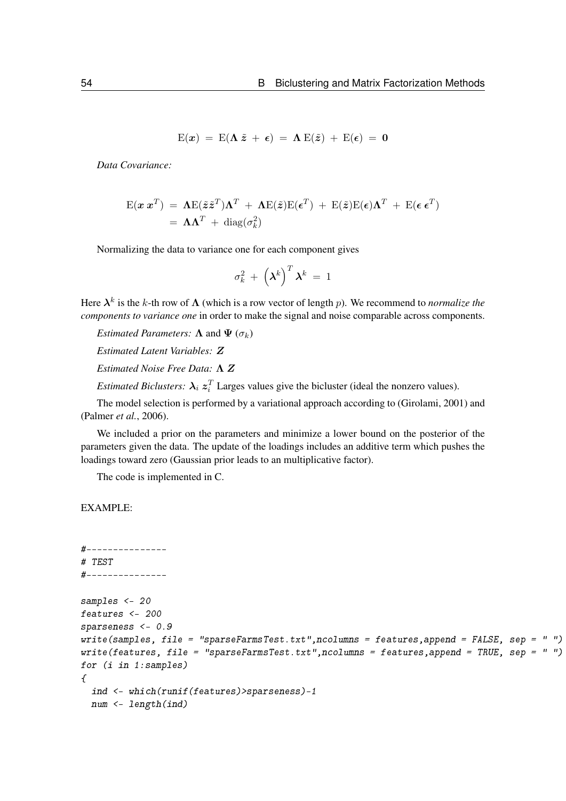$$
E(x) = E(\Lambda \tilde{z} + \epsilon) = \Lambda E(\tilde{z}) + E(\epsilon) = 0
$$

*Data Covariance:*

$$
\mathbf{E}(\mathbf{x} \mathbf{x}^T) = \mathbf{\Lambda} \mathbf{E}(\tilde{\mathbf{z}} \tilde{\mathbf{z}}^T) \mathbf{\Lambda}^T + \mathbf{\Lambda} \mathbf{E}(\tilde{\mathbf{z}}) \mathbf{E}(\boldsymbol{\epsilon}^T) + \mathbf{E}(\tilde{\mathbf{z}}) \mathbf{E}(\boldsymbol{\epsilon}) \mathbf{\Lambda}^T + \mathbf{E}(\boldsymbol{\epsilon} \mathbf{\epsilon}^T)
$$
  
=  $\mathbf{\Lambda} \mathbf{\Lambda}^T + \text{diag}(\sigma_k^2)$ 

Normalizing the data to variance one for each component gives

$$
\sigma_k^2 + \left(\boldsymbol{\lambda}^k\right)^T \boldsymbol{\lambda}^k \ = \ 1
$$

Here  $\lambda^k$  is the k-th row of  $\Lambda$  (which is a row vector of length p). We recommend to *normalize the components to variance one* in order to make the signal and noise comparable across components.

*Estimated Parameters:*  $\Lambda$  and  $\Psi$  ( $\sigma_k$ )

*Estimated Latent Variables:* Z

*Estimated Noise Free Data:* Λ Z

*Estimated Biclusters:*  $\lambda_i z_i^T$  Larges values give the bicluster (ideal the nonzero values).

The model selection is performed by a variational approach according to [\(Girolami, 2001\)](#page-97-1) and [\(Palmer](#page-97-2) *et al.*, [2006\)](#page-97-2).

We included a prior on the parameters and minimize a lower bound on the posterior of the parameters given the data. The update of the loadings includes an additive term which pushes the loadings toward zero (Gaussian prior leads to an multiplicative factor).

The code is implemented in C.

```
#---------------
# TEST
#---------------
samples <- 20
features <- 200
sparseness <- 0.9
write(samples, file = "sparseFarmsTest.txt",ncolumns = features,append = FALSE, sep = " ")
write(features, file = "sparseFarmsTest.txt",ncolumns = features,append = TRUE, sep = " ")
for (i in 1:samples)
\mathcal{L}ind <- which(runif(features)>sparseness)-1
 num <- length(ind)
```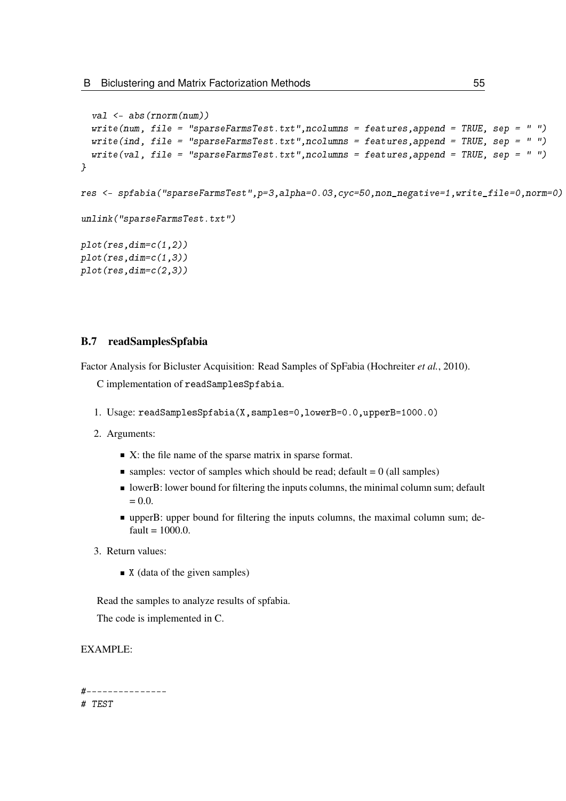```
val <- abs(rnorm(num))
  write(num, file = "sparseFarmsTest.txt",ncolumns = features,append = TRUE, sep = " ")
  write(ind, file = "sparseFarmsTest.txt", ncolumns = features, append = TRUE, sep = " ")
  write(val, file = "sparseFarmsTest.txt",ncolumns = features,append = TRUE, sep = " ")
}
res <- spfabia("sparseFarmsTest",p=3,alpha=0.03,cyc=50,non_negative=1,write_file=0,norm=0)
unlink("sparseFarmsTest.txt")
plot(res,dim=c(1,2))plot(res,dim=c(1,3))plot(res,dim=c(2,3))
```
### B.7 readSamplesSpfabia

Factor Analysis for Bicluster Acquisition: Read Samples of SpFabia [\(Hochreiter](#page-97-0) *et al.*, [2010\)](#page-97-0).

C implementation of readSamplesSpfabia.

- 1. Usage: readSamplesSpfabia(X,samples=0,lowerB=0.0,upperB=1000.0)
- 2. Arguments:
	- $\blacksquare$  X: the file name of the sparse matrix in sparse format.
	- $\blacksquare$  samples: vector of samples which should be read; default = 0 (all samples)
	- I lowerB: lower bound for filtering the inputs columns, the minimal column sum; default  $= 0.0.$
	- upperB: upper bound for filtering the inputs columns, the maximal column sum; de $fault = 1000.0$ .
- 3. Return values:
	- $\blacksquare$  X (data of the given samples)

Read the samples to analyze results of spfabia.

The code is implemented in C.

### EXAMPLE:

#--------------- # TEST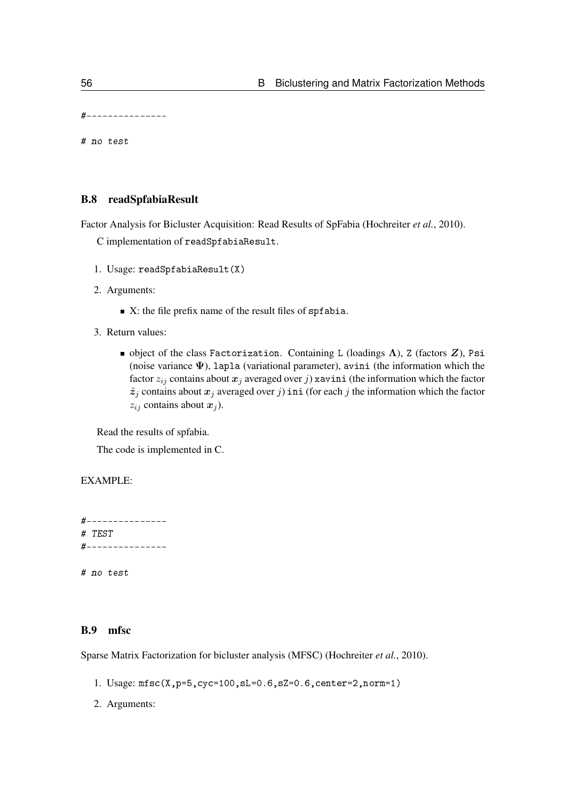#---------------

# no test

### B.8 readSpfabiaResult

Factor Analysis for Bicluster Acquisition: Read Results of SpFabia [\(Hochreiter](#page-97-0) *et al.*, [2010\)](#page-97-0).

C implementation of readSpfabiaResult.

- 1. Usage: readSpfabiaResult(X)
- 2. Arguments:
	- $\blacksquare$  X: the file prefix name of the result files of spf abia.
- 3. Return values:
	- $\blacksquare$  object of the class Factorization. Containing L (loadings  $\Lambda$ ), Z (factors  $Z$ ), Psi (noise variance  $\Psi$ ), lapla (variational parameter), avini (the information which the factor  $z_{ij}$  contains about  $x_j$  averaged over j) xavini (the information which the factor  $\tilde{z}_j$  contains about  $x_j$  averaged over j ini (for each j the information which the factor  $z_{ij}$  contains about  $x_j$ ).

Read the results of spfabia.

The code is implemented in C.

#### EXAMPLE:

#--------------- # TEST #---------------

# no test

### B.9 mfsc

Sparse Matrix Factorization for bicluster analysis (MFSC) [\(Hochreiter](#page-97-0) *et al.*, [2010\)](#page-97-0).

- 1. Usage: mfsc(X,p=5,cyc=100,sL=0.6,sZ=0.6,center=2,norm=1)
- 2. Arguments: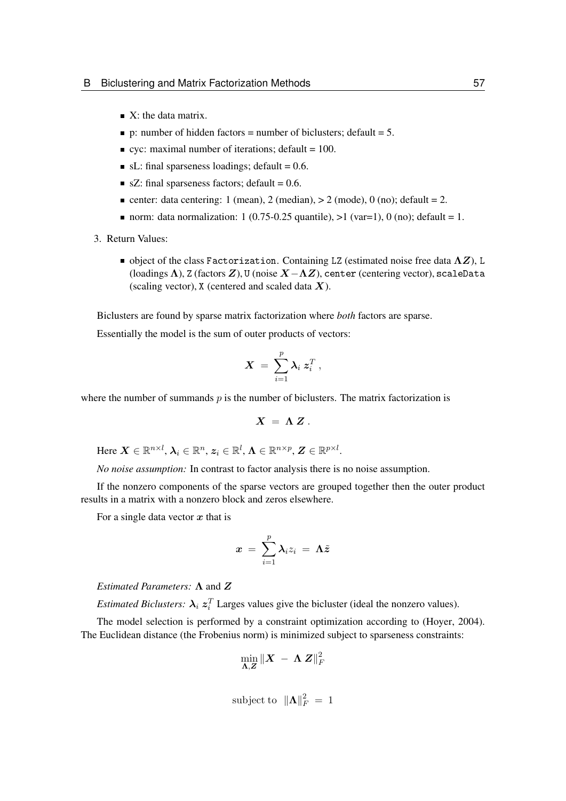- $\blacksquare$  X: the data matrix.
- p: number of hidden factors = number of biclusters; default = 5.
- $\bullet$  cyc: maximal number of iterations; default = 100.
- $\blacksquare$  sL: final sparseness loadings; default = 0.6.
- $\blacksquare$  sZ: final sparseness factors; default = 0.6.
- center: data centering: 1 (mean), 2 (median),  $> 2$  (mode), 0 (no); default = 2.
- norm: data normalization: 1 (0.75-0.25 quantile),  $>1$  (var=1), 0 (no); default = 1.
- 3. Return Values:
	- $\blacksquare$  object of the class Factorization. Containing LZ (estimated noise free data  $\Lambda Z$ ), L (loadings  $\Lambda$ ), Z (factors  $Z$ ), U (noise  $X-\Lambda Z$ ), center (centering vector), scaleData (scaling vector),  $X$  (centered and scaled data  $X$ ).

Biclusters are found by sparse matrix factorization where *both* factors are sparse.

Essentially the model is the sum of outer products of vectors:

$$
\boldsymbol{X}~=~\sum_{i=1}^p \boldsymbol{\lambda}_i~\boldsymbol{z}_i^T~,
$$

where the number of summands  $p$  is the number of biclusters. The matrix factorization is

$$
X = \Lambda Z.
$$

Here  $\bm{X}\in\mathbb{R}^{n\times l},$   $\bm{\lambda}_i\in\mathbb{R}^{n}$ ,  $\bm{z}_i\in\mathbb{R}^{l}$ ,  $\bm{\Lambda}\in\mathbb{R}^{n\times p}$ ,  $\bm{Z}\in\mathbb{R}^{p\times l}$ .

*No noise assumption:* In contrast to factor analysis there is no noise assumption.

If the nonzero components of the sparse vectors are grouped together then the outer product results in a matrix with a nonzero block and zeros elsewhere.

For a single data vector  $x$  that is

$$
x\ =\ \sum_{i=1}^p \lambda_i z_i\ =\ \mathbf{\Lambda}\tilde{z}
$$

*Estimated Parameters:* Λ and Z

*Estimated Biclusters:*  $\lambda_i z_i^T$  Larges values give the bicluster (ideal the nonzero values).

The model selection is performed by a constraint optimization according to [\(Hoyer, 2004\)](#page-97-3). The Euclidean distance (the Frobenius norm) is minimized subject to sparseness constraints:

$$
\min_{\boldsymbol{\Lambda},\boldsymbol{Z}}\|\boldsymbol{X}\ -\ \boldsymbol{\Lambda}\ \boldsymbol{Z}\|_F^2
$$

subject to  $\|\mathbf{\Lambda}\|_F^2 = 1$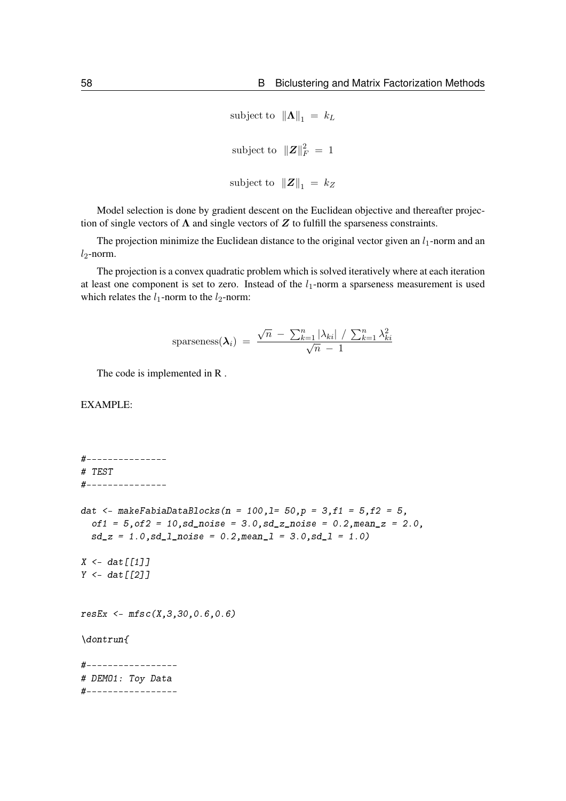```
subject to \|\mathbf{\Lambda}\|_1 = k_Lsubject to ||Z||_F^2 = 1subject to ||Z||_1 = k_Z
```
Model selection is done by gradient descent on the Euclidean objective and thereafter projection of single vectors of  $\Lambda$  and single vectors of  $Z$  to fulfill the sparseness constraints.

The projection minimize the Euclidean distance to the original vector given an  $l_1$ -norm and an  $l_2$ -norm.

The projection is a convex quadratic problem which is solved iteratively where at each iteration at least one component is set to zero. Instead of the  $l_1$ -norm a sparseness measurement is used which relates the  $l_1$ -norm to the  $l_2$ -norm:

sparseness
$$
(\lambda_i)
$$
 =  $\frac{\sqrt{n} - \sum_{k=1}^{n} |\lambda_{ki}| / \sum_{k=1}^{n} \lambda_{ki}^2}{\sqrt{n} - 1}$ 

The code is implemented in R .

EXAMPLE:

#--------------- # TEST #-------------- dat <- makeFabiaDataBlocks(n = 100,1= 50,p = 3,f1 = 5,f2 = 5,  $of1 = 5, of2 = 10, sd\_noise = 3.0, sd\_z\_noise = 0.2, mean\_z = 2.0,$  $sd_z = 1.0$ ,  $sd_l$ <sub>noise</sub> = 0.2, mean<sub>1</sub> = 3.0,  $sd_l = 1.0$ )  $X \leftarrow \text{dat}[[1]]$  $Y \leftarrow \text{dat}[[2]]$  $resEx \leq mfsc(X, 3, 30, 0.6, 0.6)$ \dontrun{ #----------------- # DEMO1: Toy Data #-----------------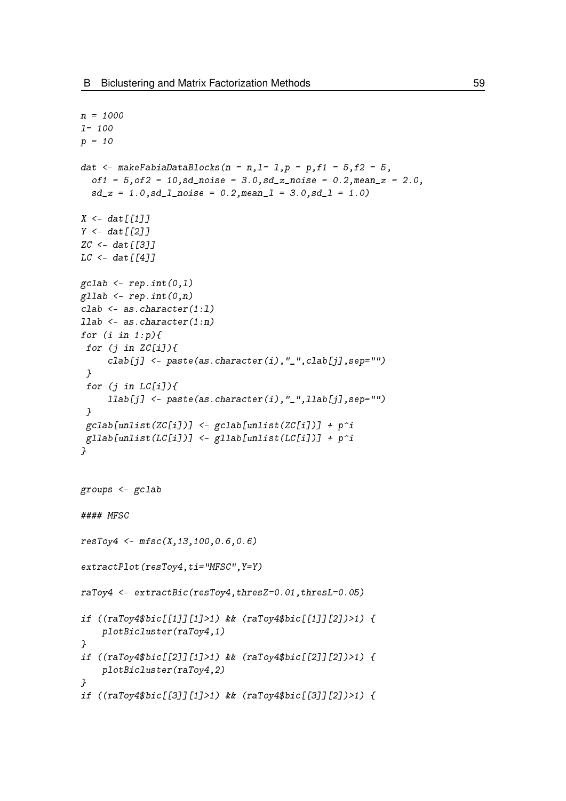```
n = 1000
l= 100
p = 10dat \leq- makeFabiaDataBlocks(n = n, l= 1, p = p, f1 = 5, f2 = 5,
  of1 = 5, of2 = 10, sd\_noise = 3.0, sd\_z\_noise = 0.2, mean\_z = 2.0,sd_z = 1.0, sd_l<sub>noise</sub> = 0.2, meanl = 3.0, sd_l = 1.0)
X \leftarrow \text{dat} \lceil \lceil 1 \rceil \rceilY \leftarrow \text{dat}[[2]]ZC \leftarrow dat [[3]]LC < - dat\lceil \lceil 4 \rceil]
\text{gcdab} \leftarrow \text{rep.int}(0,1)gllab \leq rep.int(0,n)
clab <- as.character(1:l)
llab <- as.character(1:n)
for (i \text{ in } 1:p)for (j in ZC[i]/\{clab[j] <- paste(as.character(i),"_",clab[j],sep="")
 }
 for (j in LC[i]/\{llab[j] <- paste(as.character(i),"_",llab[j],sep="")
 }
 gcdab[unlist(ZC[i])] <- gcdab[unlist(ZC[i])) + p^igllab[unlist(LC[i])] <- gllab[unlist(LC[i])] + p^i}
groups <- gclab
#### MFSC
resToy4 \leq mfsc(X, 13, 100, 0.6, 0.6)extractPlot(resToy4,ti="MFSC",Y=Y)
raToy4 <- extractBic(resToy4,thresZ=0.01,thresL=0.05)
if ((raToy4$bic[[1]][1]>1) && (raToy4$bic[[1]][2])>1) {
    plotBicluster(raToy4,1)
}
if ((raToy4$bic[[2]][1]>1) && (raToy4$bic[[2]][2])>1) {
    plotBicluster(raToy4,2)
}
if ((raToy4$bic[[3]][1]>1) && (raToy4$bic[[3]][2])>1) {
```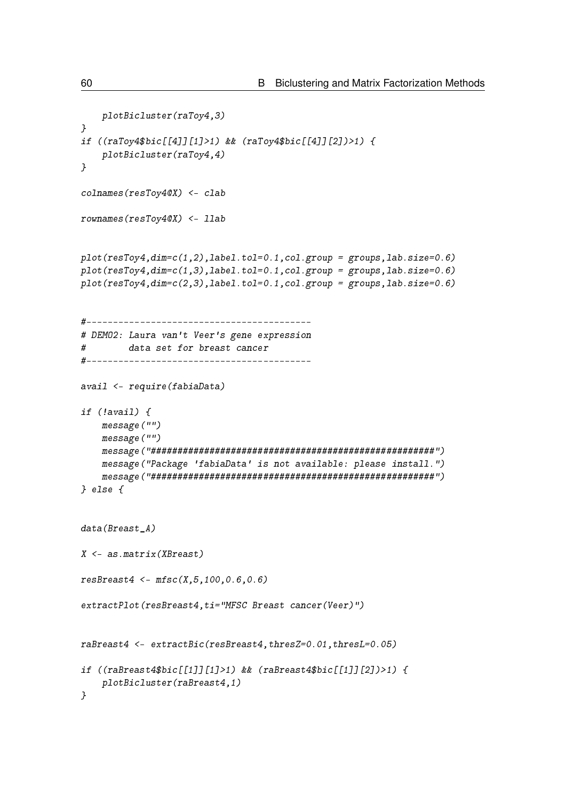```
plotBicluster(raToy4,3)
}
if ((raToy4$bic[[4]][1]>1) && (raToy4$bic[[4]][2])>1) {
    plotBicluster(raToy4,4)
\mathbf{1}colnames(resToy4@X) <- clab
rownames(resToy4@X) <- llab
plot(resToy4, dim=c(1,2), label.tol=0.1, col.group = groups, lab.size=0.6)plot(resToy4,dim=c(1,3),label.tol=0.1,col.group = groups,lab.size=0.6)
plot(resToy4,dim=c(2,3),label.tol=0.1,col.group = groups,lab.size=0.6)
#------------------------------------------
# DEMO2: Laura van't Veer's gene expression
# data set for breast cancer
#------------------------------------------
avail <- require(fabiaData)
if (!avail) {
   message("")
    message("")
    message("#####################################################")
    message("Package 'fabiaData' is not available: please install.")
    message("#####################################################")
} else {
data(Breast A)
X <- as.matrix(XBreast)
resBreat4 \leftarrow mfsc(X, 5, 100, 0.6, 0.6)extractPlot(resBreast4,ti="MFSC Breast cancer(Veer)")
raBreast4 <- extractBic(resBreast4,thresZ=0.01,thresL=0.05)
if ((raBreast4$bic[[1]][1]>1) && (raBreast4$bic[[1]][2])>1) {
    plotBicluster(raBreast4,1)
}
```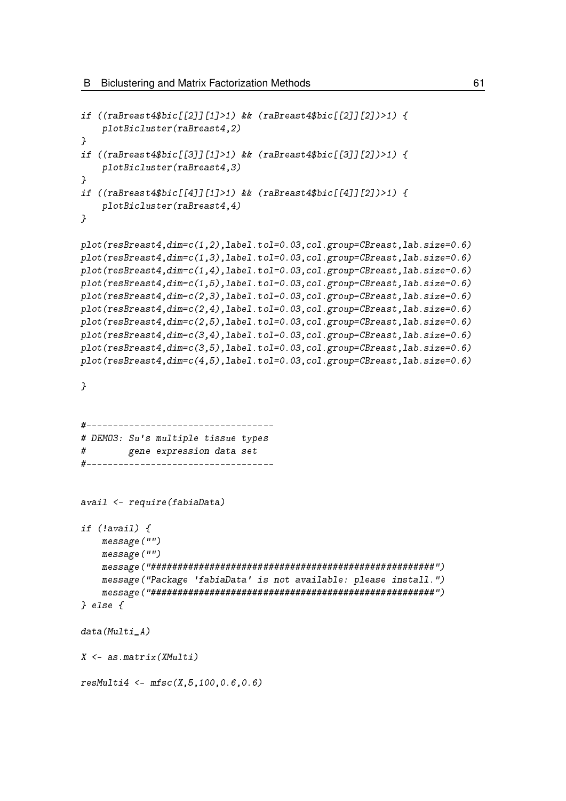```
if ((raBreast4$bic[[2]][1]>1) && (raBreast4$bic[[2]][2])>1) {
    plotBicluster(raBreast4,2)
}
if ((raBreast4$bic[[3]][1]>1) && (raBreast4$bic[[3]][2])>1) {
    plotBicluster(raBreast4,3)
}
if ((raBreast4$bic[[4]][1]>1) && (raBreast4$bic[[4]][2])>1) {
    plotBicluster(raBreast4,4)
}
plot(resBreast4,dim=c(1,2),label.tol=0.03,col.group=CBreast,lab.size=0.6)
plot(resBreast4,dim=c(1,3),label.tol=0.03,col.group=CBreast,lab.size=0.6)
plot(resBreast4,dim=c(1,4),label.tol=0.03,col.group=CBreast,lab.size=0.6)
plot(resBreast4,dim=c(1,5),label.tol=0.03,col.group=CBreast,lab.size=0.6)
plot(resBreast4,dim=c(2,3),label.tol=0.03,col.group=CBreast,lab.size=0.6)
plot(resBreast4,dim=c(2,4),label.tol=0.03,col.group=CBreast,lab.size=0.6)
plot(resBreast4,dim=c(2,5),label.tol=0.03,col.group=CBreast,lab.size=0.6)
plot(resBreast4,dim=c(3,4),label.tol=0.03,col.group=CBreast,lab.size=0.6)
plot(resBreast4,dim=c(3,5),label.tol=0.03,col.group=CBreast,lab.size=0.6)
plot(resBreast4,dim=c(4,5),label.tol=0.03,col.group=CBreast,lab.size=0.6)
}
#-----------------------------------
# DEMO3: Su's multiple tissue types
# gene expression data set
#-----------------------------------
avail <- require(fabiaData)
if (!avail) {
    message("")
    message("")
    message("#####################################################")
    message("Package 'fabiaData' is not available: please install.")
    message("#####################################################")
} else {
data(Multi_A)
X <- as.matrix(XMulti)
resMulti4 \leq mfsc(X, 5, 100, 0.6, 0.6)
```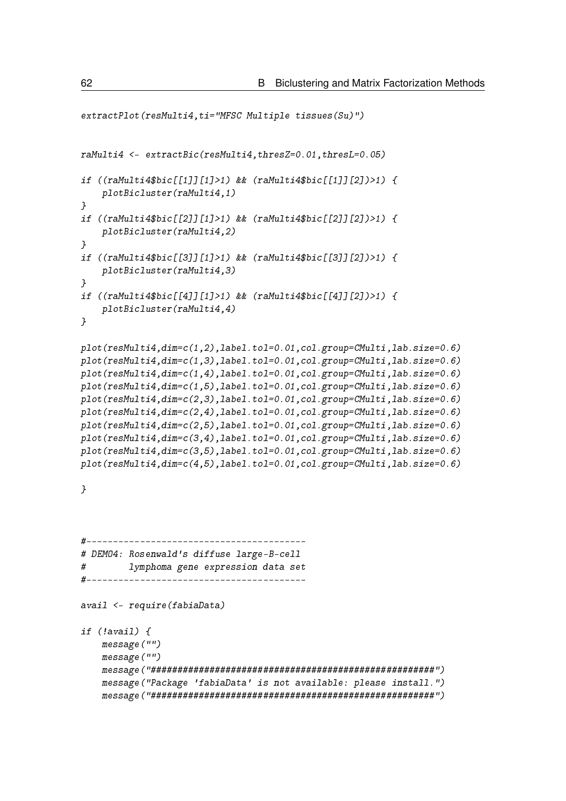```
extractPlot(resMulti4,ti="MFSC Multiple tissues(Su)")
raMulti4 <- extractBic(resMulti4,thresZ=0.01,thresL=0.05)
if ((raMulti4$bic[[1]][1]>1) && (raMulti4$bic[[1]][2])>1) {
    plotBicluster(raMulti4,1)
}
if ((raMulti4$bic[[2]][1]>1) && (raMulti4$bic[[2]][2])>1) {
    plotBicluster(raMulti4,2)
}
if ((raMulti4$bic[[3]][1]>1) && (raMulti4$bic[[3]][2])>1) {
    plotBicluster(raMulti4,3)
}
if ((raMulti4$bic[[4]][1]>1) && (raMulti4$bic[[4]][2])>1) {
    plotBicluster(raMulti4,4)
}
plot(resMulti4,dim=c(1,2),label.tol=0.01,col.group=CMulti,lab.size=0.6)
plot(resMulti4,dim=c(1,3),label.tol=0.01,col.group=CMulti,lab.size=0.6)
plot(resMulti4,dim=c(1,4),label.tol=0.01,col.group=CMulti,lab.size=0.6)
plot(resMulti4,dim=c(1,5),label.tol=0.01,col.group=CMulti,lab.size=0.6)
plot(resMulti4,dim=c(2,3),label.tol=0.01,col.group=CMulti,lab.size=0.6)
plot(resMulti4,dim=c(2,4),label.tol=0.01,col.group=CMulti,lab.size=0.6)
plot(resMulti4,dim=c(2,5),label.tol=0.01,col.group=CMulti,lab.size=0.6)
plot(resMulti4,dim=c(3,4),label.tol=0.01,col.group=CMulti,lab.size=0.6)
plot(resMulti4,dim=c(3,5),label.tol=0.01,col.group=CMulti,lab.size=0.6)
plot(resMulti4,dim=c(4,5),label.tol=0.01,col.group=CMulti,lab.size=0.6)
}
#-----------------------------------------
# DEMO4: Rosenwald's diffuse large-B-cell
# lymphoma gene expression data set
#-----------------------------------------
avail <- require(fabiaData)
if (!avail) {
    message("")
    message("")
    message("#####################################################")
    message("Package 'fabiaData' is not available: please install.")
    message("#####################################################")
```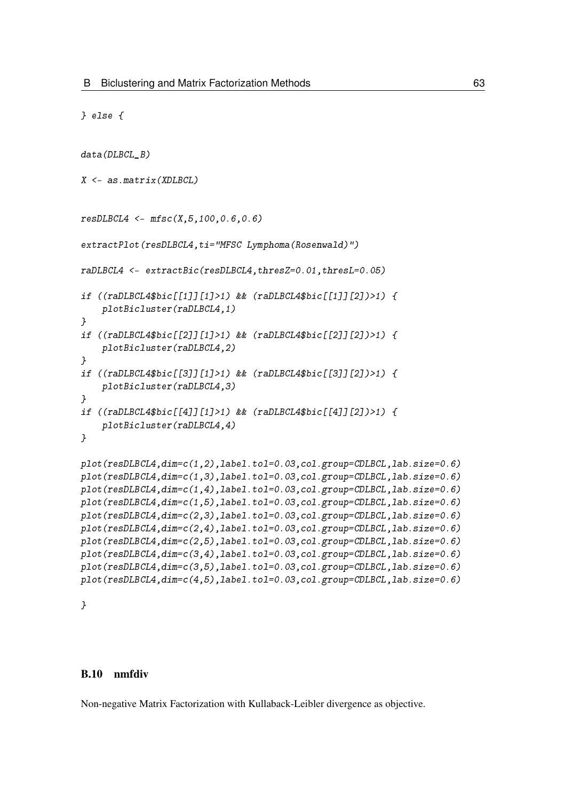```
} else {
```

```
data(DLBCL B)
X \leftarrow as_matrix(XDLBCL)resDLECL4 \leq mfsc(X, 5, 100, 0.6, 0.6)extractPlot(resDLBCL4,ti="MFSC Lymphoma(Rosenwald)")
raDLBCL4 <- extractBic(resDLBCL4,thresZ=0.01,thresL=0.05)
if ((raDLBCL4$bic[[1]][1]>1) && (raDLBCL4$bic[[1]][2])>1) {
    plotBicluster(raDLBCL4,1)
}
if ((raDLBCL4$bic[[2]][1]>1) && (raDLBCL4$bic[[2]][2])>1) {
    plotBicluster(raDLBCL4,2)
}
if ((raDLBCL4$bic[[3]][1]>1) && (raDLBCL4$bic[[3]][2])>1) {
    plotBicluster(raDLBCL4,3)
}
if ((raDLBCL4$bic[[4]][1]>1) && (raDLBCL4$bic[[4]][2])>1) {
    plotBicluster(raDLBCL4,4)
}
plot(resDLBCL4, dim=c(1,2), label.tol=0.03, col.group=CDLBCL, lab.size=0.6)plot(resDLBCL4,dim=c(1,3),label.tol=0.03,col.group=CDLBCL,lab.size=0.6)
plot(resDLBCL4,dim=c(1,4),label.tol=0.03,col.group=CDLBCL,lab.size=0.6)
plot(resDLBCL4,dim=c(1,5),label.tol=0.03,col.group=CDLBCL,lab.size=0.6)
plot(resDLBCL4,dim=c(2,3),label.tol=0.03,col.group=CDLBCL,lab.size=0.6)
plot(resDLBCL4,dim=c(2,4),label.tol=0.03,col.group=CDLBCL,lab.size=0.6)
plot(resDLBCL4,dim=c(2,5),label.tol=0.03,col.group=CDLBCL,lab.size=0.6)
plot(resDLBCL4,dim=c(3,4),label.tol=0.03,col.group=CDLBCL,lab.size=0.6)
plot(resDLBCL4,dim=c(3,5),label.tol=0.03,col.group=CDLBCL,lab.size=0.6)
plot(resDLBCL4,dim=c(4,5),label.tol=0.03,col.group=CDLBCL,lab.size=0.6)
```
}

### B.10 nmfdiv

Non-negative Matrix Factorization with Kullaback-Leibler divergence as objective.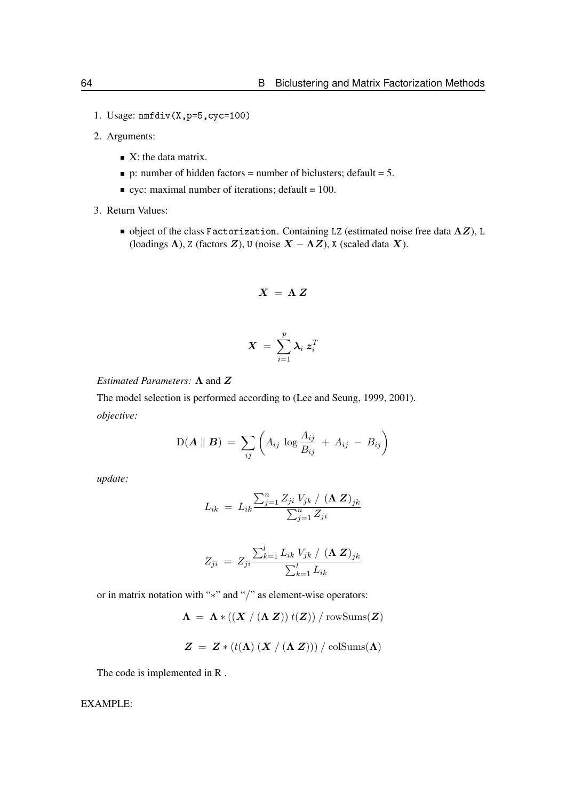- 1. Usage: nmfdiv(X,p=5,cyc=100)
- 2. Arguments:
	- $\blacksquare$  X: the data matrix.
	- p: number of hidden factors = number of biclusters; default =  $5$ .
	- $\bullet$  cyc: maximal number of iterations; default = 100.
- 3. Return Values:
	- object of the class Factorization. Containing LZ (estimated noise free data  $\Lambda Z$ ), L (loadings  $\Lambda$ ), Z (factors  $\mathbf{Z}$ ), U (noise  $\mathbf{X} - \Lambda \mathbf{Z}$ ), X (scaled data  $\mathbf{X}$ ).

$$
X = \Lambda Z
$$

$$
\bm{X}\ =\ \sum_{i=1}^p \bm{\lambda}_i\ \bm{z}_i^T
$$

### *Estimated Parameters:* Λ and Z

The model selection is performed according to [\(Lee and Seung, 1999,](#page-97-4) [2001\)](#page-97-5). *objective:*

$$
D(\boldsymbol{A} \parallel \boldsymbol{B}) = \sum_{ij} \left( A_{ij} \log \frac{A_{ij}}{B_{ij}} + A_{ij} - B_{ij} \right)
$$

*update:*

$$
L_{ik} = L_{ik} \frac{\sum_{j=1}^{n} Z_{ji} V_{jk} / (\mathbf{\Lambda} \mathbf{Z})_{jk}}{\sum_{j=1}^{n} Z_{ji}}
$$

$$
Z_{ji} = Z_{ji} \frac{\sum_{k=1}^{l} L_{ik} V_{jk} / (\mathbf{\Lambda} \mathbf{Z})_{jk}}{\sum_{k=1}^{l} L_{ik}}
$$

or in matrix notation with "∗" and "/" as element-wise operators:

 $\Lambda = \Lambda * ((X / (\Lambda Z)) t(Z)) / \text{rowSums}(Z)$ 

$$
Z = Z * (t(\Lambda) (X / (\Lambda Z))) / \mathrm{colSums}(\Lambda)
$$

The code is implemented in R .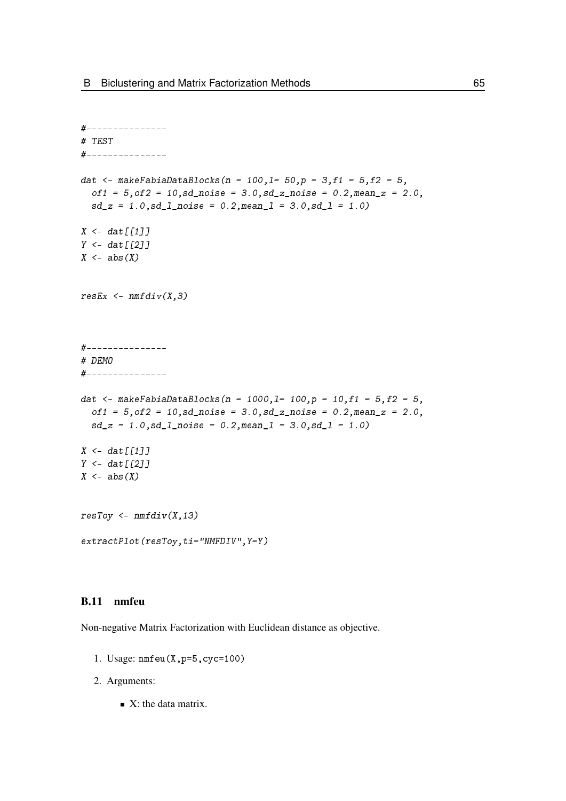```
#---------------
# TEST
#---------------
dat <- makeFabiaDataBlocks(n = 100,1= 50,p = 3,f1 = 5,f2 = 5,
  of1 = 5, of2 = 10, sd\_noise = 3.0, sd\_z\_noise = 0.2, mean\_z = 2.0,sd_z = 1.0, sd_l_pnoise = 0.2, meanl = 3.0, sd_l = 1.0X \leftarrow \text{dat}[[1]]Y \leftarrow \text{dat}[[2]]X \leftarrow abs(X)resEx \leftarrow \textit{nmfdiv}(X,3)#---------------
# DEMO
#---------------
dat <- makeFabiaDataBlocks(n = 1000,1= 100,p = 10,f1 = 5,f2 = 5,
  of1 = 5, of2 = 10, sd\_noise = 3.0, sd\_z\_noise = 0.2, mean\_z = 2.0,sd_z = 1.0, sd_l_pnoise = 0.2, meanl = 3.0, sd_l = 1.0X \leftarrow \text{dat}[[1]]Y \leftarrow \text{dat}[[2]]X \leftarrow abs(X)resToy \leq -nmfdiv(X,13)extractPlot(resToy,ti="NMFDIV", Y=Y)
```
# B.11 nmfeu

Non-negative Matrix Factorization with Euclidean distance as objective.

- 1. Usage: nmfeu(X,p=5,cyc=100)
- 2. Arguments:
	- $\blacksquare$  X: the data matrix.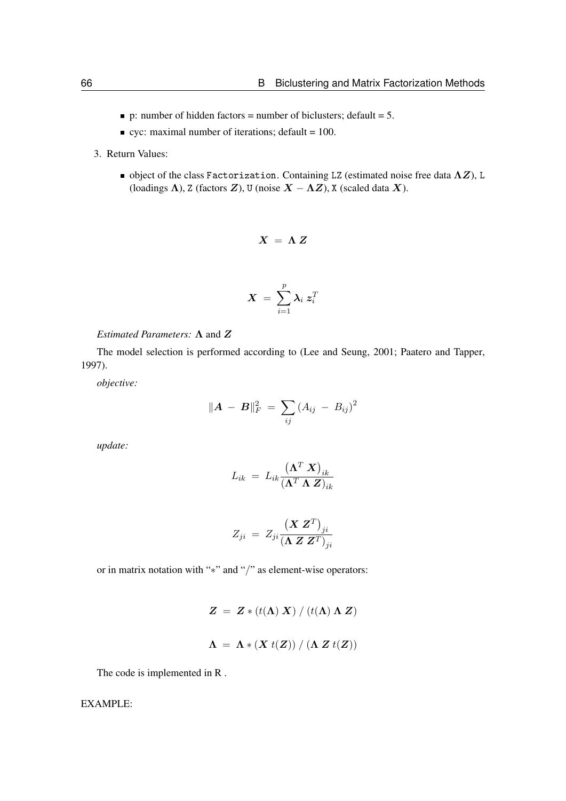- $\bullet$  p: number of hidden factors = number of biclusters; default = 5.
- $\bullet$  cyc: maximal number of iterations; default = 100.
- 3. Return Values:
	- object of the class Factorization. Containing LZ (estimated noise free data  $\Lambda Z$ ), L (loadings  $\Lambda$ ), Z (factors  $Z$ ), U (noise  $X - \Lambda Z$ ), X (scaled data X).

$$
X = \Lambda Z
$$

$$
\bm{X}~=~\sum_{i=1}^p \bm{\lambda}_i~\bm{z}_i^T
$$

*Estimated Parameters:* 
$$
\Lambda
$$
 and  $Z$ 

The model selection is performed according to [\(Lee and Seung, 2001;](#page-97-5) [Paatero and Tapper,](#page-97-6) [1997\)](#page-97-6).

*objective:*

$$
\|\mathbf{A} - \mathbf{B}\|_F^2 = \sum_{ij} (A_{ij} - B_{ij})^2
$$

*update:*

$$
L_{ik}\ =\ L_{ik}\frac{\left(\boldsymbol{\Lambda}^T\ \boldsymbol{X}\right)_{ik}}{\left(\boldsymbol{\Lambda}^T\ \boldsymbol{\Lambda}\ \boldsymbol{Z}\right)_{ik}}
$$

$$
Z_{ji}\ =\ Z_{ji}\frac{\left(\boldsymbol X\ \boldsymbol Z^T\right)_{ji}}{\left(\boldsymbol \Lambda\ \boldsymbol Z\ \boldsymbol Z^T\right)_{ji}}
$$

or in matrix notation with "∗" and "/" as element-wise operators:

$$
Z = Z * (t(\Lambda) X) / (t(\Lambda) \Lambda Z)
$$

$$
\Lambda = \Lambda * (X t(Z)) / (\Lambda Z t(Z))
$$

The code is implemented in R .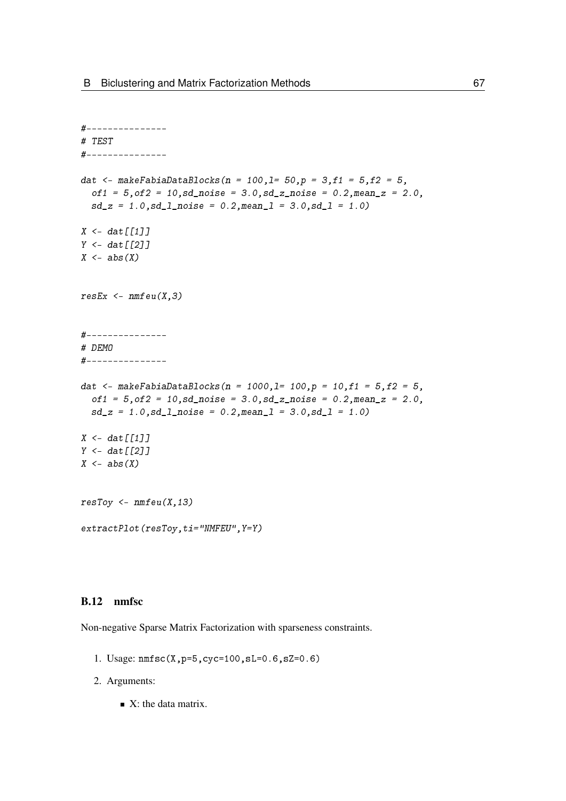```
#---------------
# TEST
#---------------
dat <- makeFabiaDataBlocks(n = 100,1= 50,p = 3,f1 = 5,f2 = 5,
  of1 = 5, of2 = 10, sd\_noise = 3.0, sd\_z\_noise = 0.2, mean\_z = 2.0,sd_z = 1.0, sd_l_pnoise = 0.2, meanl = 3.0, sd_l = 1.0X \leftarrow \text{dat}[[1]]Y \leftarrow \text{dat}[[2]]X \leftarrow abs(X)resEx \leftarrow nmfeu(X,3)#---------------
# DEMO
#---------------
dat <- makeFabiaDataBlocks(n = 1000,1= 100,p = 10,f1 = 5, f2 = 5,
  of1 = 5, of2 = 10, sd\_noise = 3.0, sd\_z\_noise = 0.2, mean\_z = 2.0,sd_z = 1.0, sd_l<sub>noise</sub> = 0.2, meanl = 3.0, sd_l = 1.0)
X \leftarrow \text{dat}[[1]]Y \leftarrow \text{dat}[[2]]X \leftarrow abs(X)resToy \leftarrow nmfeu(X,13)extractPlot(resToy,ti="NMFEU",Y=Y)
```
# B.12 nmfsc

Non-negative Sparse Matrix Factorization with sparseness constraints.

- 1. Usage: nmfsc(X,p=5,cyc=100,sL=0.6,sZ=0.6)
- 2. Arguments:
	- $\blacksquare$  X: the data matrix.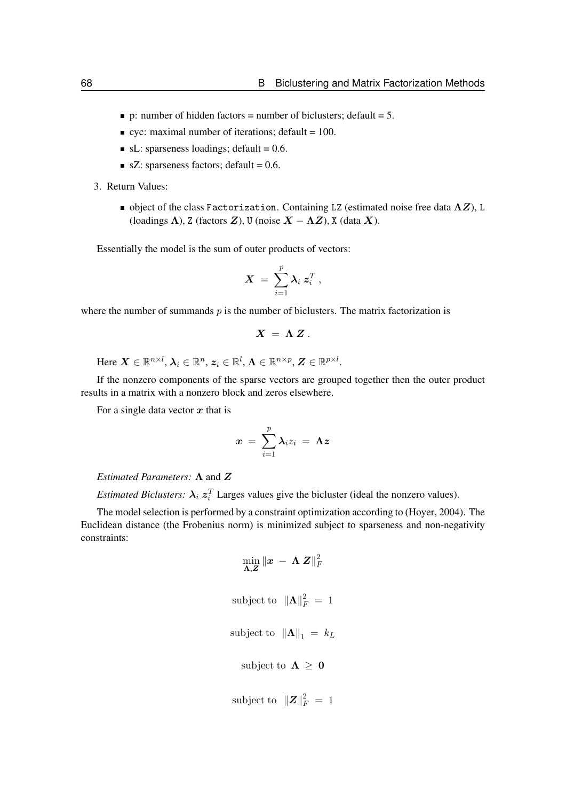- p: number of hidden factors = number of biclusters; default =  $5$ .
- $\bullet$  cyc: maximal number of iterations; default = 100.
- $\blacksquare$  sL: sparseness loadings; default = 0.6.
- $\blacksquare$  sZ: sparseness factors; default = 0.6.
- 3. Return Values:
	- $\blacksquare$  object of the class Factorization. Containing LZ (estimated noise free data  $\Lambda Z$ ), L (loadings  $\Lambda$ ), Z (factors  $Z$ ), U (noise  $X - \Lambda Z$ ), X (data  $X$ ).

Essentially the model is the sum of outer products of vectors:

$$
\boldsymbol{X}~=~\sum_{i=1}^p \boldsymbol{\lambda}_i ~\boldsymbol{z}_i^T~,
$$

where the number of summands  $p$  is the number of biclusters. The matrix factorization is

$$
X = \Lambda Z.
$$

Here  $\bm{X}\in\mathbb{R}^{n\times l},$   $\bm{\lambda}_i\in\mathbb{R}^{n}$ ,  $\bm{z}_i\in\mathbb{R}^{l}$ ,  $\bm{\Lambda}\in\mathbb{R}^{n\times p}$ ,  $\bm{Z}\in\mathbb{R}^{p\times l}$ .

If the nonzero components of the sparse vectors are grouped together then the outer product results in a matrix with a nonzero block and zeros elsewhere.

For a single data vector  $x$  that is

$$
x\ =\ \sum_{i=1}^p \lambda_i z_i\ =\ \mathbf{\Lambda}\boldsymbol{z}
$$

# *Estimated Parameters:* Λ and Z

*Estimated Biclusters:*  $\lambda_i z_i^T$  Larges values give the bicluster (ideal the nonzero values).

The model selection is performed by a constraint optimization according to [\(Hoyer, 2004\)](#page-97-3). The Euclidean distance (the Frobenius norm) is minimized subject to sparseness and non-negativity constraints:

$$
\min_{\mathbf{\Lambda}, \mathbf{Z}} \|\mathbf{x} - \mathbf{\Lambda} \mathbf{Z}\|_F^2
$$
\nsubject to 
$$
\|\mathbf{\Lambda}\|_F^2 = 1
$$
\nsubject to 
$$
\|\mathbf{\Lambda}\|_1 = k_L
$$
\nsubject to 
$$
\mathbf{\Lambda} \geq \mathbf{0}
$$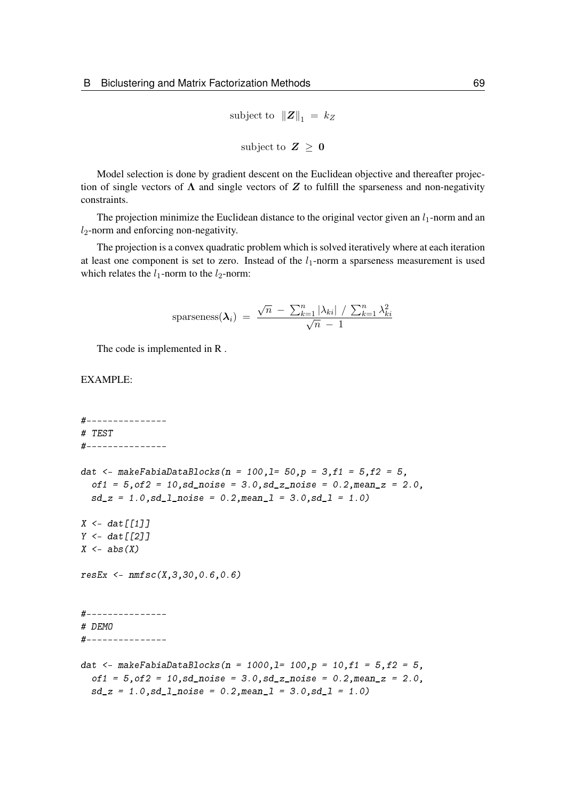subject to  $||Z||_1 = k_Z$ subject to  $Z \geq 0$ 

Model selection is done by gradient descent on the Euclidean objective and thereafter projection of single vectors of  $\Lambda$  and single vectors of Z to fulfill the sparseness and non-negativity constraints.

The projection minimize the Euclidean distance to the original vector given an  $l_1$ -norm and an  $l_2$ -norm and enforcing non-negativity.

The projection is a convex quadratic problem which is solved iteratively where at each iteration at least one component is set to zero. Instead of the  $l_1$ -norm a sparseness measurement is used which relates the  $l_1$ -norm to the  $l_2$ -norm:

sparseness
$$
(\lambda_i)
$$
 =  $\frac{\sqrt{n} - \sum_{k=1}^{n} |\lambda_{ki}| / \sum_{k=1}^{n} \lambda_{ki}^2}{\sqrt{n} - 1}$ 

The code is implemented in R .

### EXAMPLE:

#--------------- # TEST #-------------- dat <- makeFabiaDataBlocks(n = 100,1= 50,p = 3,f1 = 5,f2 = 5,  $of1 = 5, of2 = 10, sd$  noise = 3.0,sd z noise = 0.2,mean z = 2.0,  $sd_z = 1.0$ ,  $sd_l$ <sub>noise</sub> = 0.2, mean<sub>1</sub> = 3.0,  $sd_l = 1.0$ )  $X \leq -$  dat  $\lceil \lceil 1 \rceil \rceil$  $Y \leftarrow \text{dat}[[2]]$  $X \leftarrow abs(X)$  $resEx \leq mmsc(X,3,30,0.6,0.6)$ #--------------- # DEMO #-------------- dat <- makeFabiaDataBlocks(n = 1000,1= 100,p = 10,f1 =  $5, f2 = 5$ ,  $of1 = 5, of2 = 10, sd\_noise = 3.0, sd\_z\_noise = 0.2, mean\_z = 2.0,$  $sd_z = 1.0$ ,  $sd_l_p$ noise = 0.2, mean $l = 3.0$ ,  $sd_l = 1.0$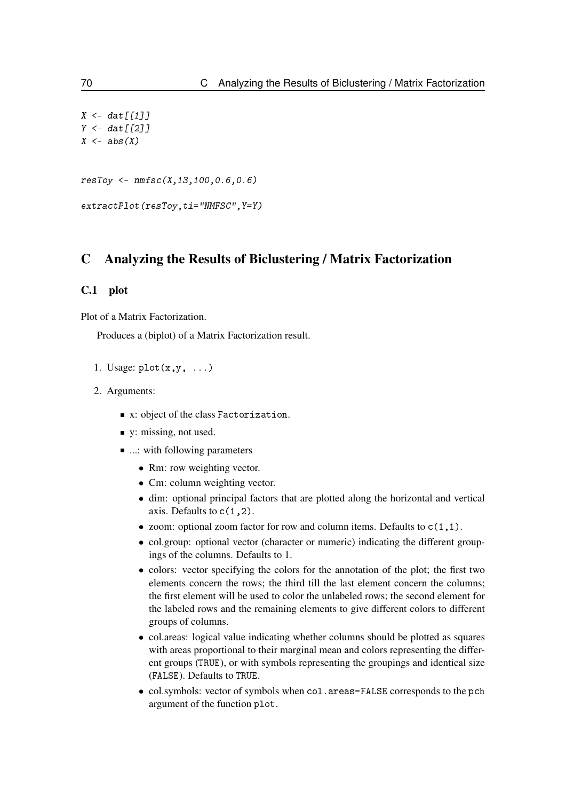```
X \leftarrow \text{dat}[[1]]Y \leftarrow \text{dat} \lceil \lceil 2 \rceilX \leftarrow abs(X)resToy <- nmfsc(X,13,100,0.6,0.6)
extractPlot(resToy,ti="NMFSC",Y=Y)
```
# C Analyzing the Results of Biclustering / Matrix Factorization

# C.1 plot

Plot of a Matrix Factorization.

Produces a (biplot) of a Matrix Factorization result.

- 1. Usage:  $plot(x, y, \ldots)$
- 2. Arguments:
	- x: object of the class Factorization.
	- v: missing, not used.
	- ...: with following parameters
		- Rm: row weighting vector.
		- Cm: column weighting vector.
		- dim: optional principal factors that are plotted along the horizontal and vertical axis. Defaults to  $c(1,2)$ .
		- zoom: optional zoom factor for row and column items. Defaults to  $c(1,1)$ .
		- col.group: optional vector (character or numeric) indicating the different groupings of the columns. Defaults to 1.
		- colors: vector specifying the colors for the annotation of the plot; the first two elements concern the rows; the third till the last element concern the columns; the first element will be used to color the unlabeled rows; the second element for the labeled rows and the remaining elements to give different colors to different groups of columns.
		- col.areas: logical value indicating whether columns should be plotted as squares with areas proportional to their marginal mean and colors representing the different groups (TRUE), or with symbols representing the groupings and identical size (FALSE). Defaults to TRUE.
		- col.symbols: vector of symbols when col.areas=FALSE corresponds to the pch argument of the function plot.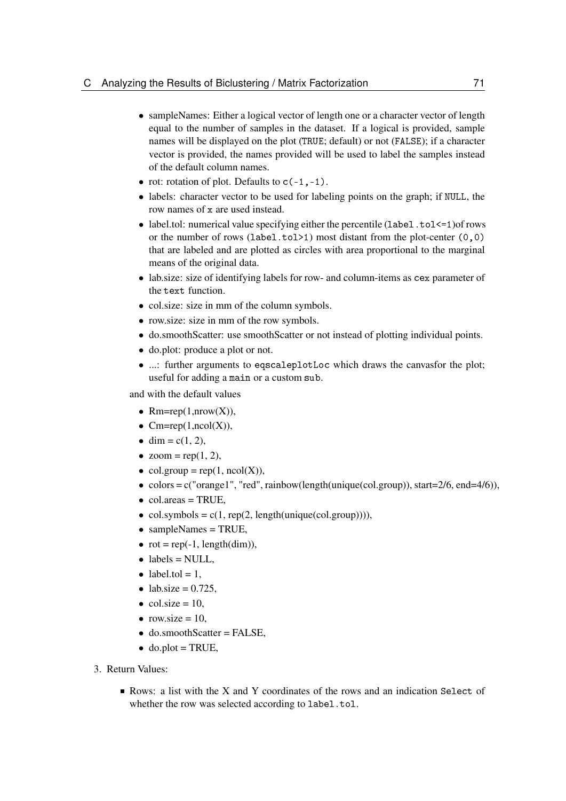- sampleNames: Either a logical vector of length one or a character vector of length equal to the number of samples in the dataset. If a logical is provided, sample names will be displayed on the plot (TRUE; default) or not (FALSE); if a character vector is provided, the names provided will be used to label the samples instead of the default column names.
- rot: rotation of plot. Defaults to  $c(-1, -1)$ .
- labels: character vector to be used for labeling points on the graph; if NULL, the row names of x are used instead.
- label.tol: numerical value specifying either the percentile (label.tol  $\leq 1$ ) of rows or the number of rows (label.tol>1) most distant from the plot-center (0,0) that are labeled and are plotted as circles with area proportional to the marginal means of the original data.
- lab.size: size of identifying labels for row- and column-items as cex parameter of the text function.
- col.size: size in mm of the column symbols.
- row.size: size in mm of the row symbols.
- do.smoothScatter: use smoothScatter or not instead of plotting individual points.
- do.plot: produce a plot or not.
- ...: further arguments to eqscaleplotLoc which draws the canvasfor the plot; useful for adding a main or a custom sub.

and with the default values

- $Rm = rep(1, nrow(X)),$
- $Cm = rep(1, ncol(X)),$
- dim =  $c(1, 2)$ ,
- $zoom = \text{rep}(1, 2)$ ,
- col.group =  $rep(1, ncol(X)),$
- colors =  $c("orange1", "red", rainbow(lenight(unique (col-group)), start=2/6, end=4/6)).$
- $\bullet$  col.areas = TRUE,
- col.symbols =  $c(1, rep(2, length(unique(col.groupby))))$ ,
- sampleNames = TRUE,
- $rot = rep(-1, length(dim)),$
- $\bullet$  labels = NULL,
- label.tol =  $1$ ,
- lab.size  $= 0.725$ ,
- $\bullet$  col.size = 10,
- row.size  $= 10$ ,
- do.smoothScatter = FALSE,
- $\bullet$  do.plot = TRUE,
- 3. Return Values:
	- Rows: a list with the X and Y coordinates of the rows and an indication Select of whether the row was selected according to label.tol.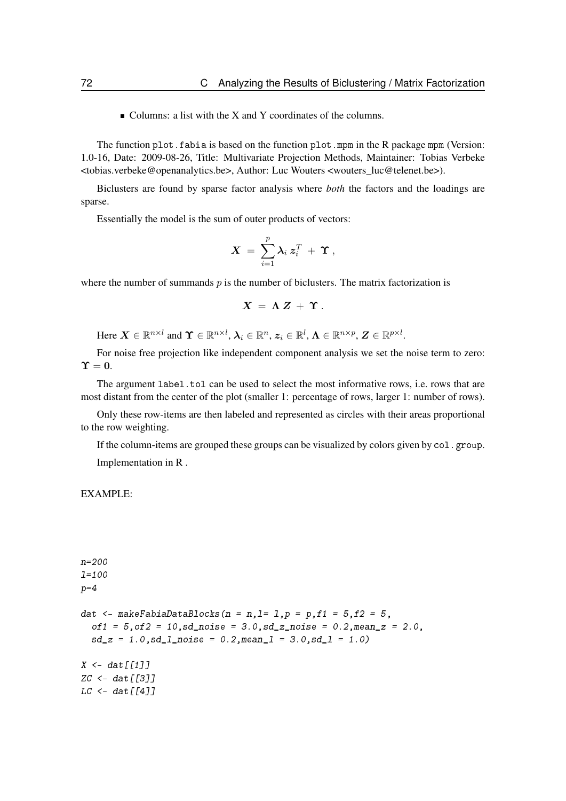■ Columns: a list with the X and Y coordinates of the columns.

The function plot.fabia is based on the function plot.mpm in the R package mpm (Version: 1.0-16, Date: 2009-08-26, Title: Multivariate Projection Methods, Maintainer: Tobias Verbeke <tobias.verbeke@openanalytics.be>, Author: Luc Wouters <wouters\_luc@telenet.be>).

Biclusters are found by sparse factor analysis where *both* the factors and the loadings are sparse.

Essentially the model is the sum of outer products of vectors:

$$
\boldsymbol{X} \ = \ \sum_{i=1}^p \boldsymbol{\lambda}_i \ \boldsymbol{z}_i^T \ + \ \boldsymbol{\Upsilon} \ ,
$$

where the number of summands  $p$  is the number of biclusters. The matrix factorization is

$$
X = \Lambda Z + \Upsilon.
$$

Here  $\boldsymbol{X} \in \mathbb{R}^{n \times l}$  and  $\boldsymbol{\Upsilon} \in \mathbb{R}^{n \times l}$ ,  $\boldsymbol{\lambda}_i \in \mathbb{R}^n$ ,  $\boldsymbol{z}_i \in \mathbb{R}^l$ ,  $\boldsymbol{\Lambda} \in \mathbb{R}^{n \times p}$ ,  $\boldsymbol{Z} \in \mathbb{R}^{p \times l}$ .

For noise free projection like independent component analysis we set the noise term to zero:  $\Upsilon = 0$ .

The argument label.tol can be used to select the most informative rows, i.e. rows that are most distant from the center of the plot (smaller 1: percentage of rows, larger 1: number of rows).

Only these row-items are then labeled and represented as circles with their areas proportional to the row weighting.

If the column-items are grouped these groups can be visualized by colors given by  $col$ .group. Implementation in R .

```
n=200
l=100
p=4dat \leq- makeFabiaDataBlocks(n = n, l= 1, p = p, f1 = 5, f2 = 5,
  of1 = 5, of2 = 10, sd\_noise = 3.0, sd\_noise = 0.2, mean\_z = 2.0,sd_z = 1.0, sd_l noise = 0.2, meanl = 3.0, sd_l = 1.0X \leq - dat \lceil \lceil 1 \rceil \rceilZC < - dat [[3]]
LC < - \frac{dat[[4]]}{dt}
```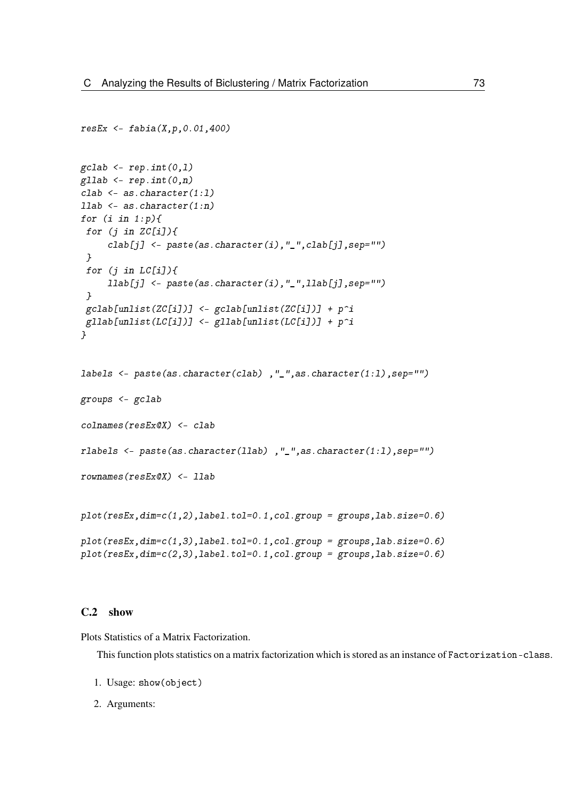```
resEx < - fabia(X, p, 0.01, 400)\text{gcdab} \leftarrow \text{rep.int}(0,1)gllab <- rep.int(0, n)clab \leftarrow as.character(1:1)llab <- as.character(1:n)
for (i \text{ in } 1:p)for (j in ZC[i]/\{clab[j] <- paste(as.character(i),"_",clab[j],sep="")
 }
 for (j in LC[i]/fllab[j] <- paste(as.character(i),"_",llab[j], sep="")
 }
 gcdab[unlist(ZC[i])] <- gcdab[unlist(ZC[i])] + p^igllab[unlist(LC[i])] <- gllab[unlist(LC[i])] + p^i}
labels <- paste(as.character(clab) ,"_",as.character(1:l),sep="")
groups <- gclab
colnames(resEx@X) <- clab
rlabels <- paste(as.character(llab) ,"_",as.character(1:l),sep="")
rownames(resEx@X) <- llab
plot(resEx, dim=c(1,2), label.tol=0.1, col. group = groups, lab. size=0.6)plot(resEx, dim=c(1,3), label.tol=0.1, col.group = groups, lab. size=0.6)plot(resEx,dim=c(2,3),label.tol=0.1,col.group = groups,lab.size=0.6)
```
#### C.2 show

Plots Statistics of a Matrix Factorization.

This function plots statistics on a matrix factorization which is stored as an instance of Factorization-class.

- 1. Usage: show(object)
- 2. Arguments: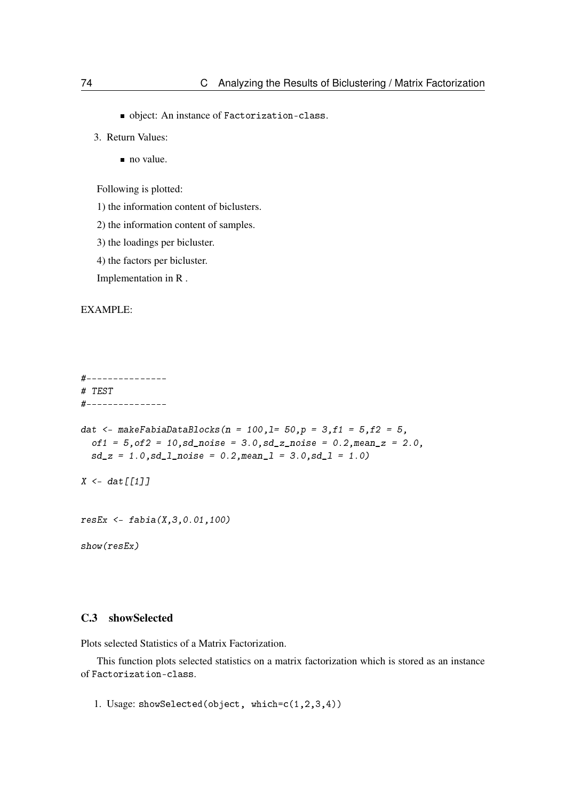- object: An instance of Factorization-class.
- 3. Return Values:
	- no value.

Following is plotted:

- 1) the information content of biclusters.
- 2) the information content of samples.
- 3) the loadings per bicluster.
- 4) the factors per bicluster.

Implementation in R .

## EXAMPLE:

```
#---------------
# TEST
#---------------
dat <- makeFabiaDataBlocks(n = 100,1= 50,p = 3,f1 = 5,f2 = 5,
  of1 = 5, of2 = 10, sd\_noise = 3.0, sd\_z\_noise = 0.2, mean\_z = 2.0,sd_z = 1.0, sd_l noise = 0.2, mean<sub>1</sub> = 3.0, sd_l = 1.0)
X \leq - dat \lceil \lceil 1 \rceil \rceil
```

```
resEx <- fabia(X,3,0.01,100)
```
show(resEx)

## C.3 showSelected

Plots selected Statistics of a Matrix Factorization.

This function plots selected statistics on a matrix factorization which is stored as an instance of Factorization-class.

1. Usage: showSelected(object, which=c(1,2,3,4))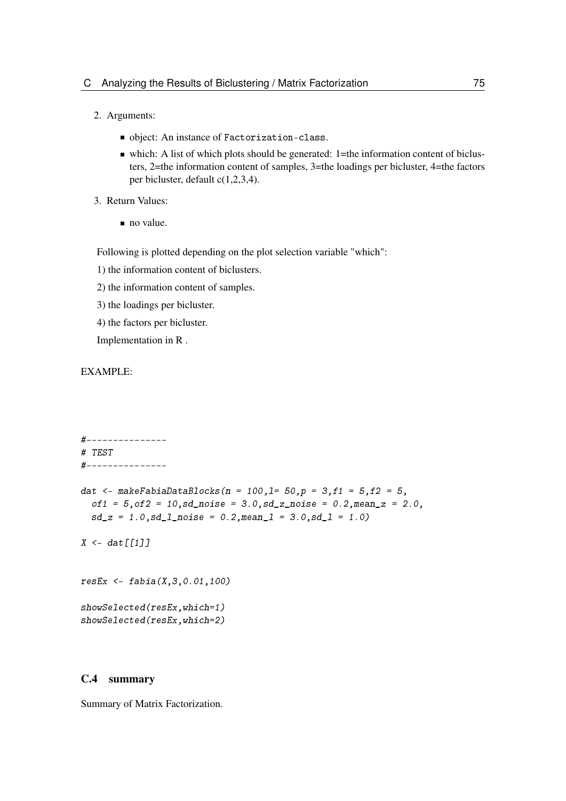- 2. Arguments:
	- object: An instance of Factorization-class.
	- which: A list of which plots should be generated:  $1$ =the information content of biclusters, 2=the information content of samples, 3=the loadings per bicluster, 4=the factors per bicluster, default c(1,2,3,4).
- 3. Return Values:
	- no value.

Following is plotted depending on the plot selection variable "which":

- 1) the information content of biclusters.
- 2) the information content of samples.
- 3) the loadings per bicluster.
- 4) the factors per bicluster.

Implementation in R .

## EXAMPLE:

```
#---------------
# TEST
#---------------
dat <- makeFabiaDataBlocks(n = 100,1= 50,p = 3,f1 = 5,f2 = 5,
 of1 = 5, of2 = 10, sd\_noise = 3.0, sd\_z\_noise = 0.2, mean\_z = 2.0,sd_z = 1.0, sd_l noise = 0.2, meanl = 3.0, sd_l = 1.0
```
 $X \leq -$  dat  $\lceil \lceil 1 \rceil \rceil$ 

resEx <- fabia(X,3,0.01,100) showSelected(resEx,which=1) showSelected(resEx,which=2)

## C.4 summary

Summary of Matrix Factorization.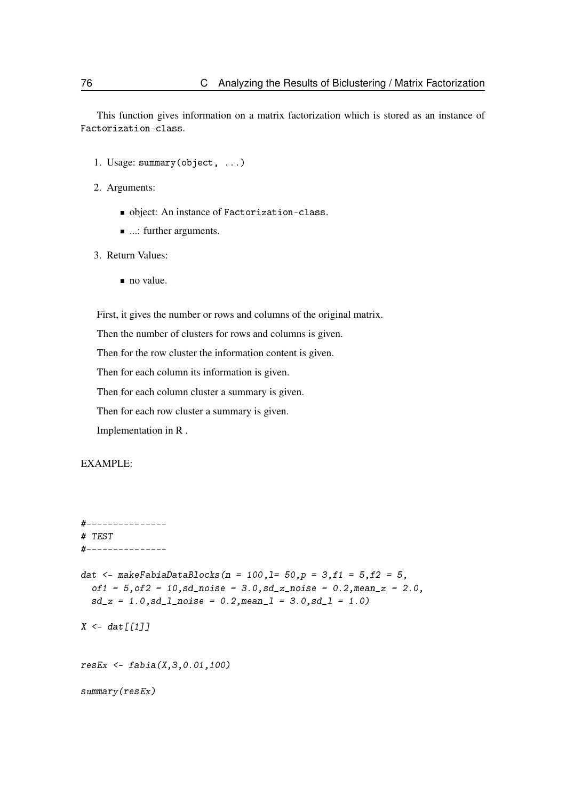This function gives information on a matrix factorization which is stored as an instance of Factorization-class.

- 1. Usage: summary(object, ...)
- 2. Arguments:
	- object: An instance of Factorization-class.
	- ...: further arguments.
- 3. Return Values:
	- no value.

First, it gives the number or rows and columns of the original matrix.

Then the number of clusters for rows and columns is given.

Then for the row cluster the information content is given.

Then for each column its information is given.

Then for each column cluster a summary is given.

Then for each row cluster a summary is given.

Implementation in R .

```
#---------------
# TEST
#---------------
dat <- makeFabiaDataBlocks(n = 100,1= 50,p = 3,f1 = 5,f2 = 5,
  of1 = 5, of2 = 10, sd\_noise = 3.0, sd\_z\_noise = 0.2, mean\_z = 2.0,sd_z = 1.0, sd_l_pnoise = 0.2, meanl = 3.0, sd_l = 1.0X \leftarrow \text{dat}[[1]]resEx \leq - fabia(X, 3, 0.01, 100)summary(resEx)
```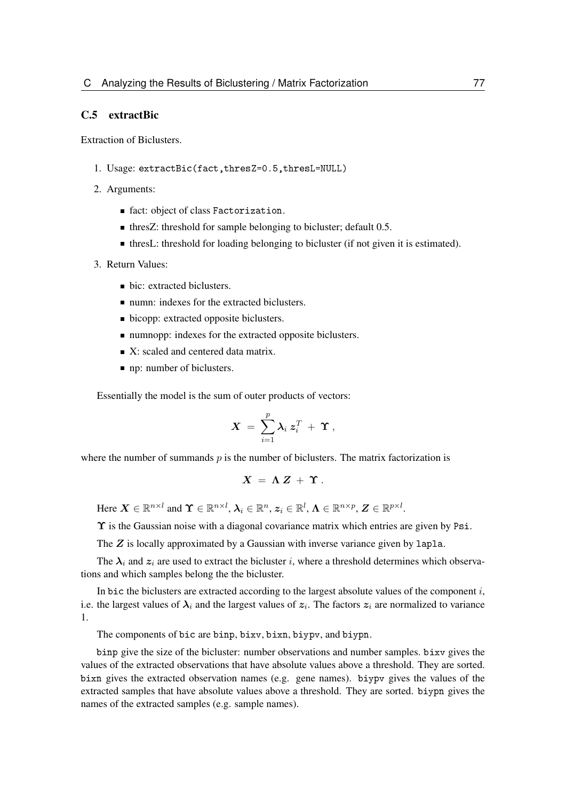## C.5 extractBic

Extraction of Biclusters.

- 1. Usage: extractBic(fact,thresZ=0.5,thresL=NULL)
- 2. Arguments:
	- fact: object of class Factorization.
	- thresZ: threshold for sample belonging to bicluster; default 0.5.
	- thresL: threshold for loading belonging to bicluster (if not given it is estimated).
- 3. Return Values:
	- bic: extracted biclusters.
	- numn: indexes for the extracted biclusters.
	- bicopp: extracted opposite biclusters.
	- numnopp: indexes for the extracted opposite biclusters.
	- $\blacksquare$  X: scaled and centered data matrix.
	- np: number of biclusters.

Essentially the model is the sum of outer products of vectors:

$$
\boldsymbol{X} \ = \ \sum_{i=1}^p \boldsymbol{\lambda}_i \ \boldsymbol{z}_i^T \ + \ \boldsymbol{\Upsilon} \ ,
$$

where the number of summands  $p$  is the number of biclusters. The matrix factorization is

$$
X \ = \ \Lambda \ Z \ + \ \Upsilon \ .
$$

Here  $\boldsymbol{X} \in \mathbb{R}^{n \times l}$  and  $\boldsymbol{\Upsilon} \in \mathbb{R}^{n \times l}$ ,  $\boldsymbol{\lambda}_i \in \mathbb{R}^n$ ,  $\boldsymbol{z}_i \in \mathbb{R}^l$ ,  $\boldsymbol{\Lambda} \in \mathbb{R}^{n \times p}$ ,  $\boldsymbol{Z} \in \mathbb{R}^{p \times l}$ .

Υ is the Gaussian noise with a diagonal covariance matrix which entries are given by Psi.

The Z is locally approximated by a Gaussian with inverse variance given by lapla.

The  $\lambda_i$  and  $z_i$  are used to extract the bicluster i, where a threshold determines which observations and which samples belong the the bicluster.

In bic the biclusters are extracted according to the largest absolute values of the component  $i$ , i.e. the largest values of  $\lambda_i$  and the largest values of  $z_i$ . The factors  $z_i$  are normalized to variance 1.

The components of bic are binp, bixv, bixn, biypv, and biypn.

binp give the size of the bicluster: number observations and number samples. bixv gives the values of the extracted observations that have absolute values above a threshold. They are sorted. bixn gives the extracted observation names (e.g. gene names). biypv gives the values of the extracted samples that have absolute values above a threshold. They are sorted. biypn gives the names of the extracted samples (e.g. sample names).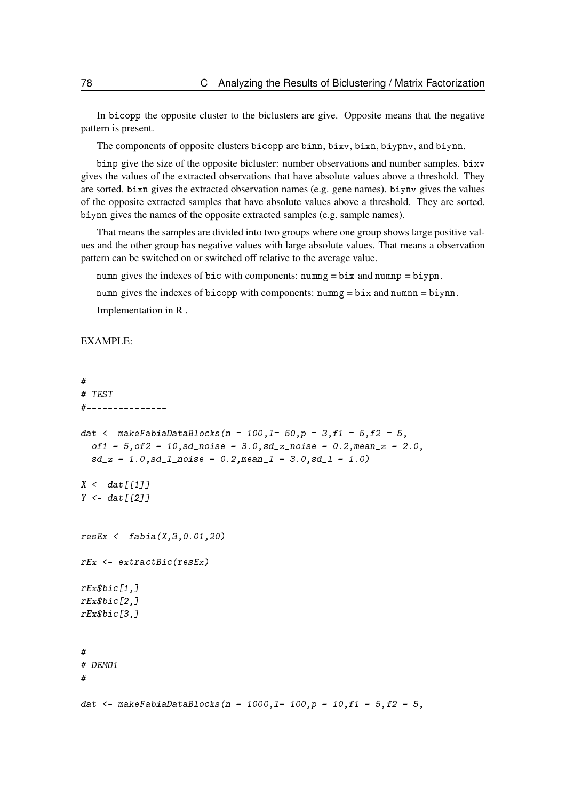In bicopp the opposite cluster to the biclusters are give. Opposite means that the negative pattern is present.

The components of opposite clusters bicopp are binn, bixv, bixn, biypnv, and biynn.

binp give the size of the opposite bicluster: number observations and number samples. bixv gives the values of the extracted observations that have absolute values above a threshold. They are sorted. bixn gives the extracted observation names (e.g. gene names). biynv gives the values of the opposite extracted samples that have absolute values above a threshold. They are sorted. biynn gives the names of the opposite extracted samples (e.g. sample names).

That means the samples are divided into two groups where one group shows large positive values and the other group has negative values with large absolute values. That means a observation pattern can be switched on or switched off relative to the average value.

numn gives the indexes of bic with components:  $numng = bix$  and  $numnp = biypn$ .

numn gives the indexes of bicopp with components: numng  $= bix$  and numnn  $= biynn$ .

Implementation in R .

```
#---------------
# TEST
#---------------
dat <- makeFabiaDataBlocks(n = 100,1= 50,p = 3,f1 = 5,f2 = 5,
  of1 = 5, of2 = 10, sd\_noise = 3.0, sd\_z\_noise = 0.2, mean\_z = 2.0,sd_z = 1.0, sd_l<sub>noise</sub> = 0.2, meanl = 3.0, sd_l = 1.0X \leq -\frac{d}{dt}[111]Y \leq -\frac{d}{dt}[[2]]
resEx \leq - fabia(X, 3, 0.01, 20)rEx <- extractBic(resEx)
rEx$bic[1,]
rEx$bic[2,1]rEx$bic[3,1]#---------------
# DEMO1
#---------------
dat <- makeFabiaDataBlocks(n = 1000,1= 100,p = 10,f1 = 5,f2 = 5,
```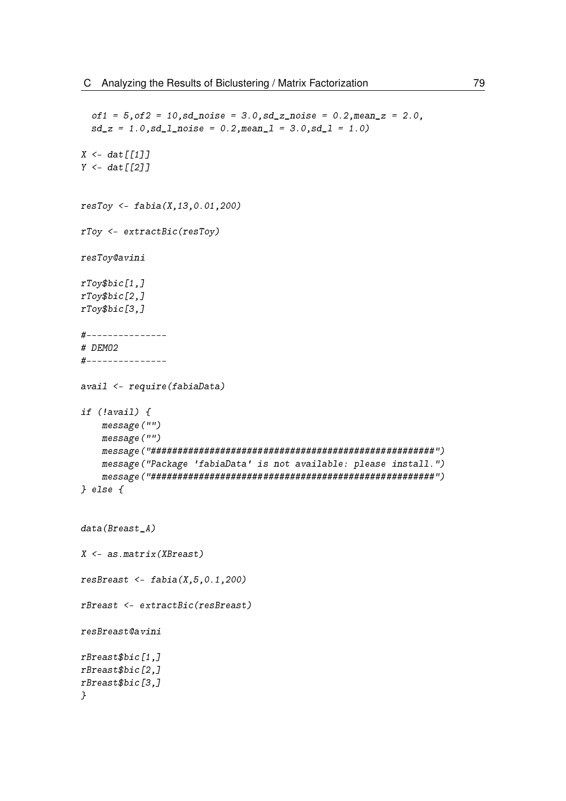```
of1 = 5, of2 = 10, sd\_noise = 3.0, sd\_z\_noise = 0.2, mean\_z = 2.0,sd_z = 1.0, sd_l_pnoise = 0.2, meanl = 3.0, sd_l = 1.0X \leq -\frac{d}{d}Y \leftarrow \text{dat}[[2]]resToy <- fabia(X,13,0.01,200)
rToy <- extractBic(resToy)
resToy@avini
rToy$bic[1,]
rToy$bic[2,]
rToy$bic[3,]
#---------------
# DEMO2
#---------------
avail <- require(fabiaData)
if (!avail) {
   message("")
    message("")
    message("#####################################################")
    message("Package 'fabiaData' is not available: please install.")
    message("#####################################################")
} else {
data(Breast A)
X <- as.matrix(XBreast)
resBreast \leq- fabia(X, 5, 0.1, 200)rBreast <- extractBic(resBreast)
resBreast@avini
rBreast$bic[1,]
rBreast$bic[2,]
rBreast$bic[3,]
}
```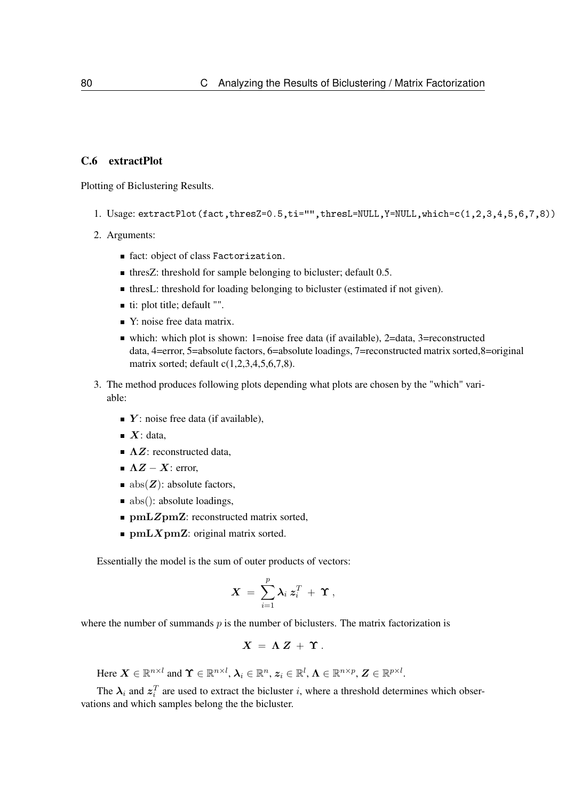## C.6 extractPlot

Plotting of Biclustering Results.

- 1. Usage: extractPlot(fact,thresZ=0.5,ti="",thresL=NULL,Y=NULL,which=c(1,2,3,4,5,6,7,8))
- 2. Arguments:
	- fact: object of class Factorization.
	- **thresZ:** threshold for sample belonging to bicluster; default 0.5.
	- thresL: threshold for loading belonging to bicluster (estimated if not given).
	- ti: plot title; default "".
	- Y: noise free data matrix.
	- which: which plot is shown: 1=noise free data (if available), 2=data, 3=reconstructed data, 4=error, 5=absolute factors, 6=absolute loadings, 7=reconstructed matrix sorted,8=original matrix sorted; default c(1,2,3,4,5,6,7,8).
- 3. The method produces following plots depending what plots are chosen by the "which" variable:
	- $\blacksquare$  Y: noise free data (if available),
	- $\blacksquare$  X: data,
	- $\blacksquare$   $\Lambda Z$ : reconstructed data,
	- $\blacksquare$   $\Lambda Z X$ : error,
	- $\blacksquare$  abs( $Z$ ): absolute factors,
	- $\blacksquare$  abs(): absolute loadings,
	- $\blacksquare$  pmLZpmZ: reconstructed matrix sorted,
	- $\blacksquare$  pmLXpmZ: original matrix sorted.

Essentially the model is the sum of outer products of vectors:

$$
\boldsymbol{X} \ = \ \sum_{i=1}^p \boldsymbol{\lambda}_i \ \boldsymbol{z}_i^T \ + \ \boldsymbol{\Upsilon} \ ,
$$

where the number of summands  $p$  is the number of biclusters. The matrix factorization is

$$
X = \Lambda Z + \Upsilon.
$$

Here  $\boldsymbol{X} \in \mathbb{R}^{n \times l}$  and  $\boldsymbol{\Upsilon} \in \mathbb{R}^{n \times l}$ ,  $\boldsymbol{\lambda}_i \in \mathbb{R}^n$ ,  $\boldsymbol{z}_i \in \mathbb{R}^l$ ,  $\boldsymbol{\Lambda} \in \mathbb{R}^{n \times p}$ ,  $\boldsymbol{Z} \in \mathbb{R}^{p \times l}$ .

The  $\lambda_i$  and  $z_i^T$  are used to extract the bicluster i, where a threshold determines which observations and which samples belong the the bicluster.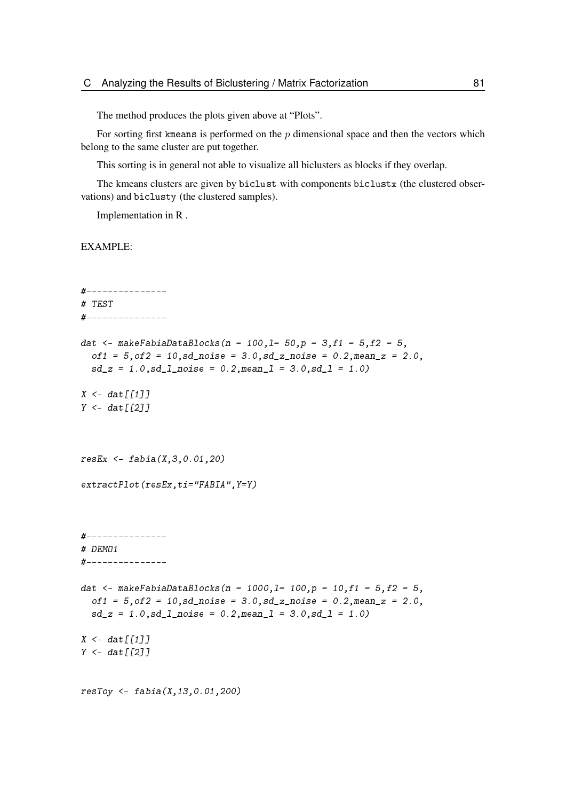The method produces the plots given above at "Plots".

For sorting first kmeans is performed on the  $p$  dimensional space and then the vectors which belong to the same cluster are put together.

This sorting is in general not able to visualize all biclusters as blocks if they overlap.

The kmeans clusters are given by biclust with components biclustx (the clustered observations) and biclusty (the clustered samples).

Implementation in R .

```
#---------------
# TEST
#---------------
dat \leq- makeFabiaDataBlocks(n = 100,1= 50,p = 3,f1 = 5,f2 = 5,
  of1 = 5, of2 = 10, sd\_noise = 3.0, sd\_z\_noise = 0.2, mean\_z = 2.0,sd_z = 1.0, sd_l_p^0 = 0.2, mean<sub>1</sub> = 3.0, sd<sub>1</sub> = 1.0)
X \leftarrow \text{dat}[[1]]Y < - \frac{det[2]}{2}resEx \leq - fabia(X, 3, 0.01, 20)extractPlot(resEx,ti="FABIA",Y=Y)
#---------------
# DEMO1
#---------------
dat <- makeFabiaDataBlocks(n = 1000,1= 100,p = 10,f1 = 5, f2 = 5,
  of1 = 5, of2 = 10, sd\_noise = 3.0, sd\_z\_noise = 0.2, mean\_z = 2.0,sd_z = 1.0, sd_l<sub>noise</sub> = 0.2, meanl = 3.0, sd_l = 1.0X \leftarrow \text{dat}[[1]]Y \leftarrow dat \lceil \lceil 2 \rceil \rceilresToy \leq false (X, 13, 0.01, 200)
```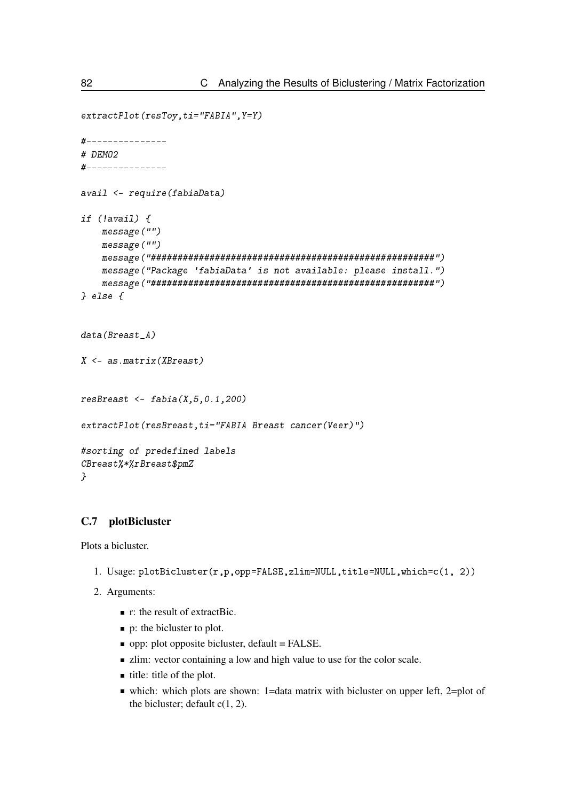```
extractPlot(resToy,ti="FABIA",Y=Y)
#---------------
# DEMO2
#---------------
avail <- require(fabiaData)
if (!avail) {
    message("")
    message("")
    message("#####################################################")
    message("Package 'fabiaData' is not available: please install.")
    message("#####################################################")
} else {
data(Breast_A)
X <- as.matrix(XBreast)
resBreast \leq fabia(X, 5, 0.1, 200)extractPlot(resBreast,ti="FABIA Breast cancer(Veer)")
#sorting of predefined labels
CBreast%*%rBreast$pmZ
}
```
## C.7 plotBicluster

Plots a bicluster.

- 1. Usage: plotBicluster(r,p,opp=FALSE,zlim=NULL,title=NULL,which=c(1, 2))
- 2. Arguments:
	- $\blacksquare$  r: the result of extractBic.
	- p: the bicluster to plot.
	- opp: plot opposite bicluster, default = FALSE.
	- If zlim: vector containing a low and high value to use for the color scale.
	- $\blacksquare$  title: title of the plot.
	- which: which plots are shown: 1=data matrix with bicluster on upper left, 2=plot of the bicluster; default  $c(1, 2)$ .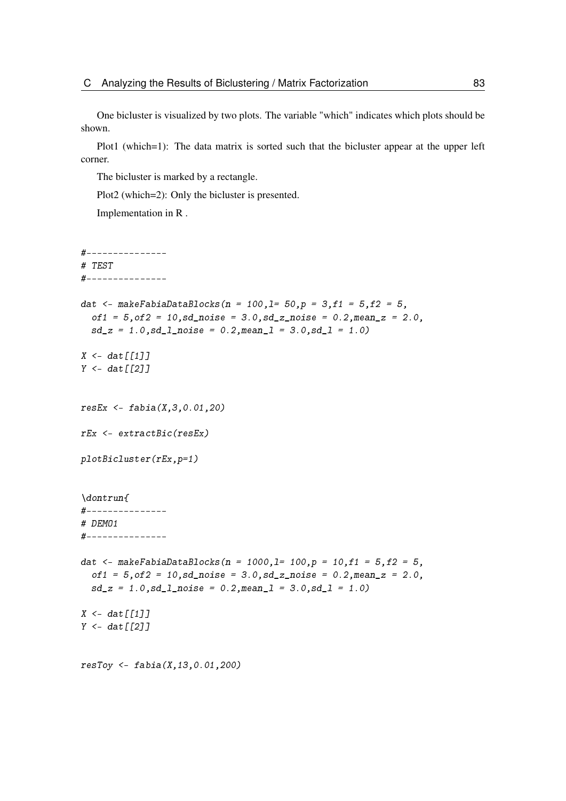One bicluster is visualized by two plots. The variable "which" indicates which plots should be shown.

Plot1 (which=1): The data matrix is sorted such that the bicluster appear at the upper left corner.

The bicluster is marked by a rectangle.

Plot<sub>2</sub> (which=2): Only the bicluster is presented.

Implementation in R .

```
#---------------
# TEST
#---------------
dat <- makeFabiaDataBlocks(n = 100,1= 50,p = 3,f1 = 5,f2 = 5,
  of1 = 5, of2 = 10, sd\_noise = 3.0, sd\_z\_noise = 0.2, mean\_z = 2.0,sd_z = 1.0, sd_l noise = 0.2, mean<sub>1</sub> = 3.0, sd_l = 1.0)
X \leftarrow \text{dat}[[1]]Y \leftarrow \text{dat}[[2]]resEx <- fabia(X,3,0.01,20)
rEx <- extractBic(resEx)
plotBicluster(rEx,p=1)
\dontrun{
#---------------
# DEMO1
#---------------
dat <- makeFabiaDataBlocks(n = 1000,1= 100,p = 10,f1 = 5,f2 = 5,
  of1 = 5, of2 = 10, sd\_noise = 3.0, sd\_z\_noise = 0.2, mean\_z = 2.0,sd_z = 1.0, sd_l_pnoise = 0.2, meanl = 3.0, sd_l = 1.0X \leq -\frac{d}{dt}[111]Y < - \text{dat}[[2]]resToy \leq false (X, 13, 0.01, 200)
```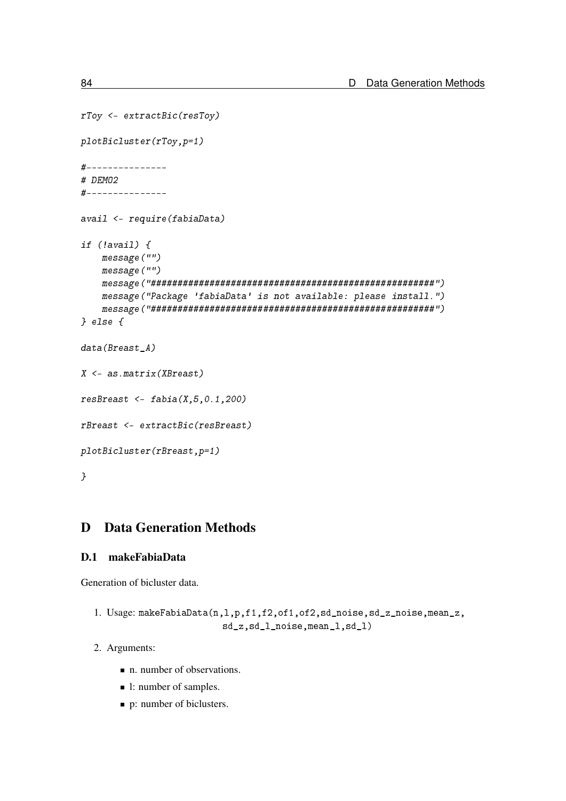```
rToy <- extractBic(resToy)
plotBicluster(rToy,p=1)
#---------------
# DEMO2
#---------------
avail <- require(fabiaData)
if (!avail) {
    message("")
    message("")
    message("#####################################################")
    message("Package 'fabiaData' is not available: please install.")
    message("#####################################################")
} else {
data(Breast A)
X <- as.matrix(XBreast)
resBreast \leq- fabia(X, 5, 0.1, 200)rBreast <- extractBic(resBreast)
plotBicluster(rBreast,p=1)
}
```
# D Data Generation Methods

## D.1 makeFabiaData

Generation of bicluster data.

```
1. Usage: makeFabiaData(n,l,p,f1,f2,of1,of2,sd_noise,sd_z_noise,mean_z,
                        sd_z,sd_l_noise,mean_l,sd_l)
```
- 2. Arguments:
	- n. number of observations.
	- 1: number of samples.
	- p: number of biclusters.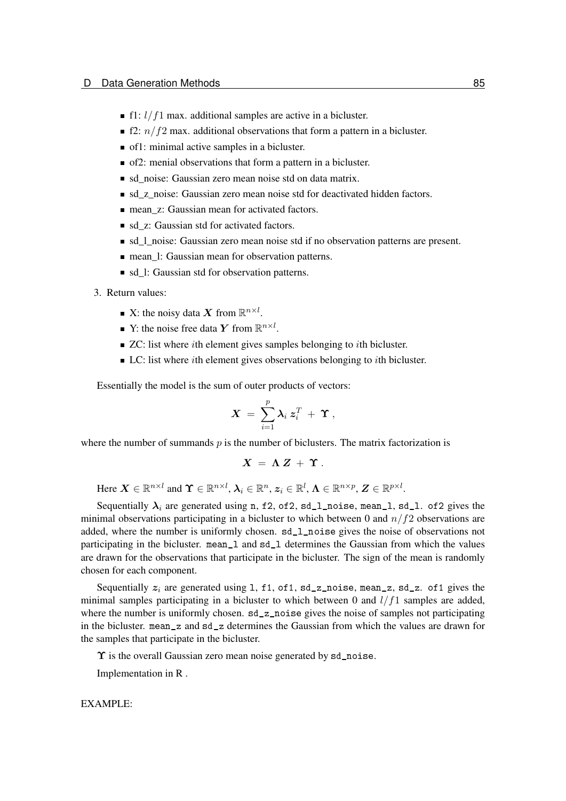- f1:  $l/f1$  max. additional samples are active in a bicluster.
- **F2:**  $n/f2$  max. additional observations that form a pattern in a bicluster.
- of1: minimal active samples in a bicluster.
- of2: menial observations that form a pattern in a bicluster.
- sd noise: Gaussian zero mean noise std on data matrix.
- sd z noise: Gaussian zero mean noise std for deactivated hidden factors.
- mean z: Gaussian mean for activated factors.
- sd z: Gaussian std for activated factors.
- sd\_l\_noise: Gaussian zero mean noise std if no observation patterns are present.
- mean 1: Gaussian mean for observation patterns.
- sd 1: Gaussian std for observation patterns.
- 3. Return values:
	- X: the noisy data X from  $\mathbb{R}^{n \times l}$ .
	- Y: the noise free data Y from  $\mathbb{R}^{n \times l}$ .
	- $\blacksquare$  ZC: list where *i*th element gives samples belonging to *i*th bicluster.
	- $\blacksquare$  LC: list where *i*th element gives observations belonging to *i*th bicluster.

Essentially the model is the sum of outer products of vectors:

$$
X = \sum_{i=1}^p \lambda_i z_i^T + \Upsilon ,
$$

where the number of summands  $p$  is the number of biclusters. The matrix factorization is

$$
X = \Lambda Z + \Upsilon.
$$

Here  $\boldsymbol{X} \in \mathbb{R}^{n \times l}$  and  $\boldsymbol{\Upsilon} \in \mathbb{R}^{n \times l}$ ,  $\boldsymbol{\lambda}_i \in \mathbb{R}^n$ ,  $\boldsymbol{z}_i \in \mathbb{R}^l$ ,  $\boldsymbol{\Lambda} \in \mathbb{R}^{n \times p}$ ,  $\boldsymbol{Z} \in \mathbb{R}^{p \times l}$ .

Sequentially  $\lambda_i$  are generated using n, f2, of2, sd\_1\_noise, mean\_1, sd\_1. of2 gives the minimal observations participating in a bicluster to which between 0 and  $n/f2$  observations are added, where the number is uniformly chosen. sd\_l\_noise gives the noise of observations not participating in the bicluster. mean\_l and sd\_l determines the Gaussian from which the values are drawn for the observations that participate in the bicluster. The sign of the mean is randomly chosen for each component.

Sequentially  $z_i$  are generated using 1, f1, of1, sd\_z\_noise, mean\_z, sd\_z. of1 gives the minimal samples participating in a bicluster to which between 0 and  $l/f1$  samples are added, where the number is uniformly chosen. sd\_z\_noise gives the noise of samples not participating in the bicluster. mean\_z and sd\_z determines the Gaussian from which the values are drawn for the samples that participate in the bicluster.

 $\Upsilon$  is the overall Gaussian zero mean noise generated by sd\_noise.

Implementation in R .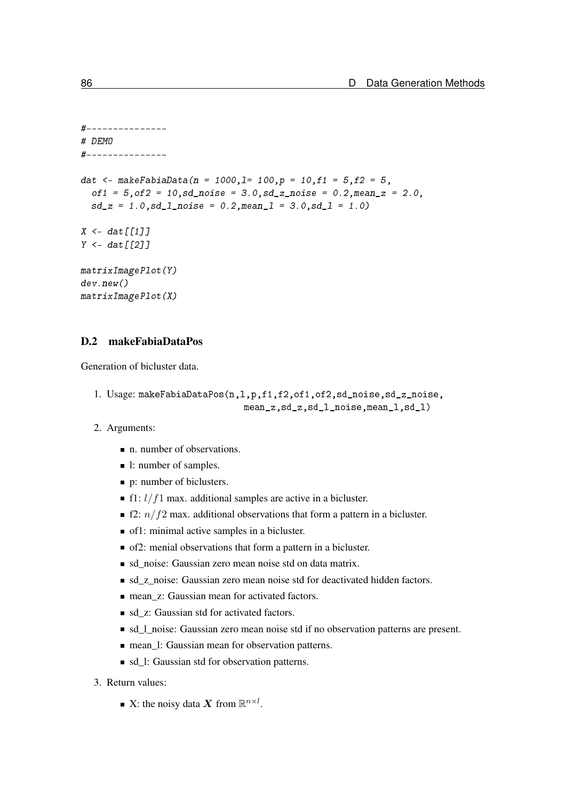```
#---------------
# DEMO
#---------------
dat <- makeFabiaData(n = 1000,1= 100,p = 10,f1 = 5, f2 = 5,
  of1 = 5, of2 = 10, sd\_noise = 3.0, sd\_z\_noise = 0.2, mean\_z = 2.0,sd_z = 1.0, sd_l_pnoise = 0.2, meanl = 3.0, sd_l = 1.0X \leq - dat \lceil \lceil 1 \rceil \rceilY \leftarrow \text{dat}[[2]]matrixImagePlot(Y)
dev.new()
matrixImagePlot(X)
```
## D.2 makeFabiaDataPos

Generation of bicluster data.

```
1. Usage: makeFabiaDataPos(n,l,p,f1,f2,of1,of2,sd_noise,sd_z_noise,
                            mean_z,sd_z,sd_l_noise,mean_l,sd_l)
```
- 2. Arguments:
	- n. number of observations.
	- 1: number of samples.
	- p: number of biclusters.
	- f1:  $l/f1$  max. additional samples are active in a bicluster.
	- **f2:**  $n/f2$  max. additional observations that form a pattern in a bicluster.
	- of1: minimal active samples in a bicluster.
	- of2: menial observations that form a pattern in a bicluster.
	- sd\_noise: Gaussian zero mean noise std on data matrix.
	- sd\_z\_noise: Gaussian zero mean noise std for deactivated hidden factors.
	- mean z: Gaussian mean for activated factors.
	- sd z: Gaussian std for activated factors.
	- sd\_l\_noise: Gaussian zero mean noise std if no observation patterns are present.
	- mean 1: Gaussian mean for observation patterns.
	- sd 1: Gaussian std for observation patterns.
- 3. Return values:
	- X: the noisy data X from  $\mathbb{R}^{n \times l}$ .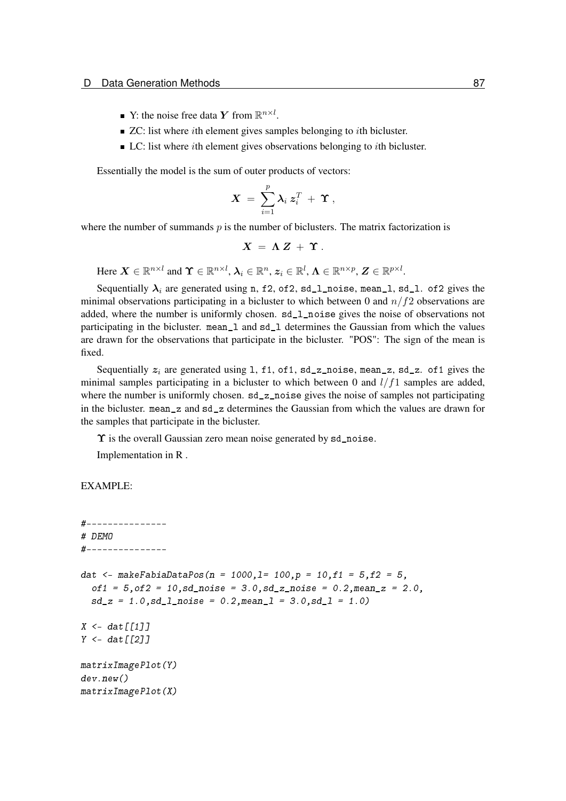- Y: the noise free data Y from  $\mathbb{R}^{n \times l}$ .
- $\blacksquare$  ZC: list where *i*th element gives samples belonging to *i*th bicluster.
- $\blacksquare$  LC: list where *i*th element gives observations belonging to *i*th bicluster.

Essentially the model is the sum of outer products of vectors:

$$
\boldsymbol{X} \ = \ \sum_{i=1}^p \boldsymbol{\lambda}_i \ \boldsymbol{z}_i^T \ + \ \boldsymbol{\Upsilon} \ ,
$$

where the number of summands  $p$  is the number of biclusters. The matrix factorization is

$$
X = \Lambda Z + \Upsilon.
$$

Here  $\boldsymbol{X} \in \mathbb{R}^{n \times l}$  and  $\boldsymbol{\Upsilon} \in \mathbb{R}^{n \times l}$ ,  $\boldsymbol{\lambda}_i \in \mathbb{R}^n$ ,  $\boldsymbol{z}_i \in \mathbb{R}^l$ ,  $\boldsymbol{\Lambda} \in \mathbb{R}^{n \times p}$ ,  $\boldsymbol{Z} \in \mathbb{R}^{p \times l}$ .

Sequentially  $\lambda_i$  are generated using n, f2, of2, sd\_1\_noise, mean\_1, sd\_1. of2 gives the minimal observations participating in a bicluster to which between 0 and  $n/f2$  observations are added, where the number is uniformly chosen. sd\_l\_noise gives the noise of observations not participating in the bicluster. mean\_l and sd\_l determines the Gaussian from which the values are drawn for the observations that participate in the bicluster. "POS": The sign of the mean is fixed.

Sequentially  $z_i$  are generated using 1, f1, of1, sd\_z\_noise, mean\_z, sd\_z. of1 gives the minimal samples participating in a bicluster to which between 0 and  $l/f1$  samples are added, where the number is uniformly chosen. sd\_z\_noise gives the noise of samples not participating in the bicluster. mean\_z and sd\_z determines the Gaussian from which the values are drawn for the samples that participate in the bicluster.

 $\Upsilon$  is the overall Gaussian zero mean noise generated by sd\_noise.

Implementation in R .

```
#---------------
# DEMO
#---------------
dat <- makeFabiaDataPos(n = 1000,1= 100,p = 10,f1 = 5,f2 = 5,
  of1 = 5, of2 = 10, sd\_noise = 3.0, sd\_z\_noise = 0.2, mean\_z = 2.0,sd z = 1.0, sd 1 noise = 0.2, mean l = 3.0, sd l = 1.0)
X \leftarrow \text{dat}[[1]]Y \leftarrow \text{dat}[[2]]matrixImagePlot(Y)
dev.new()
matrixImagePlot(X)
```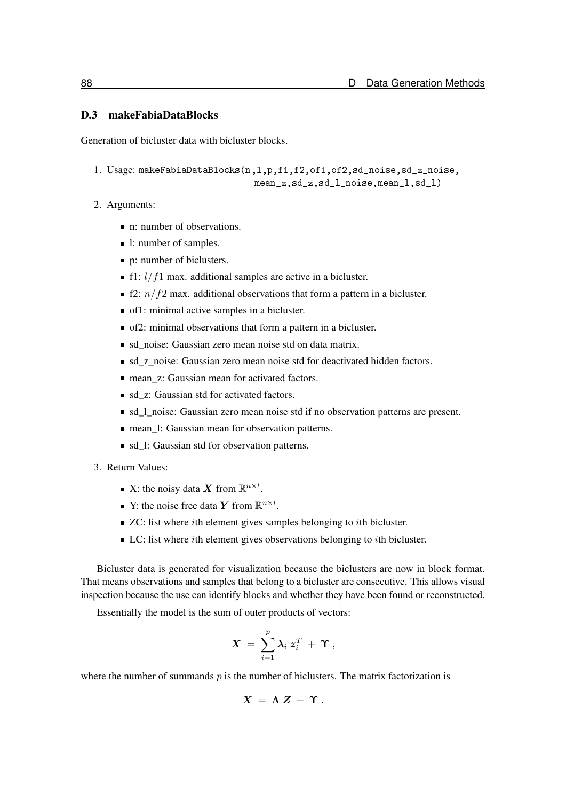## D.3 makeFabiaDataBlocks

Generation of bicluster data with bicluster blocks.

```
1. Usage: makeFabiaDataBlocks(n,l,p,f1,f2,of1,of2,sd_noise,sd_z_noise,
                              mean_z,sd_z,sd_l_noise,mean_l,sd_l)
```
#### 2. Arguments:

- n: number of observations.
- 1: number of samples.
- p: number of biclusters.
- f1:  $l/f1$  max. additional samples are active in a bicluster.
- **f2:**  $n/f2$  max. additional observations that form a pattern in a bicluster.
- of1: minimal active samples in a bicluster.
- of2: minimal observations that form a pattern in a bicluster.
- sd noise: Gaussian zero mean noise std on data matrix.
- If sd z noise: Gaussian zero mean noise std for deactivated hidden factors.
- mean z: Gaussian mean for activated factors.
- sd z: Gaussian std for activated factors.
- sd\_l\_noise: Gaussian zero mean noise std if no observation patterns are present.
- mean\_l: Gaussian mean for observation patterns.
- sd 1: Gaussian std for observation patterns.
- 3. Return Values:
	- X: the noisy data X from  $\mathbb{R}^{n \times l}$ .
	- Y: the noise free data Y from  $\mathbb{R}^{n \times l}$ .
	- $\blacksquare$  ZC: list where *i*th element gives samples belonging to *i*th bicluster.
	- $\blacksquare$  LC: list where *i*th element gives observations belonging to *i*th bicluster.

Bicluster data is generated for visualization because the biclusters are now in block format. That means observations and samples that belong to a bicluster are consecutive. This allows visual inspection because the use can identify blocks and whether they have been found or reconstructed.

Essentially the model is the sum of outer products of vectors:

$$
\boldsymbol{X} \ = \ \sum_{i=1}^p \boldsymbol{\lambda}_i \ \boldsymbol{z}_i^T \ + \ \boldsymbol{\Upsilon} \ ,
$$

where the number of summands  $p$  is the number of biclusters. The matrix factorization is

$$
X = \Lambda Z + \Upsilon.
$$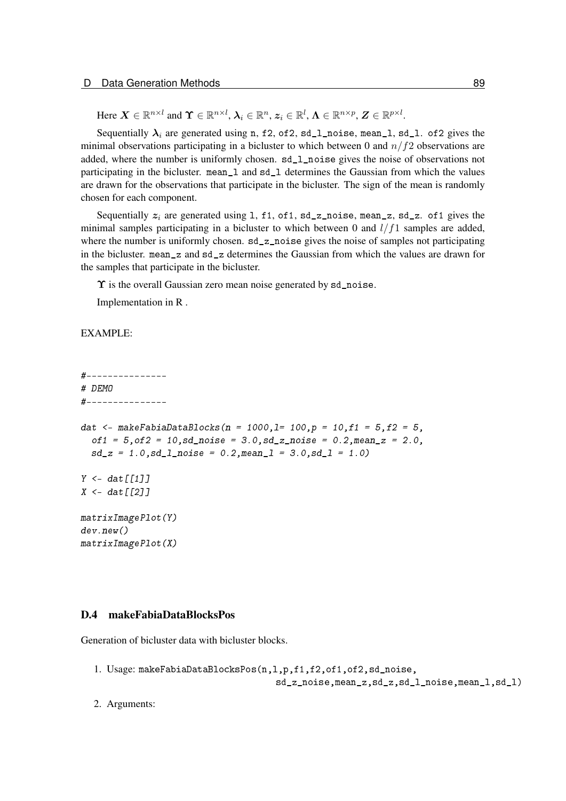Here  $\boldsymbol{X} \in \mathbb{R}^{n \times l}$  and  $\boldsymbol{\Upsilon} \in \mathbb{R}^{n \times l}$ ,  $\boldsymbol{\lambda}_i \in \mathbb{R}^n$ ,  $\boldsymbol{z}_i \in \mathbb{R}^l$ ,  $\boldsymbol{\Lambda} \in \mathbb{R}^{n \times p}$ ,  $\boldsymbol{Z} \in \mathbb{R}^{p \times l}$ .

Sequentially  $\lambda_i$  are generated using n, f2, of2, sd\_1\_noise, mean\_1, sd\_1. of2 gives the minimal observations participating in a bicluster to which between 0 and  $n/f2$  observations are added, where the number is uniformly chosen. sd\_l\_noise gives the noise of observations not participating in the bicluster. mean\_l and sd\_l determines the Gaussian from which the values are drawn for the observations that participate in the bicluster. The sign of the mean is randomly chosen for each component.

Sequentially  $z_i$  are generated using 1, f1, of1, sd\_z\_noise, mean\_z, sd\_z. of1 gives the minimal samples participating in a bicluster to which between 0 and  $l/f1$  samples are added, where the number is uniformly chosen. sd\_z\_noise gives the noise of samples not participating in the bicluster. mean\_z and sd\_z determines the Gaussian from which the values are drawn for the samples that participate in the bicluster.

 $\Upsilon$  is the overall Gaussian zero mean noise generated by sd\_noise.

Implementation in R .

#### EXAMPLE:

```
#---------------
# DEMO
#---------------
dat <- makeFabiaDataBlocks(n = 1000,1= 100,p = 10,f1 = 5,f2 = 5,
  of1 = 5, of2 = 10, sd\_noise = 3.0, sd\_z\_noise = 0.2, mean\_z = 2.0,sd z = 1.0, sd 1 noise = 0.2, mean l = 3.0, sd l = 1.0)
Y \leftarrow \text{dat} \left[ \left[ \left[ 1 \right] \right] \right]X \leftarrow dat \lceil \lceil 2 \rceilmatrixImagePlot(Y)
dev.new()
matrixImagePlot(X)
```
## D.4 makeFabiaDataBlocksPos

Generation of bicluster data with bicluster blocks.

- 1. Usage: makeFabiaDataBlocksPos(n,l,p,f1,f2,of1,of2,sd\_noise, sd\_z\_noise,mean\_z,sd\_z,sd\_l\_noise,mean\_l,sd\_l)
- 2. Arguments: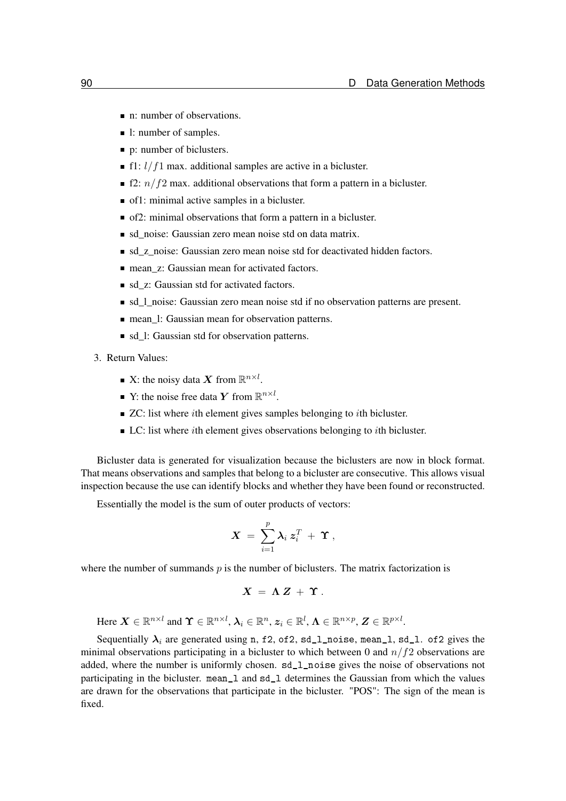- n: number of observations.
- 1: number of samples.
- p: number of biclusters.
- f1:  $l/f1$  max. additional samples are active in a bicluster.
- **f2:**  $n/f2$  max. additional observations that form a pattern in a bicluster.
- of1: minimal active samples in a bicluster.
- of2: minimal observations that form a pattern in a bicluster.
- sd noise: Gaussian zero mean noise std on data matrix.
- sd z noise: Gaussian zero mean noise std for deactivated hidden factors.
- mean z: Gaussian mean for activated factors.
- sd z: Gaussian std for activated factors.
- sd\_l\_noise: Gaussian zero mean noise std if no observation patterns are present.
- mean 1: Gaussian mean for observation patterns.
- sd 1: Gaussian std for observation patterns.
- 3. Return Values:
	- X: the noisy data X from  $\mathbb{R}^{n \times l}$ .
	- Y: the noise free data Y from  $\mathbb{R}^{n \times l}$ .
	- $\blacksquare$  ZC: list where *i*th element gives samples belonging to *i*th bicluster.
	- $\blacksquare$  LC: list where *i*th element gives observations belonging to *i*th bicluster.

Bicluster data is generated for visualization because the biclusters are now in block format. That means observations and samples that belong to a bicluster are consecutive. This allows visual inspection because the use can identify blocks and whether they have been found or reconstructed.

Essentially the model is the sum of outer products of vectors:

$$
\boldsymbol{X}~=~\sum_{i=1}^p \boldsymbol{\lambda}_i~\boldsymbol{z}_i^T~+~\boldsymbol{\Upsilon}~,
$$

where the number of summands  $p$  is the number of biclusters. The matrix factorization is

$$
X = \Lambda Z + \Upsilon.
$$

Here  $\boldsymbol{X} \in \mathbb{R}^{n \times l}$  and  $\boldsymbol{\Upsilon} \in \mathbb{R}^{n \times l}$ ,  $\boldsymbol{\lambda}_i \in \mathbb{R}^n$ ,  $\boldsymbol{z}_i \in \mathbb{R}^l$ ,  $\boldsymbol{\Lambda} \in \mathbb{R}^{n \times p}$ ,  $\boldsymbol{Z} \in \mathbb{R}^{p \times l}$ .

Sequentially  $\lambda_i$  are generated using n, f2, of2, sd\_1\_noise, mean\_1, sd\_1. of2 gives the minimal observations participating in a bicluster to which between 0 and  $n/f2$  observations are added, where the number is uniformly chosen. sd\_l\_noise gives the noise of observations not participating in the bicluster. mean\_l and sd\_l determines the Gaussian from which the values are drawn for the observations that participate in the bicluster. "POS": The sign of the mean is fixed.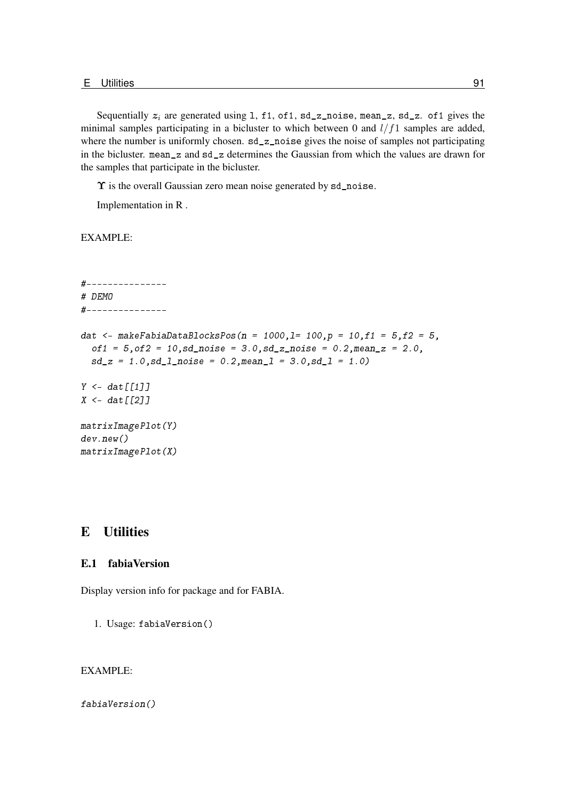Sequentially  $z_i$  are generated using 1, f1, of1, sd\_z\_noise, mean\_z, sd\_z. of1 gives the minimal samples participating in a bicluster to which between 0 and  $l/f1$  samples are added, where the number is uniformly chosen. sd\_z\_noise gives the noise of samples not participating in the bicluster. mean\_z and sd\_z determines the Gaussian from which the values are drawn for the samples that participate in the bicluster.

 $\Upsilon$  is the overall Gaussian zero mean noise generated by sd\_noise.

Implementation in R .

EXAMPLE:

```
#---------------
# DEMO
#---------------
dat <- makeFabiaDataBlocksPos(n = 1000,1= 100,p = 10,f1 = 5,f2 = 5,
  of1 = 5, of2 = 10, sd\_noise = 3.0, sd\_z\_noise = 0.2, mean\_z = 2.0,sd_z = 1.0, sd_l noise = 0.2, meanl = 3.0, sd_l = 1.0Y \leftarrow \text{dat} \left[ \left[ \left[ 1 \right] \right] \right]X \leftarrow \text{dat}[[2]]matrixImagePlot(Y)
dev.new()
matrixImagePlot(X)
```
## E Utilities

#### E.1 fabiaVersion

Display version info for package and for FABIA.

1. Usage: fabiaVersion()

## EXAMPLE:

fabiaVersion()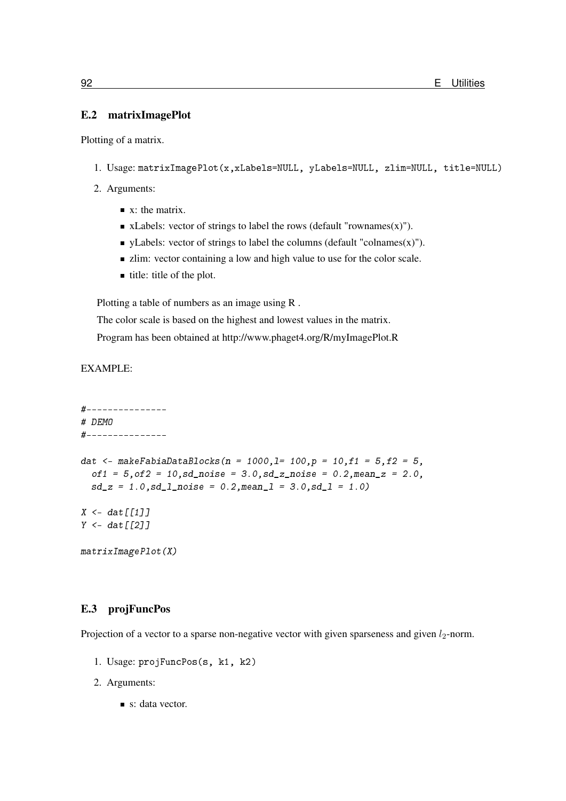## E.2 matrixImagePlot

Plotting of a matrix.

- 1. Usage: matrixImagePlot(x,xLabels=NULL, yLabels=NULL, zlim=NULL, title=NULL)
- 2. Arguments:
	- $\blacksquare$  x: the matrix.
	- $\blacksquare$  xLabels: vector of strings to label the rows (default "rownames(x)").
	- $\blacksquare$  yLabels: vector of strings to label the columns (default "colnames(x)").
	- If zlim: vector containing a low and high value to use for the color scale.
	- $\blacksquare$  title: title of the plot.

Plotting a table of numbers as an image using R .

The color scale is based on the highest and lowest values in the matrix.

Program has been obtained at<http://www.phaget4.org/R/myImagePlot.R>

EXAMPLE:

```
#---------------
# DEMO
#---------------
dat <- makeFabiaDataBlocks(n = 1000,1= 100,p = 10,f1 = 5, f2 = 5,
  of1 = 5, of2 = 10, sd\_noise = 3.0, sd\_z\_noise = 0.2, mean\_z = 2.0,sd_z = 1.0, sd_l_pnoise = 0.2, meanl = 3.0, sd_l = 1.0X \leq - dat \lceil \lceil 1 \rceil \rceilY \leftarrow \text{dat}[[2]]matrixImagePlot(X)
```
## E.3 projFuncPos

Projection of a vector to a sparse non-negative vector with given sparseness and given  $l_2$ -norm.

- 1. Usage: projFuncPos(s, k1, k2)
- 2. Arguments:
	- s: data vector.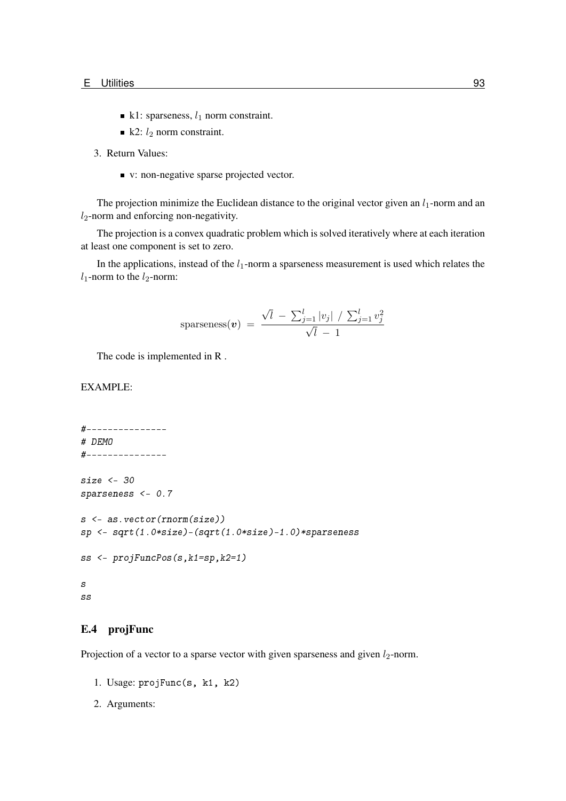- k1: sparseness,  $l_1$  norm constraint.
- $\blacksquare$  k2:  $l_2$  norm constraint.

3. Return Values:

v: non-negative sparse projected vector.

The projection minimize the Euclidean distance to the original vector given an  $l_1$ -norm and an  $l_2$ -norm and enforcing non-negativity.

The projection is a convex quadratic problem which is solved iteratively where at each iteration at least one component is set to zero.

In the applications, instead of the  $l_1$ -norm a sparseness measurement is used which relates the  $l_1$ -norm to the  $l_2$ -norm:

sparseness(**v**) = 
$$
\frac{\sqrt{l} - \sum_{j=1}^{l} |v_j| / \sum_{j=1}^{l} v_j^2}{\sqrt{l} - 1}
$$

The code is implemented in R .

## EXAMPLE:

```
#---------------
# DEMO
#---------------
size <- 30
sparseness <- 0.7
s <- as.vector(rnorm(size))
sp <- sqrt(1.0*size)-(sqrt(1.0*size)-1.0)*sparseness
ss <- projFuncPos(s,k1=sp,k2=1)
s
ss
```
## E.4 projFunc

Projection of a vector to a sparse vector with given sparseness and given  $l_2$ -norm.

- 1. Usage: projFunc(s, k1, k2)
- 2. Arguments: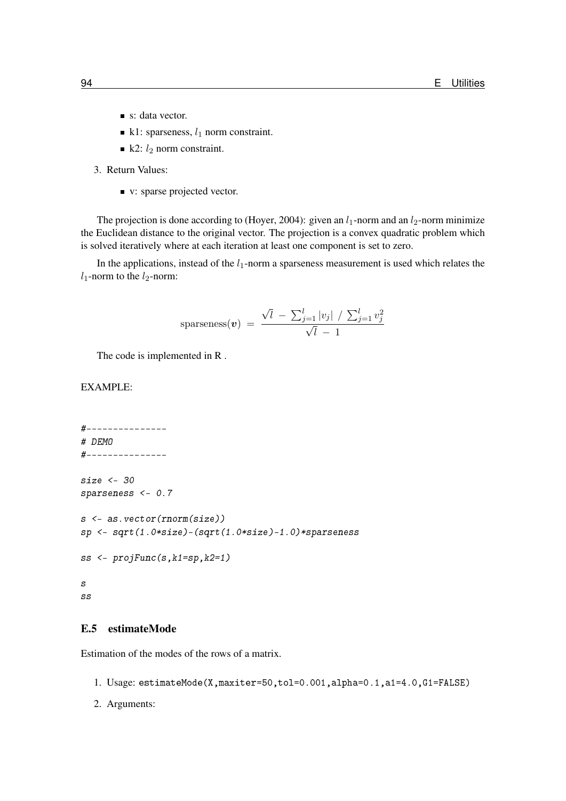- s: data vector.
- k1: sparseness,  $l_1$  norm constraint.
- $\blacksquare$  k2:  $l_2$  norm constraint.
- 3. Return Values:
	- v: sparse projected vector.

The projection is done according to [\(Hoyer, 2004\)](#page-97-0): given an  $l_1$ -norm and an  $l_2$ -norm minimize the Euclidean distance to the original vector. The projection is a convex quadratic problem which is solved iteratively where at each iteration at least one component is set to zero.

In the applications, instead of the  $l_1$ -norm a sparseness measurement is used which relates the  $l_1$ -norm to the  $l_2$ -norm:

sparseness
$$
(v)
$$
 =  $\frac{\sqrt{l} - \sum_{j=1}^{l} |v_j| / \sum_{j=1}^{l} v_j^2}{\sqrt{l} - 1}$ 

The code is implemented in R .

## EXAMPLE:

```
#---------------
# DEMO
#---------------
size <- 30
sparseness <- 0.7
s <- as.vector(rnorm(size))
sp <- sqrt(1.0*size)-(sqrt(1.0*size)-1.0)*sparseness
ss <- projFunc(s,k1=sp,k2=1)
s
ss
```
## E.5 estimateMode

Estimation of the modes of the rows of a matrix.

- 1. Usage: estimateMode(X,maxiter=50,tol=0.001,alpha=0.1,a1=4.0,G1=FALSE)
- 2. Arguments: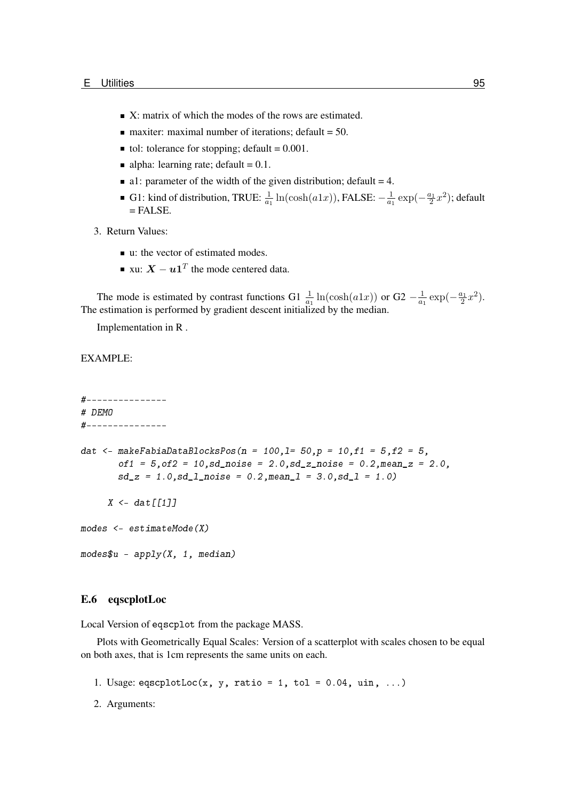- $\blacksquare$  X: matrix of which the modes of the rows are estimated.
- $\blacksquare$  maxiter: maximal number of iterations; default = 50.
- tol: tolerance for stopping; default =  $0.001$ .
- alpha: learning rate; default =  $0.1$ .
- a1: parameter of the width of the given distribution; default  $= 4$ .
- G1: kind of distribution, TRUE:  $\frac{1}{a_1} \ln(\cosh(a1x))$ , FALSE:  $-\frac{1}{a_1}$  $\frac{1}{a_1} \exp(-\frac{a_1}{2}x^2)$ ; default  $=$  FALSE.
- 3. Return Values:
	- u: the vector of estimated modes.
	- xu:  $\boldsymbol{X} \boldsymbol{u} \boldsymbol{1}^T$  the mode centered data.

The mode is estimated by contrast functions G1  $\frac{1}{a_1}$  ln(cosh(a1x)) or G2  $-\frac{1}{a_1}$  $\frac{1}{a_1} \exp(-\frac{a_1}{2}x^2).$ The estimation is performed by gradient descent initialized by the median.

Implementation in R .

## EXAMPLE:

```
#---------------
# DEMO
#---------------
dat <- makeFabiaDataBlocksPos(n = 100, l = 50, p = 10, f1 = 5, f2 = 5,
        of1 = 5, of2 = 10, sd noise = 2.0, sd z noise = 0.2, mean z = 2.0,
        sd_z = 1.0, sd_l_pnoise = 0.2, meanl = 3.0, sd_l = 1.0X \leftarrow \text{dat} \lceil \lceil 1 \rceil \rceilmodes <- estimateMode(X)
modes $u - apply(X, 1, median)
```
## E.6 eqscplotLoc

Local Version of eqscplot from the package MASS.

Plots with Geometrically Equal Scales: Version of a scatterplot with scales chosen to be equal on both axes, that is 1cm represents the same units on each.

- 1. Usage: eqscplotLoc(x, y, ratio = 1, tol = 0.04, uin, ...)
- 2. Arguments: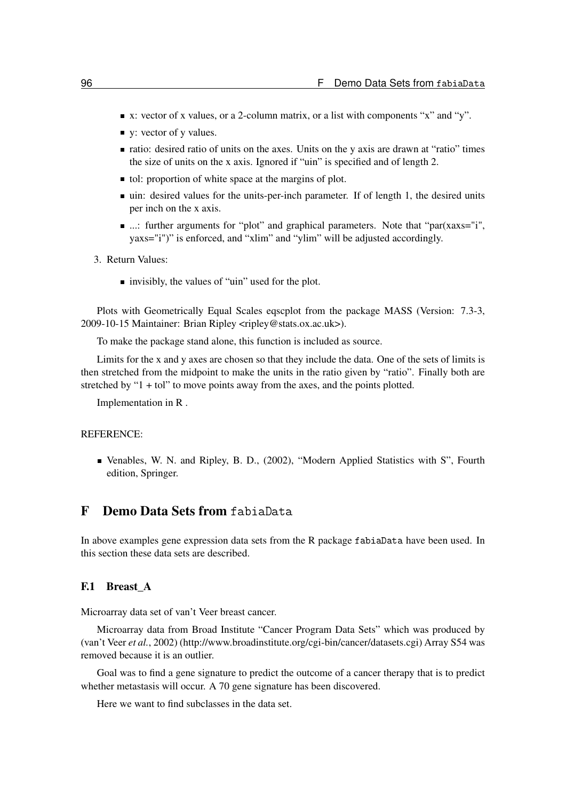- $\blacksquare$  x: vector of x values, or a 2-column matrix, or a list with components "x" and "y".
- v: vector of y values.
- ratio: desired ratio of units on the axes. Units on the y axis are drawn at "ratio" times the size of units on the x axis. Ignored if "uin" is specified and of length 2.
- tol: proportion of white space at the margins of plot.
- uin: desired values for the units-per-inch parameter. If of length 1, the desired units per inch on the x axis.
- ...: further arguments for "plot" and graphical parameters. Note that "par(xaxs="i", yaxs="i")" is enforced, and "xlim" and "ylim" will be adjusted accordingly.
- 3. Return Values:
	- invisibly, the values of "uin" used for the plot.

Plots with Geometrically Equal Scales eqscplot from the package MASS (Version: 7.3-3, 2009-10-15 Maintainer: Brian Ripley <ripley@stats.ox.ac.uk>).

To make the package stand alone, this function is included as source.

Limits for the x and y axes are chosen so that they include the data. One of the sets of limits is then stretched from the midpoint to make the units in the ratio given by "ratio". Finally both are stretched by "1 + tol" to move points away from the axes, and the points plotted.

Implementation in R .

#### REFERENCE:

Venables, W. N. and Ripley, B. D., (2002), "Modern Applied Statistics with S", Fourth edition, Springer.

# F Demo Data Sets from fabiaData

In above examples gene expression data sets from the R package fabiaData have been used. In this section these data sets are described.

## F.1 Breast A

Microarray data set of van't Veer breast cancer.

Microarray data from Broad Institute "Cancer Program Data Sets" which was produced by [\(van't Veer](#page-97-1) *et al.*, [2002\)](#page-97-1) [\(http://www.broadinstitute.org/cgi-bin/cancer/datasets.cgi\)](http://www.broadinstitute.org/cgi-bin/cancer/datasets.cgi) Array S54 was removed because it is an outlier.

Goal was to find a gene signature to predict the outcome of a cancer therapy that is to predict whether metastasis will occur. A 70 gene signature has been discovered.

Here we want to find subclasses in the data set.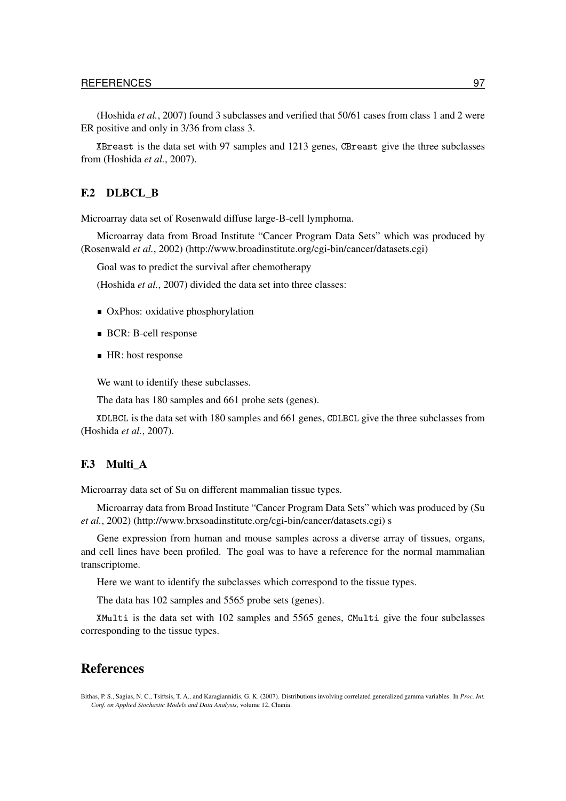[\(Hoshida](#page-97-2) *et al.*, [2007\)](#page-97-2) found 3 subclasses and verified that 50/61 cases from class 1 and 2 were ER positive and only in 3/36 from class 3.

XBreast is the data set with 97 samples and 1213 genes, CBreast give the three subclasses from [\(Hoshida](#page-97-2) *et al.*, [2007\)](#page-97-2).

## F.2 DLBCL\_B

Microarray data set of Rosenwald diffuse large-B-cell lymphoma.

Microarray data from Broad Institute "Cancer Program Data Sets" which was produced by [\(Rosenwald](#page-97-3) *et al.*, [2002\)](#page-97-3) [\(http://www.broadinstitute.org/cgi-bin/cancer/datasets.cgi\)](http://www.broadinstitute.org/cgi-bin/cancer/datasets.cgi)

Goal was to predict the survival after chemotherapy

[\(Hoshida](#page-97-2) *et al.*, [2007\)](#page-97-2) divided the data set into three classes:

- OxPhos: oxidative phosphorylation
- BCR: B-cell response
- HR: host response

We want to identify these subclasses.

The data has 180 samples and 661 probe sets (genes).

XDLBCL is the data set with 180 samples and 661 genes, CDLBCL give the three subclasses from [\(Hoshida](#page-97-2) *et al.*, [2007\)](#page-97-2).

## F.3 Multi A

Microarray data set of Su on different mammalian tissue types.

Microarray data from Broad Institute "Cancer Program Data Sets" which was produced by [\(Su](#page-97-4) *[et al.](#page-97-4)*, [2002\)](#page-97-4) [\(http://www.brxsoadinstitute.org/cgi-bin/cancer/datasets.cgi\)](http://www.broadinstitute.org/cgi-bin/cancer/datasets.cgi) s

Gene expression from human and mouse samples across a diverse array of tissues, organs, and cell lines have been profiled. The goal was to have a reference for the normal mammalian transcriptome.

Here we want to identify the subclasses which correspond to the tissue types.

The data has 102 samples and 5565 probe sets (genes).

XMulti is the data set with 102 samples and 5565 genes, CMulti give the four subclasses corresponding to the tissue types.

## **References**

Bithas, P. S., Sagias, N. C., Tsiftsis, T. A., and Karagiannidis, G. K. (2007). Distributions involving correlated generalized gamma variables. In *Proc. Int. Conf. on Applied Stochastic Models and Data Analysis*, volume 12, Chania.